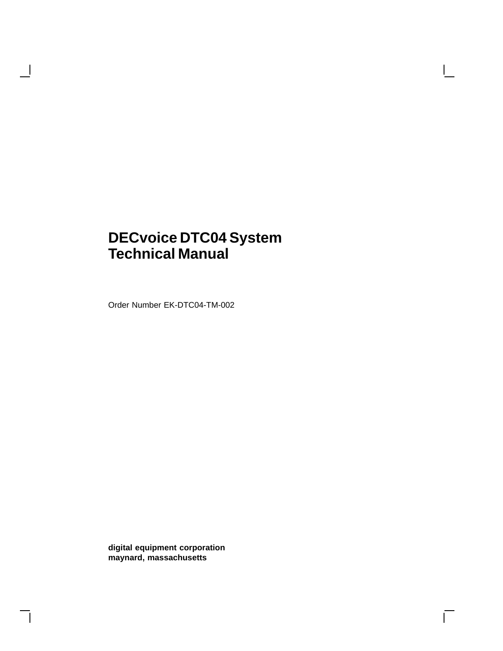## **DECvoice DTC04 System Technical Manual**

Order Number EK-DTC04-TM-002

 $\overline{\phantom{a}}$ 

**digital equipment corporation maynard, massachusetts**

 $\Box$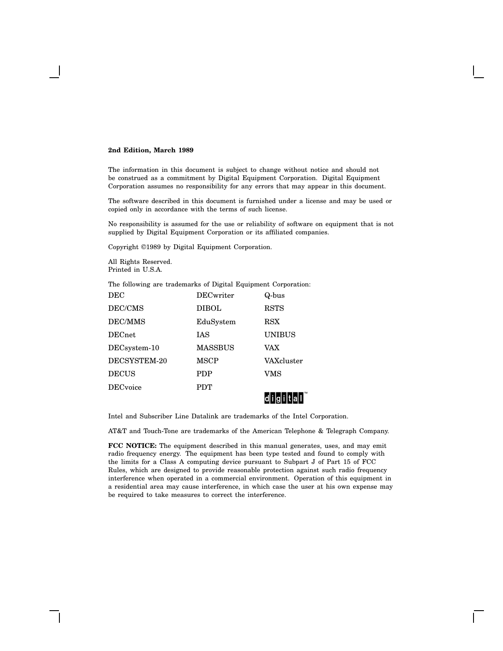#### **2nd Edition, March 1989**

The information in this document is subject to change without notice and should not be construed as a commitment by Digital Equipment Corporation. Digital Equipment Corporation assumes no responsibility for any errors that may appear in this document.

The software described in this document is furnished under a license and may be used or copied only in accordance with the terms of such license.

No responsibility is assumed for the use or reliability of software on equipment that is not supplied by Digital Equipment Corporation or its affiliated companies.

Copyright ©1989 by Digital Equipment Corporation.

All Rights Reserved. Printed in U.S.A.

The following are trademarks of Digital Equipment Corporation:

|                 |                  | di giltal     |
|-----------------|------------------|---------------|
| <b>DECvoice</b> | <b>PDT</b>       |               |
| <b>DECUS</b>    | <b>PDP</b>       | VMS           |
| DECSYSTEM-20    | MSCP             | VAXcluster    |
| DECsystem-10    | <b>MASSBUS</b>   | VAX           |
| DECnet          | IAS              | <b>UNIBUS</b> |
| <b>DEC/MMS</b>  | EduSystem        | RSX           |
| DEC/CMS         | <b>DIBOL</b>     | <b>RSTS</b>   |
| DEC             | <b>DECwriter</b> | Q-bus         |

Intel and Subscriber Line Datalink are trademarks of the Intel Corporation.

AT&T and Touch-Tone are trademarks of the American Telephone & Telegraph Company.

**FCC NOTICE:** The equipment described in this manual generates, uses, and may emit radio frequency energy. The equipment has been type tested and found to comply with the limits for a Class A computing device pursuant to Subpart J of Part 15 of FCC Rules, which are designed to provide reasonable protection against such radio frequency interference when operated in a commercial environment. Operation of this equipment in a residential area may cause interference, in which case the user at his own expense may be required to take measures to correct the interference.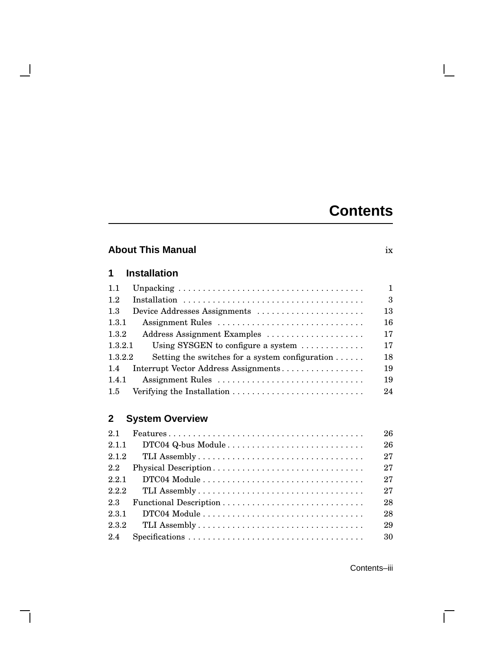# **Contents**

 $\mathbf{L}$ 

## **About This Manual** ix

## **1 Installation**

 $\blacksquare$ 

 $\mathsf{l}$ 

| 1.1           |                                                           | 1             |
|---------------|-----------------------------------------------------------|---------------|
| 1.2           |                                                           | $\mathcal{S}$ |
| 1.3           | Device Addresses Assignments                              | 13            |
| 1.3.1         | Assignment Rules                                          | 16            |
| 1.3.2         | Address Assignment Examples                               | 17            |
| 1.3.2.1       | Using SYSGEN to configure a system $\dots\dots\dots\dots$ | 17            |
| 1.3.2.2       | Setting the switches for a system configuration $\dots$ . | 18            |
| $1.4^{\circ}$ | Interrupt Vector Address Assignments                      | 19            |
| 1.4.1         | Assignment Rules                                          | 19            |
| 1.5           |                                                           | 24            |

## **2 System Overview**

| 2.1     | $Features \dots \dots \dots \dots \dots \dots \dots \dots \dots \dots \dots \dots \dots \dots \dots$ | 26 |
|---------|------------------------------------------------------------------------------------------------------|----|
| 2.1.1   |                                                                                                      | 26 |
| 2.1.2   |                                                                                                      | 27 |
| $2.2\,$ | Physical Description                                                                                 | 27 |
| 2.2.1   |                                                                                                      | 27 |
| 2.2.2   |                                                                                                      | 27 |
| 2.3     |                                                                                                      | 28 |
| 2.3.1   |                                                                                                      | 28 |
| 2.3.2   |                                                                                                      | 29 |
| 2.4     | $Specifications \ldots \ldots \ldots \ldots \ldots \ldots \ldots \ldots \ldots \ldots \ldots$        | 30 |

Contents–iii

 $\overline{\Gamma}$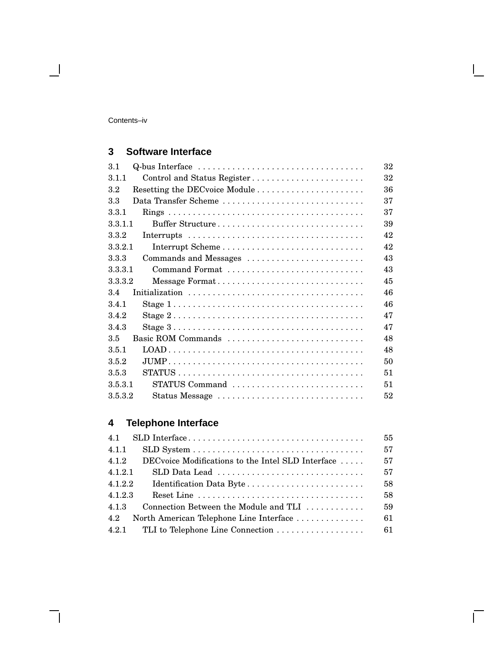Contents–iv

 $\blacksquare$ 

## **3 Software Interface**

| 3.1     | Q-bus Interface                                                                               | 32 |
|---------|-----------------------------------------------------------------------------------------------|----|
| 3.1.1   | Control and Status Register                                                                   | 32 |
| $3.2\,$ |                                                                                               | 36 |
| 3.3     | Data Transfer Scheme                                                                          | 37 |
| 3.3.1   |                                                                                               | 37 |
| 3.3.1.1 | Buffer Structure                                                                              | 39 |
| 3.3.2   |                                                                                               | 42 |
| 3.3.2.1 |                                                                                               | 42 |
| 3.3.3   | Commands and Messages                                                                         | 43 |
| 3.3.3.1 | Command Format                                                                                | 43 |
| 3.3.3.2 | Message Format                                                                                | 45 |
| 3.4     |                                                                                               | 46 |
| 3.4.1   | Stage $1 \ldots \ldots \ldots \ldots \ldots \ldots \ldots \ldots \ldots \ldots \ldots \ldots$ | 46 |
| 3.4.2   | Stage $2 \ldots \ldots \ldots \ldots \ldots \ldots \ldots \ldots \ldots \ldots \ldots \ldots$ | 47 |
| 3.4.3   | Stage $3 \ldots \ldots \ldots \ldots \ldots \ldots \ldots \ldots \ldots \ldots \ldots \ldots$ | 47 |
| 3.5     | Basic ROM Commands                                                                            | 48 |
| 3.5.1   |                                                                                               | 48 |
| 3.5.2   |                                                                                               | 50 |
| 3.5.3   |                                                                                               | 51 |
| 3.5.3.1 | STATUS Command                                                                                | 51 |
| 3.5.3.2 | Status Message                                                                                | 52 |

## **4 Telephone Interface**

| 55 |
|----|
| 57 |
| 57 |
| 57 |
| 58 |
| 58 |
| 59 |
| 61 |
| 61 |
|    |

 $\Box$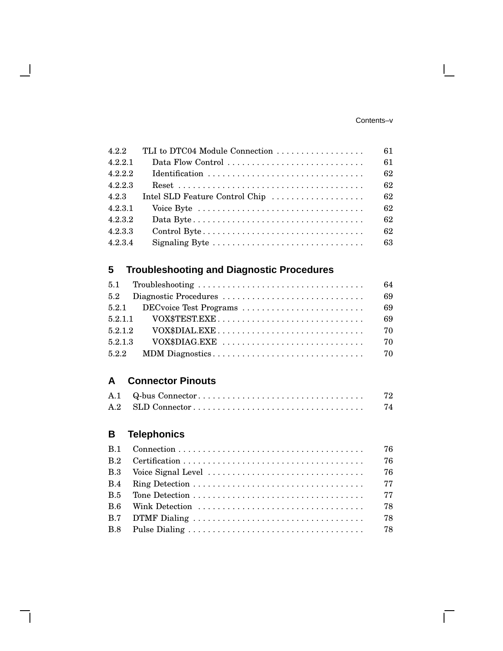#### Contents–v

 $\mathbf{L}$ 

 $\overline{\Gamma}$ 

| 4.2.2   | TLI to DTC04 Module Connection | 61 |
|---------|--------------------------------|----|
| 4.2.2.1 |                                | 61 |
| 4.2.2.2 |                                | 62 |
| 4.2.2.3 |                                | 62 |
| 4.2.3   | Intel SLD Feature Control Chip | 62 |
| 4.2.3.1 |                                | 62 |
| 4.2.3.2 |                                | 62 |
| 4.2.3.3 |                                | 62 |
| 4.2.3.4 |                                | 63 |

## **5 Troubleshooting and Diagnostic Procedures**

|         | 64 |
|---------|----|
|         | 69 |
|         | 69 |
|         | 69 |
| 5.2.1.2 | 70 |
| 5.2.1.3 | 70 |
|         |    |

## **A Connector Pinouts**

|  | 72 |
|--|----|
|  | 74 |

## **B Telephonics**

 $\overline{\phantom{a}}$ 

 $\mathsf{l}$ 

|  | -76 |
|--|-----|
|  | 76  |
|  | -76 |
|  |     |
|  |     |
|  | 78  |
|  | 78  |
|  |     |
|  |     |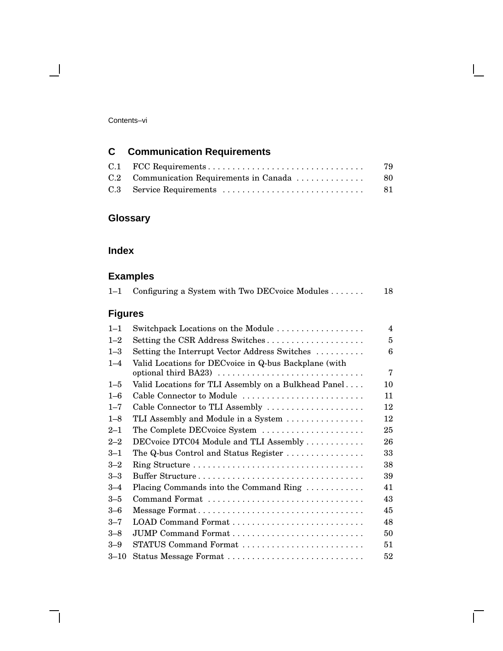#### Contents–vi

 $\blacksquare$ 

## **C Communication Requirements**

|  | 79   |
|--|------|
|  |      |
|  | - 81 |

## **Glossary**

### **Index**

## **Examples**

| $1 - 1$        | Configuring a System with Two DECvoice Modules                                | 18                      |
|----------------|-------------------------------------------------------------------------------|-------------------------|
| <b>Figures</b> |                                                                               |                         |
| $1 - 1$        | Switchpack Locations on the Module                                            | $\overline{\mathbf{4}}$ |
| $1 - 2$        | Setting the CSR Address Switches                                              | 5                       |
| $1 - 3$        | Setting the Interrupt Vector Address Switches                                 | 6                       |
| $1 - 4$        | Valid Locations for DECvoice in Q-bus Backplane (with<br>optional third BA23) | 7                       |
| $1 - 5$        | Valid Locations for TLI Assembly on a Bulkhead Panel                          | 10                      |
| $1 - 6$        | Cable Connector to Module                                                     | 11                      |
| $1 - 7$        | Cable Connector to TLI Assembly                                               | 12                      |
| $1 - 8$        | TLI Assembly and Module in a System                                           | 12                      |
| $2 - 1$        | The Complete DECvoice System                                                  | 25                      |
| $2 - 2$        | DECvoice DTC04 Module and TLI Assembly                                        | 26                      |
| $3 - 1$        | The $Q$ -bus Control and Status Register $\ldots \ldots \ldots \ldots$        | 33                      |
| $3 - 2$        |                                                                               | 38                      |
| $3 - 3$        | Buffer Structure                                                              | 39                      |
| $3 - 4$        | Placing Commands into the Command Ring                                        | 41                      |
| $3 - 5$        | Command Format                                                                | 43                      |
| $3 - 6$        | Message Format                                                                | 45                      |
| $3 - 7$        |                                                                               | 48                      |
| $3 - 8$        |                                                                               | 50                      |
| $3 - 9$        | STATUS Command Format                                                         | 51                      |
| $3 - 10$       | Status Message Format                                                         | 52                      |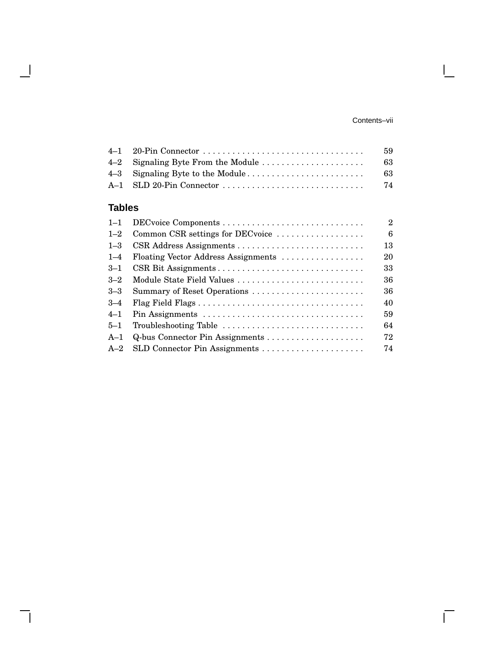#### Contents–vii

 $\mathbf{L}$ 

 $\overline{\Gamma}$ 

|  | 59  |
|--|-----|
|  | -63 |
|  | -63 |
|  | 74  |
|  |     |

## **Tables**

 $\overline{\phantom{a}}$ 

 $\mathbf{I}$ 

| $1 - 1$ |                                     | $\overline{2}$ |
|---------|-------------------------------------|----------------|
| $1 - 2$ | Common CSR settings for DECvoice    | 6              |
| $1 - 3$ |                                     | 13             |
| $1 - 4$ | Floating Vector Address Assignments | 20             |
| $3 - 1$ |                                     | 33             |
| $3 - 2$ |                                     | 36             |
| $3 - 3$ | Summary of Reset Operations         | 36             |
| $3 - 4$ |                                     | 40             |
| $4 - 1$ |                                     | 59             |
| $5 - 1$ | Troubleshooting Table               | 64             |
| $A-1$   |                                     | 72             |
| $A-2$   |                                     | 74             |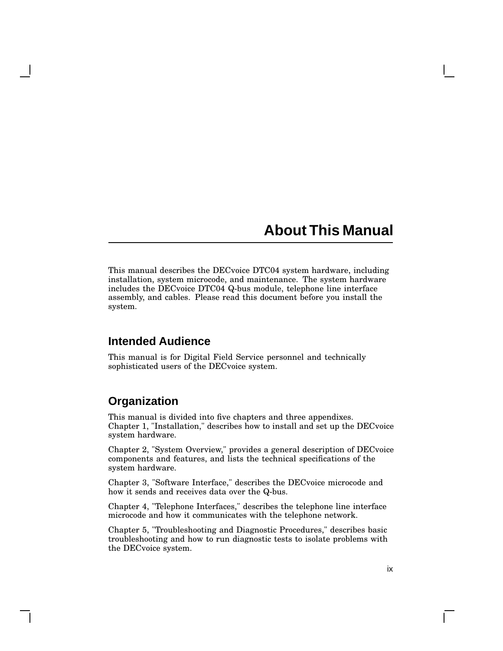## **About This Manual**

This manual describes the DECvoice DTC04 system hardware, including installation, system microcode, and maintenance. The system hardware includes the DECvoice DTC04 Q-bus module, telephone line interface assembly, and cables. Please read this document before you install the system.

### **Intended Audience**

This manual is for Digital Field Service personnel and technically sophisticated users of the DECvoice system.

## **Organization**

This manual is divided into five chapters and three appendixes. Chapter 1, "Installation," describes how to install and set up the DECvoice system hardware.

Chapter 2, "System Overview," provides a general description of DECvoice components and features, and lists the technical specifications of the system hardware.

Chapter 3, "Software Interface," describes the DECvoice microcode and how it sends and receives data over the Q-bus.

Chapter 4, "Telephone Interfaces," describes the telephone line interface microcode and how it communicates with the telephone network.

Chapter 5, "Troubleshooting and Diagnostic Procedures," describes basic troubleshooting and how to run diagnostic tests to isolate problems with the DECvoice system.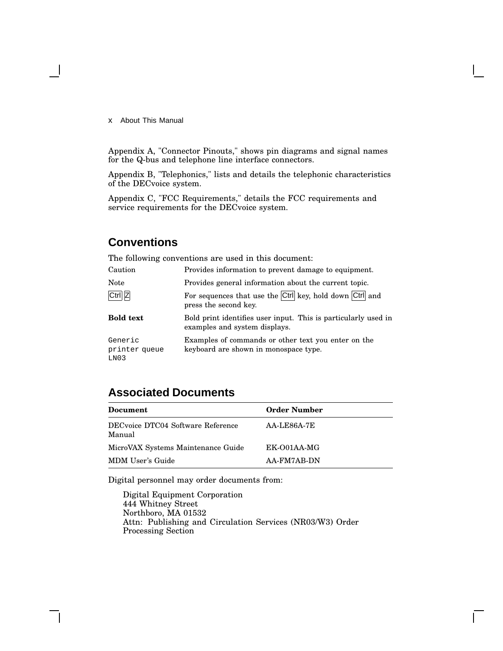x About This Manual

Appendix A, "Connector Pinouts," shows pin diagrams and signal names for the Q-bus and telephone line interface connectors.

Appendix B, "Telephonics," lists and details the telephonic characteristics of the DECvoice system.

Appendix C, "FCC Requirements," details the FCC requirements and service requirements for the DECvoice system.

## **Conventions**

The following conventions are used in this document:<br>Coutien to provide information to provent dome

| Caution                                      | Provides information to prevent damage to equipment.                                            |
|----------------------------------------------|-------------------------------------------------------------------------------------------------|
| Note                                         | Provides general information about the current topic.                                           |
| Ctrl Z                                       | For sequences that use the Ctrl key, hold down Ctrl and<br>press the second key.                |
| <b>Bold text</b>                             | Bold print identifies user input. This is particularly used in<br>examples and system displays. |
| Generic<br>printer queue<br>LNO <sub>3</sub> | Examples of commands or other text you enter on the<br>keyboard are shown in monospace type.    |

## **Associated Documents**

| Document                                    | <b>Order Number</b> |
|---------------------------------------------|---------------------|
| DECvoice DTC04 Software Reference<br>Manual | AA-LE86A-7E         |
| MicroVAX Systems Maintenance Guide          | EK-O01AA-MG         |
| MDM User's Guide                            | AA-FM7AB-DN         |

Digital personnel may order documents from:

Digital Equipment Corporation 444 Whitney Street Northboro, MA 01532 Attn: Publishing and Circulation Services (NR03/W3) Order Processing Section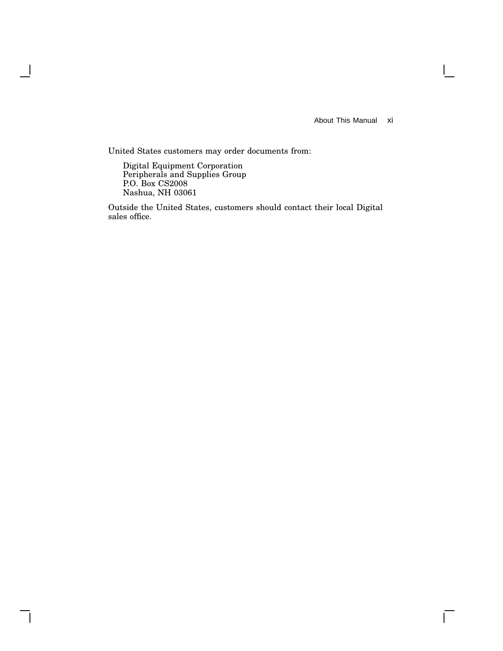About This Manual xi

 $\overline{\Gamma}$ 

United States customers may order documents from:

Digital Equipment Corporation Peripherals and Supplies Group P.O. Box CS2008 Nashua, NH 03061

 $\overline{\phantom{a}}$ 

Outside the United States, customers should contact their local Digital sales office.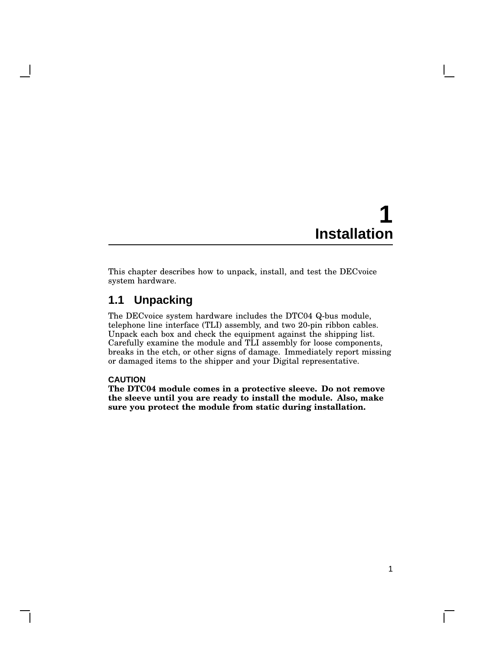This chapter describes how to unpack, install, and test the DECvoice system hardware.

## **1.1 Unpacking**

The DECvoice system hardware includes the DTC04 Q-bus module, telephone line interface (TLI) assembly, and two 20-pin ribbon cables. Unpack each box and check the equipment against the shipping list. Carefully examine the module and TLI assembly for loose components, breaks in the etch, or other signs of damage. Immediately report missing or damaged items to the shipper and your Digital representative.

#### **CAUTION**

**The DTC04 module comes in a protective sleeve. Do not remove the sleeve until you are ready to install the module. Also, make sure you protect the module from static during installation.**

 $\mathbf{I}$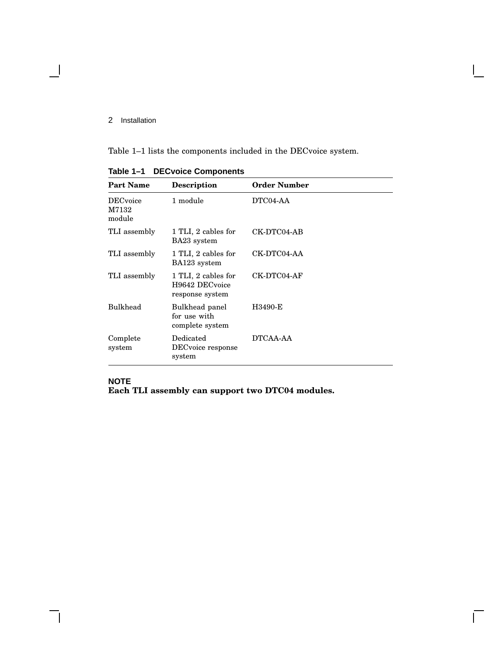$\blacksquare$ 

Table 1–1 lists the components included in the DECvoice system.

| <b>Part Name</b>                    | <b>Description</b>                                       | <b>Order Number</b> |
|-------------------------------------|----------------------------------------------------------|---------------------|
| <b>DEC</b> voice<br>M7132<br>module | 1 module                                                 | DTC04-AA            |
| TLI assembly                        | 1 TLI, 2 cables for<br>BA23 system                       | CK-DTC04-AB         |
| TLI assembly                        | 1 TLI, 2 cables for<br>BA123 system                      | CK-DTC04-AA         |
| TLI assembly                        | 1 TLI, 2 cables for<br>H9642 DECvoice<br>response system | CK-DTC04-AF         |
| <b>Bulkhead</b>                     | Bulkhead panel<br>for use with<br>complete system        | H3490-E             |
| Complete<br>system                  | Dedicated<br>DEC voice response<br>system                | DTCAA-AA            |

 $\bar{\Gamma}$ 

**Table 1–1 DECvoice Components**

### **NOTE Each TLI assembly can support two DTC04 modules.**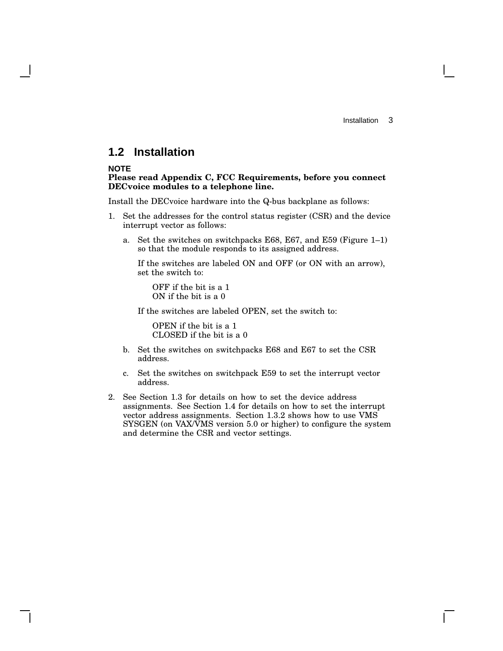### **1.2 Installation**

#### **NOTE**

#### **Please read Appendix C, FCC Requirements, before you connect DECvoice modules to a telephone line.**

Install the DECvoice hardware into the Q-bus backplane as follows:

- 1. Set the addresses for the control status register (CSR) and the device interrupt vector as follows:
	- a. Set the switches on switchpacks E68, E67, and E59 (Figure 1–1) so that the module responds to its assigned address.

If the switches are labeled ON and OFF (or ON with an arrow), set the switch to:

OFF if the bit is a 1 ON if the bit is a 0

If the switches are labeled OPEN, set the switch to:

OPEN if the bit is a 1 CLOSED if the bit is a 0

- b. Set the switches on switchpacks E68 and E67 to set the CSR address.
- c. Set the switches on switchpack E59 to set the interrupt vector address.
- 2. See Section 1.3 for details on how to set the device address assignments. See Section 1.4 for details on how to set the interrupt vector address assignments. Section 1.3.2 shows how to use VMS SYSGEN (on VAX/VMS version 5.0 or higher) to configure the system and determine the CSR and vector settings.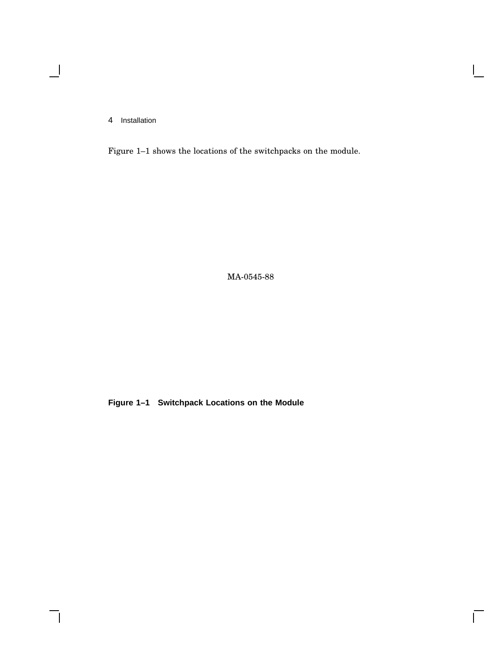$\blacksquare$ 

 $\overline{\phantom{a}}$ 

Figure 1–1 shows the locations of the switchpacks on the module.

 $\mathsf{I}$ 

 $\overline{\Gamma}$ 

MA-0545-88

**Figure 1–1 Switchpack Locations on the Module**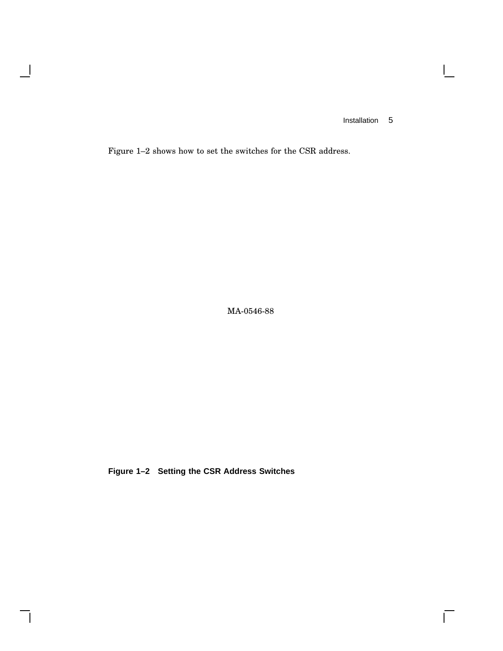$\mathbf{I}$ 

 $\overline{\Gamma}$ 

Figure 1–2 shows how to set the switches for the CSR address.

 $\overline{\phantom{a}}$ 

 $\mathsf{l}$ 

MA-0546-88

**Figure 1–2 Setting the CSR Address Switches**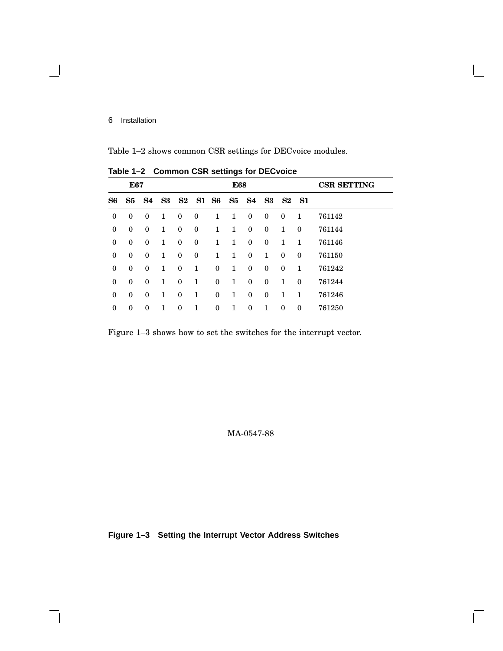Table 1–2 shows common CSR settings for DECvoice modules.

|                  | $10010 + 2$<br><b>OUTHING OUR SURFINGS TO DEOVOICE</b> |                  |               |                  |              |                  |              |                               |          |              |              |                    |
|------------------|--------------------------------------------------------|------------------|---------------|------------------|--------------|------------------|--------------|-------------------------------|----------|--------------|--------------|--------------------|
|                  | E67                                                    |                  |               |                  |              |                  | <b>E68</b>   |                               |          |              |              | <b>CSR SETTING</b> |
| S6               | S5                                                     | S4               | $\mathbf{S3}$ |                  | S2 S1 S6     |                  |              | S <sub>5</sub> S <sub>4</sub> |          | S3 S2 S1     |              |                    |
| $\boldsymbol{0}$ | $\boldsymbol{0}$                                       | $\mathbf{0}$     | 1             | $\bf{0}$         | $\mathbf{0}$ | $\mathbf{1}$     | 1            | $\mathbf{0}$                  | $\bf{0}$ | $\bf{0}$     | 1            | 761142             |
| $\boldsymbol{0}$ | $\bf{0}$                                               | $\mathbf{0}$     | 1             | $\bf{0}$         | $\bf{0}$     | 1                | 1            | $\mathbf{0}$                  | $\bf{0}$ | $\mathbf{1}$ | $\mathbf{0}$ | 761144             |
| $\boldsymbol{0}$ | $\bf{0}$                                               | $\mathbf{0}$     | 1             | $\bf{0}$         | $\bf{0}$     | $\mathbf{1}$     | $\mathbf{1}$ | $\mathbf{0}$                  | $\bf{0}$ | $\mathbf{1}$ | $\mathbf{1}$ | 761146             |
| $\boldsymbol{0}$ | $\bf{0}$                                               | $\mathbf{0}$     | 1             | $\bf{0}$         | $\bf{0}$     | 1                | 1            | $\mathbf{0}$                  | 1        | $\bf{0}$     | $\mathbf{0}$ | 761150             |
| $\boldsymbol{0}$ | $\bf{0}$                                               | $\mathbf{0}$     | 1             | $\bf{0}$         | 1            | $\boldsymbol{0}$ | 1            | $\mathbf{0}$                  | $\bf{0}$ | $\mathbf{0}$ | 1            | 761242             |
| $\mathbf{0}$     | $\boldsymbol{0}$                                       | $\boldsymbol{0}$ | 1             | $\boldsymbol{0}$ | 1            | $\boldsymbol{0}$ | $\mathbf{1}$ | $\mathbf{0}$                  | $\bf{0}$ | 1            | $\mathbf{0}$ | 761244             |
| $\boldsymbol{0}$ | $\bf{0}$                                               | $\mathbf{0}$     | 1             | $\bf{0}$         | 1            | $\boldsymbol{0}$ | 1            | $\mathbf{0}$                  | $\bf{0}$ | 1            | 1            | 761246             |
| $\boldsymbol{0}$ | $\theta$                                               | $\theta$         | 1             | $\Omega$         | 1            | 0                | $\mathbf{1}$ | $\mathbf{0}$                  | 1        | $\theta$     | $\mathbf{0}$ | 761250             |
|                  |                                                        |                  |               |                  |              |                  |              |                               |          |              |              |                    |

**Table 1–2 Common CSR settings for DECvoice**

Figure 1–3 shows how to set the switches for the interrupt vector.

MA-0547-88

 $\mathbf{I}$ 

**Figure 1–3 Setting the Interrupt Vector Address Switches**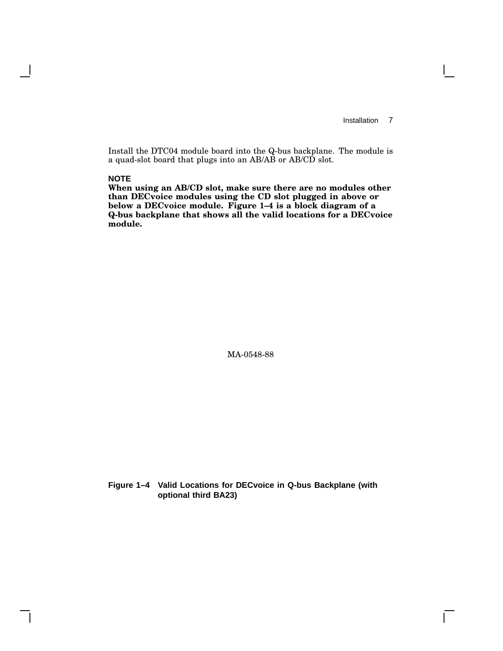$\mathbf{I}$ 

Install the DTC04 module board into the Q-bus backplane. The module is a quad-slot board that plugs into an AB/AB or AB/CD slot.

#### **NOTE**

**When using an AB/CD slot, make sure there are no modules other than DECvoice modules using the CD slot plugged in above or below a DECvoice module. Figure 1–4 is a block diagram of a Q-bus backplane that shows all the valid locations for a DECvoice module.**

MA-0548-88

**Figure 1–4 Valid Locations for DECvoice in Q-bus Backplane (with optional third BA23)**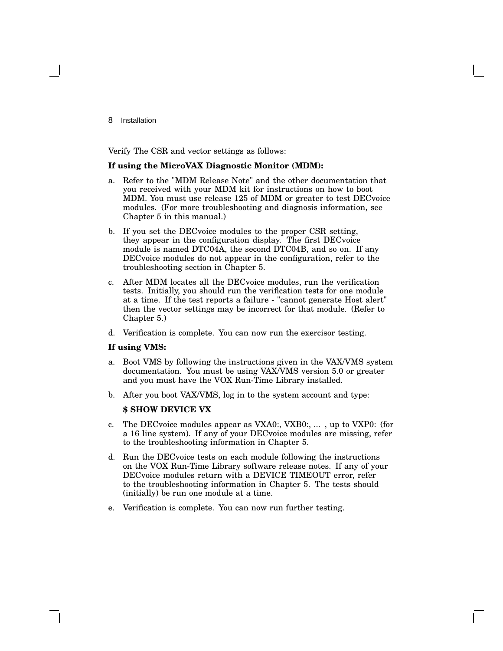Verify The CSR and vector settings as follows:

#### **If using the MicroVAX Diagnostic Monitor (MDM):**

- a. Refer to the "MDM Release Note" and the other documentation that you received with your MDM kit for instructions on how to boot MDM. You must use release 125 of MDM or greater to test DECvoice modules. (For more troubleshooting and diagnosis information, see Chapter 5 in this manual.)
- b. If you set the DECvoice modules to the proper CSR setting, they appear in the configuration display. The first DECvoice module is named DTC04A, the second DTC04B, and so on. If any DECvoice modules do not appear in the configuration, refer to the troubleshooting section in Chapter 5.
- c. After MDM locates all the DECvoice modules, run the verification tests. Initially, you should run the verification tests for one module at a time. If the test reports a failure - "cannot generate Host alert" then the vector settings may be incorrect for that module. (Refer to Chapter 5.)
- d. Verification is complete. You can now run the exercisor testing.

#### **If using VMS:**

- a. Boot VMS by following the instructions given in the VAX/VMS system documentation. You must be using VAX/VMS version 5.0 or greater and you must have the VOX Run-Time Library installed.
- b. After you boot VAX/VMS, log in to the system account and type:

#### **\$ SHOW DEVICE VX**

- c. The DECvoice modules appear as VXA0:, VXB0:, ... , up to VXP0: (for a 16 line system). If any of your DECvoice modules are missing, refer to the troubleshooting information in Chapter 5.
- d. Run the DECvoice tests on each module following the instructions on the VOX Run-Time Library software release notes. If any of your DECvoice modules return with a DEVICE TIMEOUT error, refer to the troubleshooting information in Chapter 5. The tests should (initially) be run one module at a time.
- e. Verification is complete. You can now run further testing.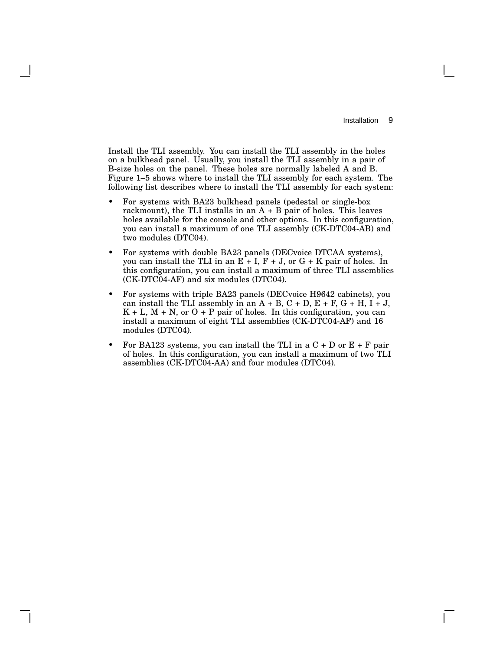Install the TLI assembly. You can install the TLI assembly in the holes on a bulkhead panel. Usually, you install the TLI assembly in a pair of B-size holes on the panel. These holes are normally labeled A and B. Figure 1–5 shows where to install the TLI assembly for each system. The following list describes where to install the TLI assembly for each system:

- For systems with BA23 bulkhead panels (pedestal or single-box rackmount), the TLI installs in an  $A + B$  pair of holes. This leaves holes available for the console and other options. In this configuration, you can install a maximum of one TLI assembly (CK-DTC04-AB) and two modules (DTC04).
- For systems with double BA23 panels (DECvoice DTCAA systems), you can install the TLI in an  $E + I$ ,  $F + J$ , or  $G + K$  pair of holes. In this configuration, you can install a maximum of three TLI assemblies (CK-DTC04-AF) and six modules (DTC04).
- For systems with triple BA23 panels (DECvoice H9642 cabinets), you can install the TLI assembly in an  $A + B$ ,  $C + D$ ,  $E + F$ ,  $G + H$ ,  $I + J$ ,  $K + L$ ,  $M + N$ , or  $O + P$  pair of holes. In this configuration, you can install a maximum of eight TLI assemblies (CK-DTC04-AF) and 16 modules (DTC04).
- For BA123 systems, you can install the TLI in a  $C + D$  or  $E + F$  pair of holes. In this configuration, you can install a maximum of two TLI assemblies (CK-DTC04-AA) and four modules (DTC04).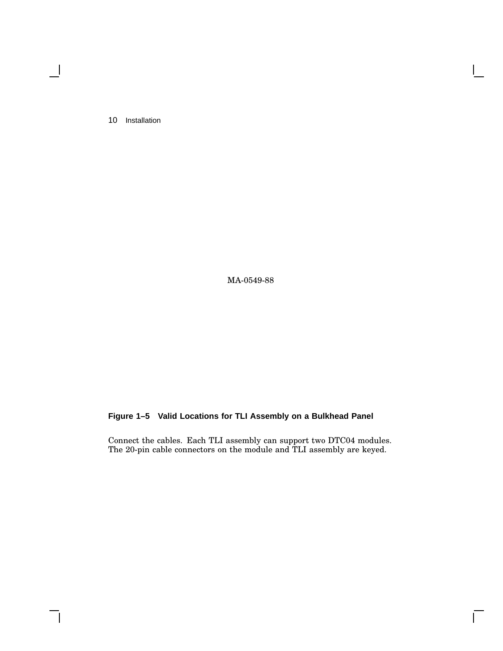$\blacksquare$ 

MA-0549-88

### **Figure 1–5 Valid Locations for TLI Assembly on a Bulkhead Panel**

Connect the cables. Each TLI assembly can support two DTC04 modules. The 20-pin cable connectors on the module and TLI assembly are keyed.

Г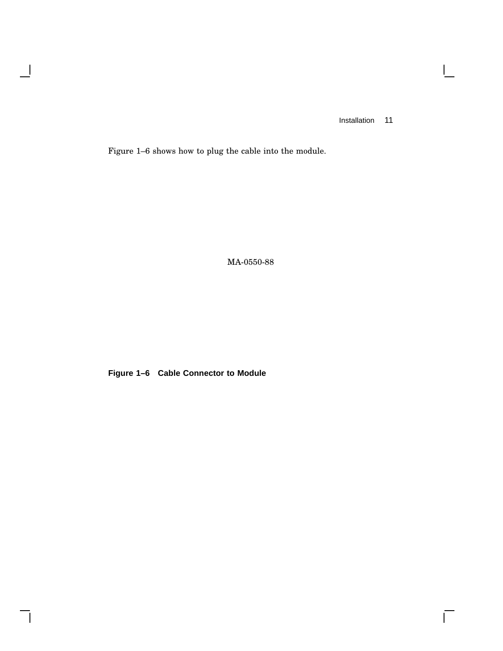$\mathbf{L}$ 

 $\overline{\Gamma}$ 

Figure 1–6 shows how to plug the cable into the module.

 $\overline{\phantom{a}}$ 

 $\mathsf{l}$ 

MA-0550-88

**Figure 1–6 Cable Connector to Module**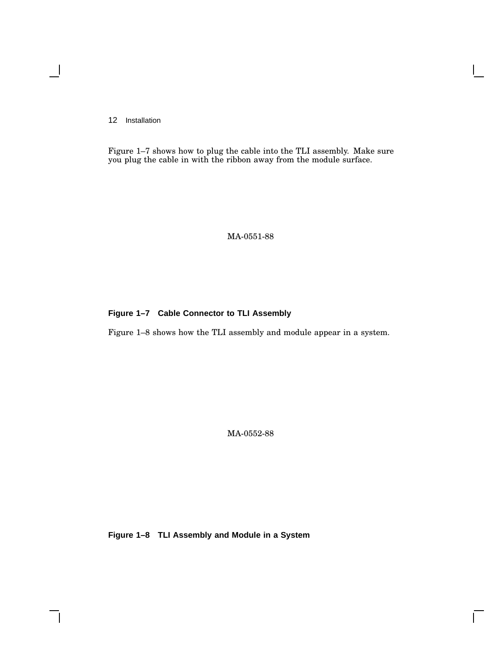Figure 1–7 shows how to plug the cable into the TLI assembly. Make sure you plug the cable in with the ribbon away from the module surface.

MA-0551-88

#### **Figure 1–7 Cable Connector to TLI Assembly**

Figure 1–8 shows how the TLI assembly and module appear in a system.

MA-0552-88

 $\mathsf{L}$ 

**Figure 1–8 TLI Assembly and Module in a System**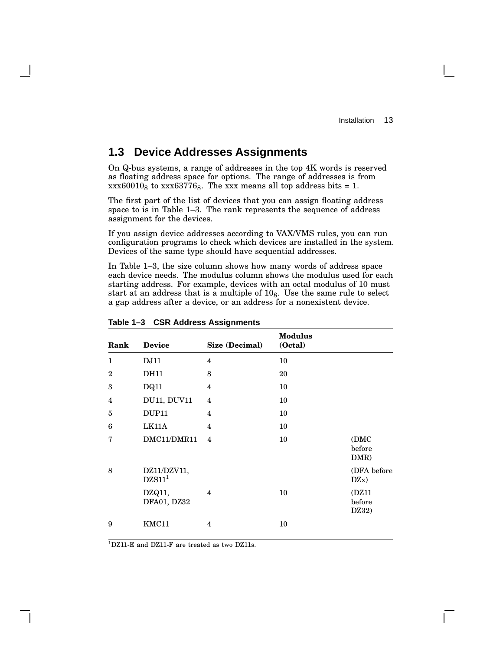## **1.3 Device Addresses Assignments**

On Q-bus systems, a range of addresses in the top 4K words is reserved as floating address space for options. The range of addresses is from  $xxxx60010<sub>8</sub>$  to  $xxx63776<sub>8</sub>$ . The xxx means all top address bits = 1.

The first part of the list of devices that you can assign floating address space to is in Table 1–3. The rank represents the sequence of address assignment for the devices.

If you assign device addresses according to VAX/VMS rules, you can run configuration programs to check which devices are installed in the system. Devices of the same type should have sequential addresses.

In Table 1–3, the size column shows how many words of address space each device needs. The modulus column shows the modulus used for each starting address. For example, devices with an octal modulus of 10 must start at an address that is a multiple of  $10<sub>8</sub>$ . Use the same rule to select a gap address after a device, or an address for a nonexistent device.

| Rank         | <b>Device</b>                     | Size (Decimal) | <b>Modulus</b><br>(Octal) |                          |
|--------------|-----------------------------------|----------------|---------------------------|--------------------------|
| $\mathbf{1}$ | DJ11                              | $\overline{4}$ | 10                        |                          |
| $\mathbf{2}$ | <b>DH11</b>                       | 8              | 20                        |                          |
| 3            | DQ11                              | $\overline{4}$ | 10                        |                          |
| 4            | <b>DU11, DUV11</b>                | $\overline{4}$ | 10                        |                          |
| 5            | DUP <sub>11</sub>                 | $\overline{4}$ | 10                        |                          |
| 6            | LK11A                             | 4              | 10                        |                          |
| 7            | DMC11/DMR11                       | $\overline{4}$ | 10                        | (DMC<br>before<br>DMR)   |
| 8            | DZ11/DZV11,<br>DZS11 <sup>1</sup> |                |                           | (DFA before<br>DZx)      |
|              | DZQ11,<br>DFA01, DZ32             | 4              | 10                        | (DZ11<br>before<br>DZ32) |
| 9            | KMC11                             | 4              | 10                        |                          |

**Table 1–3 CSR Address Assignments**

<sup>1</sup>DZ11-E and DZ11-F are treated as two DZ11s.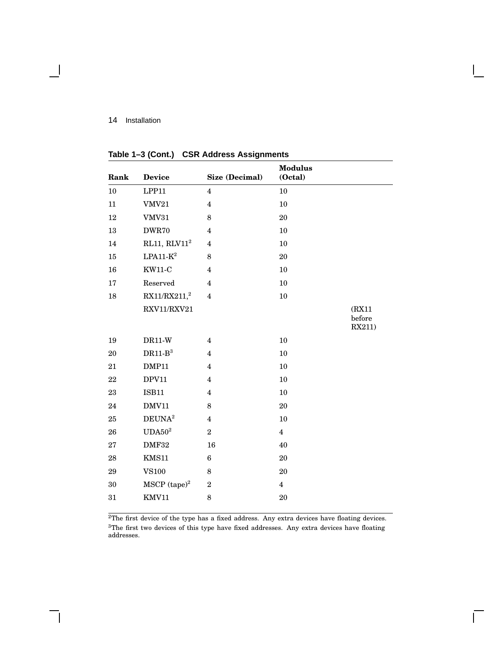| Rank | <b>Device</b>              | Size (Decimal)   | <b>Modulus</b><br>(Octal) |                            |
|------|----------------------------|------------------|---------------------------|----------------------------|
| 10   | LPP11                      | $\overline{4}$   | 10                        |                            |
| 11   | <b>VMV21</b>               | $\overline{4}$   | 10                        |                            |
| 12   | VMV31                      | 8                | 20                        |                            |
| 13   | DWR70                      | $\overline{4}$   | 10                        |                            |
| 14   | RL11, $RLV112$             | $\overline{4}$   | 10                        |                            |
| 15   | $LPA11-K^2$                | 8                | 20                        |                            |
| 16   | <b>KW11-C</b>              | $\overline{4}$   | 10                        |                            |
| 17   | Reserved                   | $\overline{4}$   | 10                        |                            |
| 18   | RX11/RX211 <sup>2</sup>    | $\overline{4}$   | $10\,$                    |                            |
|      | RXV11/RXV21                |                  |                           | (RX11)<br>before<br>RX211) |
| 19   | $DR11-W$                   | $\overline{4}$   | 10                        |                            |
| 20   | $DR11-B^3$                 | $\overline{4}$   | 10                        |                            |
| 21   | DMP11                      | $\overline{4}$   | 10                        |                            |
| 22   | DPV11                      | $\overline{4}$   | 10                        |                            |
| 23   | <b>ISB11</b>               | $\overline{4}$   | 10                        |                            |
| 24   | DMV11                      | 8                | 20                        |                            |
| 25   | DEUNA <sup>2</sup>         | $\overline{4}$   | 10                        |                            |
| 26   | UDA50 <sup>2</sup>         | $\overline{2}$   | $\overline{4}$            |                            |
| 27   | DMF32                      | 16               | 40                        |                            |
| 28   | KMS11                      | $\bf 6$          | 20                        |                            |
| 29   | <b>VS100</b>               | 8                | 20                        |                            |
| 30   | $MSCP$ (tape) <sup>2</sup> | $\boldsymbol{2}$ | $\overline{\mathbf{4}}$   |                            |
| 31   | KMV11                      | 8                | 20                        |                            |
|      |                            |                  |                           |                            |

**Table 1–3 (Cont.) CSR Address Assignments**

<sup>2</sup>The first device of the type has a fixed address. Any extra devices have floating devices. The first two devices of this type have fixed addresses. Any extra devices have floating addresses.

 $\overline{\Gamma}$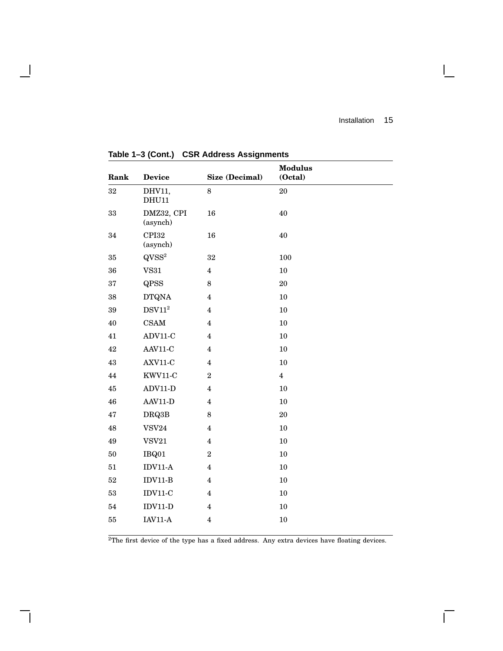$\mathbb{R}^n$ 

 $\overline{\Gamma}$ 

| Rank   | <b>Device</b>                        | Size (Decimal)          | <b>Modulus</b><br>(Octal) |  |
|--------|--------------------------------------|-------------------------|---------------------------|--|
| 32     | DHV11,<br><b>DHU11</b>               | $\,8\,$                 | $20\,$                    |  |
| 33     | DMZ32, CPI<br>(asynch)               | 16                      | 40                        |  |
| 34     | CPI32<br>(asynch)                    | 16                      | 40                        |  |
| 35     | $QVSS^2$                             | $32\,$                  | 100                       |  |
| 36     | VSS1                                 | $\overline{\mathbf{4}}$ | 10                        |  |
| 37     | QPSS                                 | $\,8\,$                 | $20\,$                    |  |
| 38     | <b>DTQNA</b>                         | $\overline{4}$          | 10                        |  |
| 39     | $\mathrm{DSV11}^2$                   | $\overline{\mathbf{4}}$ | 10                        |  |
| $40\,$ | CSAM                                 | $\overline{4}$          | 10                        |  |
| 41     | ADV11-C                              | $\overline{\mathbf{4}}$ | 10                        |  |
| 42     | AAV11-C                              | $\overline{\mathbf{4}}$ | 10                        |  |
| 43     | AXV11-C                              | $\overline{4}$          | 10                        |  |
| 44     | KWV11-C                              | $\sqrt{2}$              | $\overline{\mathbf{4}}$   |  |
| 45     | $ADV11-D$                            | $\overline{4}$          | 10                        |  |
| 46     | AAV11-D                              | $\overline{\mathbf{4}}$ | 10                        |  |
| 47     | DRQ3B                                | $\,8\,$                 | 20                        |  |
| 48     | $\ensuremath{\mathsf{VSV24}}\xspace$ | $\overline{\mathbf{4}}$ | 10                        |  |
| 49     | VSV21                                | $\overline{\mathbf{4}}$ | 10                        |  |
| 50     | IBQ01                                | $\sqrt{2}$              | 10                        |  |
| 51     | $IDV11-A$                            | $\overline{\mathbf{4}}$ | 10                        |  |
| 52     | $IDV11-B$                            | $\overline{4}$          | 10                        |  |
| 53     | $IDV11-C$                            | $\overline{4}$          | 10                        |  |
| 54     | $IDV11-D$                            | $\overline{\mathbf{4}}$ | 10                        |  |
| $55\,$ | $IAV11-A$                            | $\overline{\mathbf{4}}$ | $10\,$                    |  |

**Table 1–3 (Cont.) CSR Address Assignments**

 $\overline{\phantom{a}}$ 

 $\mathsf{l}$ 

<sup>2</sup>The first device of the type has a fixed address. Any extra devices have floating devices.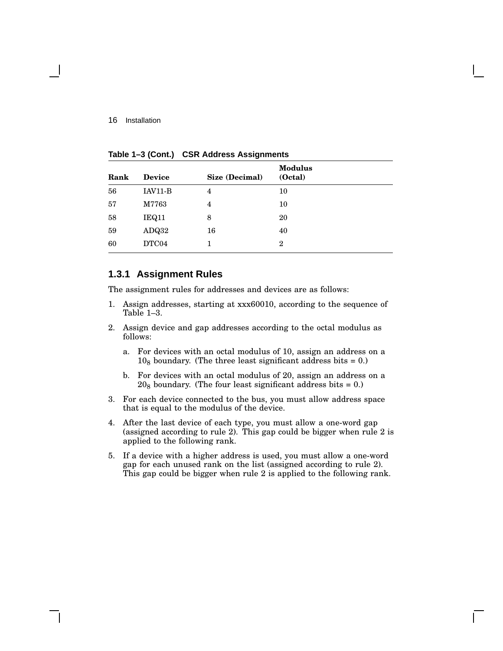|    | 10             |
|----|----------------|
| 4  | 10             |
| 8  | 20             |
| 16 | 40             |
|    | $\overline{2}$ |
|    | 4              |

**Table 1–3 (Cont.) CSR Address Assignments**

#### **1.3.1 Assignment Rules**

The assignment rules for addresses and devices are as follows:

- 1. Assign addresses, starting at xxx60010, according to the sequence of Table 1–3.
- 2. Assign device and gap addresses according to the octal modulus as follows:
	- a. For devices with an octal modulus of 10, assign an address on a  $10<sub>8</sub>$  boundary. (The three least significant address bits = 0.)
	- b. For devices with an octal modulus of 20, assign an address on a  $20<sub>8</sub>$  boundary. (The four least significant address bits = 0.)
- 3. For each device connected to the bus, you must allow address space that is equal to the modulus of the device.
- 4. After the last device of each type, you must allow a one-word gap (assigned according to rule 2). This gap could be bigger when rule 2 is applied to the following rank.
- 5. If a device with a higher address is used, you must allow a one-word gap for each unused rank on the list (assigned according to rule 2). This gap could be bigger when rule 2 is applied to the following rank.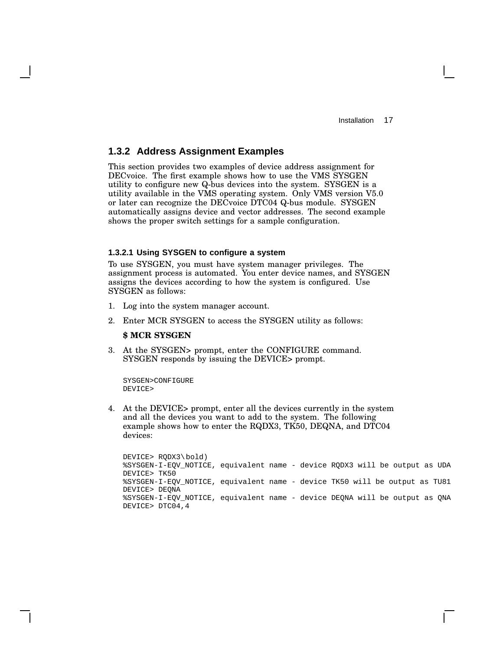#### **1.3.2 Address Assignment Examples**

This section provides two examples of device address assignment for DECvoice. The first example shows how to use the VMS SYSGEN utility to configure new Q-bus devices into the system. SYSGEN is a utility available in the VMS operating system. Only VMS version V5.0 or later can recognize the DECvoice DTC04 Q-bus module. SYSGEN automatically assigns device and vector addresses. The second example shows the proper switch settings for a sample configuration.

#### **1.3.2.1 Using SYSGEN to configure a system**

To use SYSGEN, you must have system manager privileges. The assignment process is automated. You enter device names, and SYSGEN assigns the devices according to how the system is configured. Use SYSGEN as follows:

- 1. Log into the system manager account.
- 2. Enter MCR SYSGEN to access the SYSGEN utility as follows:

#### **\$ MCR SYSGEN**

3. At the SYSGEN> prompt, enter the CONFIGURE command. SYSGEN responds by issuing the DEVICE> prompt.

```
SYSGEN>CONFIGURE
DEVICE>
```
4. At the DEVICE> prompt, enter all the devices currently in the system and all the devices you want to add to the system. The following example shows how to enter the RQDX3, TK50, DEQNA, and DTC04 devices:

```
DEVICE> RQDX3\bold)
%SYSGEN-I-EQV_NOTICE, equivalent name - device RQDX3 will be output as UDA
DEVICE> TK50
%SYSGEN-I-EQV_NOTICE, equivalent name - device TK50 will be output as TU81
DEVICE> DEQNA
%SYSGEN-I-EQV_NOTICE, equivalent name - device DEQNA will be output as QNA
DEVICE> DTC04,4
```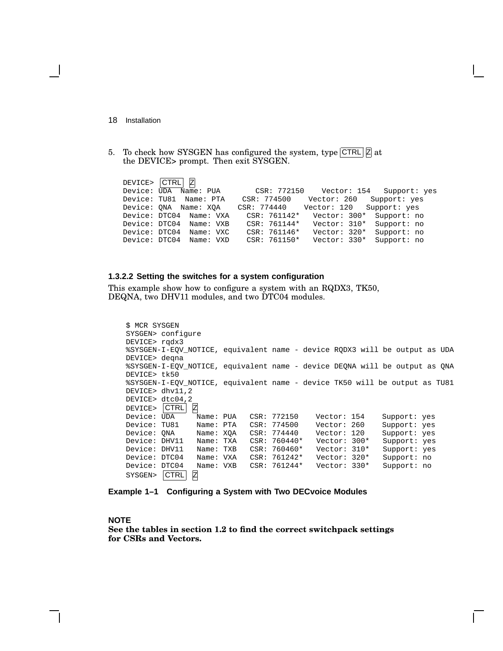- 18 Installation
- 5. To check how SYSGEN has configured the system, type  $\text{CTRL}|\mathbb{Z}|\text{at}$ the DEVICE> prompt. Then exit SYSGEN.

|               | DEVICE> CTRL Z          |           |                |                                      |              |  |
|---------------|-------------------------|-----------|----------------|--------------------------------------|--------------|--|
| Device: UDA   |                         | Name: PUA |                | CSR: 772150    Vector: 154           | Support: yes |  |
|               | Device: TU81 Name: PTA  |           |                | CSR: 774500 Vector: 260 Support: yes |              |  |
|               | Device: ONA Name: XOA   |           |                | CSR: 774440    Vector: 120           | Support: yes |  |
|               | Device: DTC04 Name: VXA |           | CSR: 761142*   | Vector: 300*                         | Support: no  |  |
|               | Device: DTC04 Name: VXB |           | $CSR: 761144*$ | Vector: 310*                         | Support: no  |  |
| Device: DTC04 |                         | Name: VXC | CSR: 761146*   | Vector: 320*                         | Support: no  |  |
| Device: DTC04 |                         | Name: VXD | CSR: 761150*   | Vector: 330*                         | Support: no  |  |

#### **1.3.2.2 Setting the switches for a system configuration**

This example show how to configure a system with an RQDX3, TK50, DEQNA, two DHV11 modules, and two DTC04 modules.

```
$ MCR SYSGEN
SYSGEN> configure
DEVICE> rqdx3
%SYSGEN-I-EQV_NOTICE, equivalent name - device RQDX3 will be output as UDA
DEVICE> deqna
%SYSGEN-I-EQV_NOTICE, equivalent name - device DEQNA will be output as QNA
DEVICE> tk50
%SYSGEN-I-EQV_NOTICE, equivalent name - device TK50 will be output as TU81
DEVICE> dhv11,2
DEVICE> dtc04,2
DEVICE> CTRL Z<br>Device: UDA M
                 Name: PUA CSR: 772150 Vector: 154 Support: yes
Device: TU81 Name: PTA CSR: 774500 Vector: 260 Support: yes<br>Device: QNA Name: XQA CSR: 774440 Vector: 120 Support: yes
Device: QNA Name: XQA CSR: 774440 Vector: 120 Support: yes
                Name: TXA CSR: 760440* Vector: 300*<br>Name: TXB CSR: 760460* Vector: 310*
Device: DHV11 Name: TXB CSR: 760460* Vector: 310* Support: yes
Device: DTC04 Name: VXA CSR: 761242* Vector: 320* Support: no
Device: DTC04 Name: VXB CSR: 761244* Vector: 330* Support: no
SYSGEN> CTRL Z
```
**Example 1–1 Configuring a System with Two DECvoice Modules**

#### **NOTE**

**See the tables in section 1.2 to find the correct switchpack settings for CSRs and Vectors.**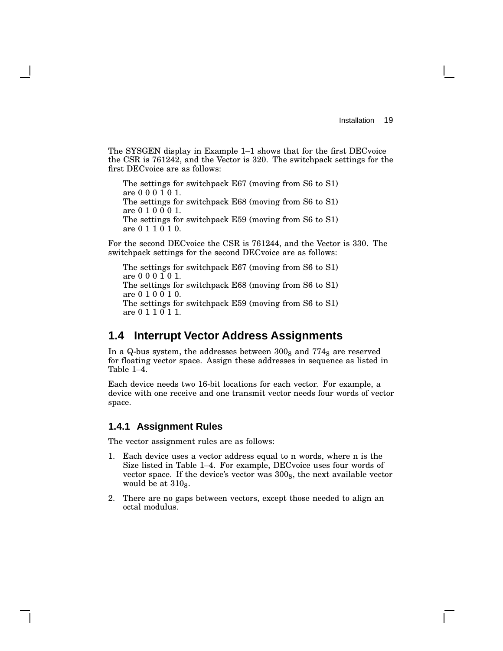The SYSGEN display in Example 1–1 shows that for the first DECvoice the CSR is 761242, and the Vector is 320. The switchpack settings for the first DECvoice are as follows:

The settings for switchpack E67 (moving from S6 to S1) are 0 0 0 1 0 1. The settings for switchpack E68 (moving from S6 to S1) are 0 1 0 0 0 1. The settings for switchpack E59 (moving from S6 to S1) are 0 1 1 0 1 0.

For the second DECvoice the CSR is 761244, and the Vector is 330. The switchpack settings for the second DECvoice are as follows:

The settings for switchpack E67 (moving from S6 to S1) are 0 0 0 1 0 1. The settings for switchpack E68 (moving from S6 to S1) are 0 1 0 0 1 0. The settings for switchpack E59 (moving from S6 to S1) are 0 1 1 0 1 1.

### **1.4 Interrupt Vector Address Assignments**

In a Q-bus system, the addresses between  $300<sub>8</sub>$  and  $774<sub>8</sub>$  are reserved for floating vector space. Assign these addresses in sequence as listed in Table 1–4.

Each device needs two 16-bit locations for each vector. For example, a device with one receive and one transmit vector needs four words of vector space.

#### **1.4.1 Assignment Rules**

The vector assignment rules are as follows:

- 1. Each device uses a vector address equal to n words, where n is the Size listed in Table 1–4. For example, DECvoice uses four words of vector space. If the device's vector was  $300<sub>8</sub>$ , the next available vector would be at  $310_8$ .
- 2. There are no gaps between vectors, except those needed to align an octal modulus.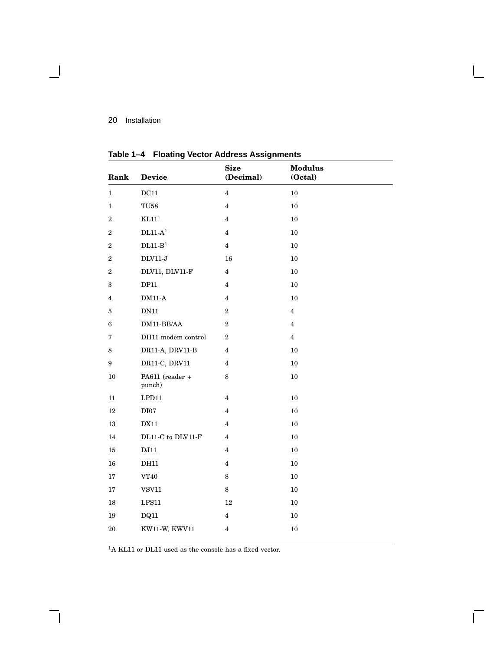$\blacksquare$ 

| Rank                    | <b>Device</b>                               | <b>Size</b><br>(Decimal) | <b>Modulus</b><br>(Octal) |  |
|-------------------------|---------------------------------------------|--------------------------|---------------------------|--|
| $\mathbf{1}$            | $\rm DC11$                                  | $\overline{\mathbf{4}}$  | 10                        |  |
| $\mathbf{1}$            | ${\rm T} {\rm U} 58$                        | $\overline{\mathbf{4}}$  | $10\,$                    |  |
| $\overline{2}$          | KL11 <sup>1</sup>                           | $\overline{\mathbf{4}}$  | 10                        |  |
| $\overline{2}$          | $\rm DL11\text{-}A^1$                       | $\overline{\mathbf{4}}$  | 10                        |  |
| $\boldsymbol{2}$        | $\rm DL11\hbox{-}B^1$                       | $\overline{4}$           | 10                        |  |
| $\boldsymbol{2}$        | $\rm{DLV11-J}$                              | 16                       | 10                        |  |
| $\overline{2}$          | DLV11, DLV11-F                              | $\overline{\mathbf{4}}$  | 10                        |  |
| 3                       | DP11                                        | $\overline{4}$           | $10\,$                    |  |
| $\overline{\mathbf{4}}$ | $\rm DM11\text{-}A$                         | $\overline{\mathbf{4}}$  | $10\,$                    |  |
| 5                       | $\rm DN11$                                  | $\boldsymbol{2}$         | $\overline{4}$            |  |
| $\bf 6$                 | $\rm DM11\text{-}BB/AA$                     | $\,2$                    | $\overline{\mathbf{4}}$   |  |
| 7                       | DH11 modem control                          | $\overline{2}$           | $\overline{4}$            |  |
| 8                       | DR11-A, DRV11-B                             | $\overline{\mathbf{4}}$  | $10\,$                    |  |
| 9                       | DR11-C, DRV11                               | $\overline{4}$           | $10\,$                    |  |
| 10                      | PA611 (reader +<br>punch)                   | 8                        | $10\,$                    |  |
| 11                      | LPD11                                       | $\overline{\mathbf{4}}$  | 10                        |  |
| 12                      | DI07                                        | $\overline{4}$           | 10                        |  |
| 13                      | <b>DX11</b>                                 | $\overline{\mathbf{4}}$  | 10                        |  |
| 14                      | $\rm DL11\text{-}C$ to $\rm DLV11\text{-}F$ | $\overline{4}$           | $10\,$                    |  |
| 15                      | $\rm{DJ11}$                                 | $\overline{\mathbf{4}}$  | 10                        |  |
| 16                      | <b>DH11</b>                                 | $\overline{\mathbf{4}}$  | $10\,$                    |  |
| 17                      | VT40                                        | $\,8\,$                  | 10                        |  |
| 17                      | ${\tt VSV11}$                               | $\,8\,$                  | $10\,$                    |  |
| 18                      | $\operatorname{LPS11}$                      | $12\,$                   | 10                        |  |
| 19                      | DQ11                                        | 4                        | 10                        |  |
| 20                      | KW11-W, KWV11                               | $\overline{\mathbf{4}}$  | 10                        |  |

 $\bar{\Gamma}$ 

**Table 1–4 Floating Vector Address Assignments**

 $^{\rm 1}{\rm A}$  KL11 or DL11 used as the console has a fixed vector.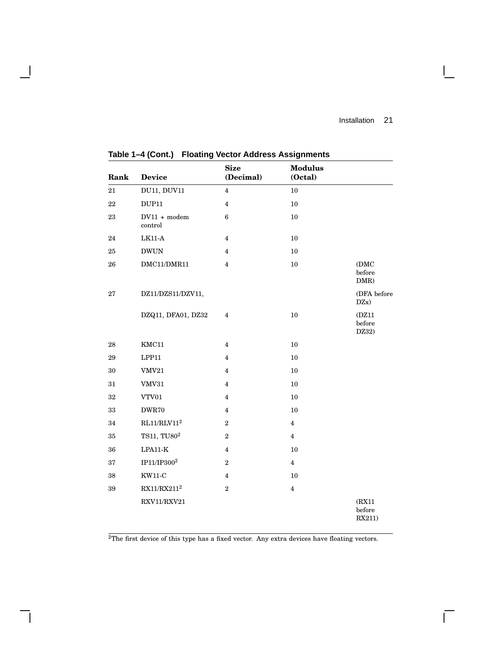$\overline{\Gamma}$ 

| Rank   | <b>Device</b>             | <b>Size</b><br>(Decimal) | <b>Modulus</b><br>(Octal) |                            |
|--------|---------------------------|--------------------------|---------------------------|----------------------------|
| $21\,$ | DU11, DUV11               | $\overline{\mathbf{4}}$  | $10\,$                    |                            |
| 22     | <b>DUP11</b>              | $\overline{4}$           | 10                        |                            |
| 23     | $DV11 + modem$<br>control | $\boldsymbol{6}$         | 10                        |                            |
| 24     | $LK11-A$                  | 4                        | 10                        |                            |
| 25     | <b>DWUN</b>               | 4                        | 10                        |                            |
| 26     | DMC11/DMR11               | $\overline{4}$           | $10\,$                    | (DMC)<br>before<br>DMR)    |
| 27     | DZ11/DZS11/DZV11,         |                          |                           | (DFA before<br>DZx)        |
|        | DZQ11, DFA01, DZ32        | $\overline{\mathbf{4}}$  | 10                        | (DZ11<br>before<br>DZ32)   |
| 28     | KMC11                     | $\overline{4}$           | 10                        |                            |
| 29     | LPP11                     | $\overline{\mathbf{4}}$  | 10                        |                            |
| 30     | VMV21                     | $\overline{\mathbf{4}}$  | $10\,$                    |                            |
| 31     | VMV31                     | $\overline{\mathbf{4}}$  | 10                        |                            |
| 32     | VTV01                     | $\overline{\mathbf{4}}$  | 10                        |                            |
| $33\,$ | DWR70                     | $\overline{\mathbf{4}}$  | 10                        |                            |
| 34     | $\rm RL11/RLV11^{2}$      | $\,2$                    | $\overline{4}$            |                            |
| 35     | TS11, TU80 <sup>2</sup>   | $\boldsymbol{2}$         | $\overline{4}$            |                            |
| 36     | $LPA11-K$                 | $\overline{\mathbf{4}}$  | 10                        |                            |
| 37     | $\rm IP11/IP300^2$        | $\boldsymbol{2}$         | $\overline{4}$            |                            |
| 38     | <b>KW11-C</b>             | 4                        | 10                        |                            |
| 39     | $\rm RX11/RX211^2$        | $\,2$                    | $\overline{\mathbf{4}}$   |                            |
|        | RXV11/RXV21               |                          |                           | (RX11)<br>before<br>RX211) |

**Table 1–4 (Cont.) Floating Vector Address Assignments**

 $\mathbf{I}$ 

H

<sup>2</sup>The first device of this type has a fixed vector. Any extra devices have floating vectors.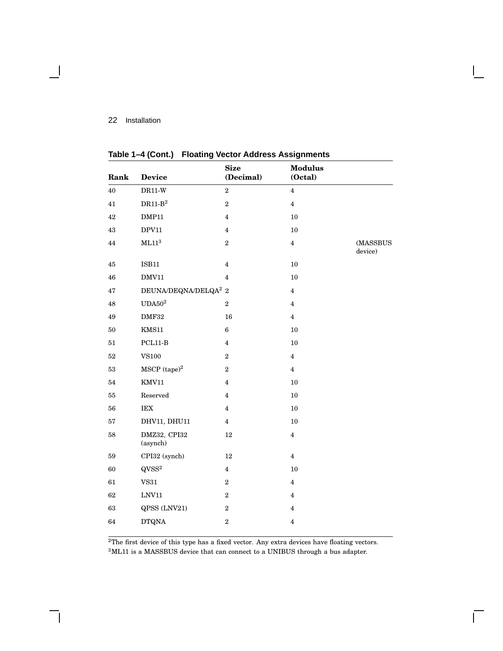- 1

| Rank   | <b>Device</b>                       | <b>Size</b><br>(Decimal) | <b>Modulus</b><br>(Octal) |                     |
|--------|-------------------------------------|--------------------------|---------------------------|---------------------|
| 40     | $DR11-W$                            | $\,2$                    | $\overline{4}$            |                     |
| 41     | $\mathrm{DR11}\text{-}\mathrm{B}^2$ | $\overline{2}$           | $\overline{\mathbf{4}}$   |                     |
| 42     | DMP11                               | $\overline{\mathbf{4}}$  | $10\,$                    |                     |
| 43     | DPV11                               | $\overline{\mathbf{4}}$  | 10                        |                     |
| 44     | ML11 <sup>3</sup>                   | $\,2$                    | $\overline{4}$            | (MASSBUS<br>device) |
| 45     | IBB11                               | $\overline{\mathbf{4}}$  | 10                        |                     |
| 46     | DMV11                               | $\overline{\mathbf{4}}$  | $10\,$                    |                     |
| 47     | DEUNA/DEQNA/DELQA <sup>2</sup> 2    |                          | $\overline{4}$            |                     |
| 48     | $\mathrm{UDA}50^2$                  | $\boldsymbol{2}$         | $\overline{\mathbf{4}}$   |                     |
| 49     | $\rm DMF32$                         | 16                       | $\overline{\mathbf{4}}$   |                     |
| 50     | KMS11                               | $\bf 6$                  | $10\,$                    |                     |
| 51     | $PCL11-B$                           | $\overline{4}$           | $10\,$                    |                     |
| $52\,$ | ${\rm V} {\rm S} 100$               | $\,2$                    | $\overline{\mathbf{4}}$   |                     |
| $53\,$ | $MSCP$ (tape) $^{2}$                | $\,2$                    | $\overline{4}$            |                     |
| 54     | KMV11                               | $\overline{\mathbf{4}}$  | $10\,$                    |                     |
| 55     | Reserved                            | 4                        | $10\,$                    |                     |
| 56     | $\operatorname{IEX}$                | 4                        | 10                        |                     |
| 57     | DHV11, DHU11                        | $\overline{4}$           | $10\,$                    |                     |
| 58     | DMZ32, CPI32<br>(asynch)            | 12                       | $\overline{4}$            |                     |
| 59     | CPI32 (synch)                       | 12                       | $\overline{4}$            |                     |
| 60     | $QVSS^2$                            | $\overline{4}$           | $10\,$                    |                     |
| 61     | ${\tt VS31}$                        | $\,2$                    | $\overline{\mathbf{4}}$   |                     |
| 62     | $\ensuremath{\text{LNV11}}$         | $\boldsymbol{2}$         | $\overline{4}$            |                     |
| 63     | QPSS (LNV21)                        | $\,2$                    | $\overline{4}$            |                     |
| 64     | <b>DTQNA</b>                        | $\,2$                    | $\bf 4$                   |                     |
|        |                                     |                          |                           |                     |

**Table 1–4 (Cont.) Floating Vector Address Assignments**

 ${}^{2}\mathrm{The\ first\ device\ of\ this\ type\ has\ a\ fixed\ vector.}$  Any extra devices have floating vectors.  $^3\rm{ML11}$  is a MASSBUS device that can connect to a UNIBUS through a bus adapter.

 $\overline{\Gamma}$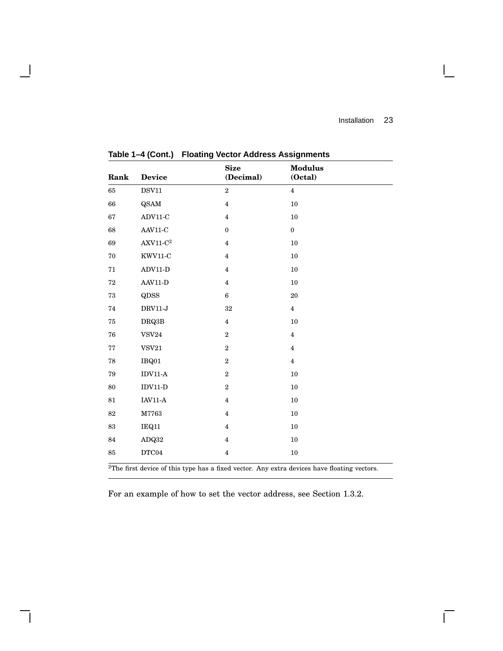$\overline{\Gamma}$ 

| Rank   | <b>Device</b>             | <b>Size</b><br>(Decimal) | <b>Modulus</b><br>(Octal) |
|--------|---------------------------|--------------------------|---------------------------|
| 65     | DSV11                     | $\overline{2}$           | $\overline{4}$            |
| 66     | <b>QSAM</b>               | $\overline{\mathbf{4}}$  | 10                        |
| 67     | $ADV11-C$                 | $\overline{\mathbf{4}}$  | 10                        |
| 68     | $AAV11-C$                 | $\boldsymbol{0}$         | $\boldsymbol{0}$          |
| 69     | $\mbox{AXV11-C}\mbox{^2}$ | $\overline{\mathbf{4}}$  | $10\,$                    |
| 70     | $KWV11-C$                 | $\overline{4}$           | $10\,$                    |
| 71     | $ADV11-D$                 | $\overline{\mathbf{4}}$  | 10                        |
| 72     | $AAV11-D$                 | $\overline{\mathbf{4}}$  | 10                        |
| 73     | QDSS                      | $\bf 6$                  | $20\,$                    |
| 74     | $DRV11-J$                 | $32\,$                   | $\overline{4}$            |
| 75     | DRQ3B                     | $\overline{4}$           | $10\,$                    |
| 76     | <b>VSV24</b>              | $\,2$                    | $\overline{\mathbf{4}}$   |
| 77     | VSV21                     | $\,2$                    | $\overline{4}$            |
| 78     | IBQ01                     | $\,2$                    | $\overline{4}$            |
| 79     | $IDV11-A$                 | $\,2$                    | $10\,$                    |
| 80     | $IDV11-D$                 | $\,2$                    | $10\,$                    |
| 81     | $\text{IAV11-A}$          | $\overline{\mathbf{4}}$  | $10\,$                    |
| $82\,$ | M7763                     | $\overline{\mathbf{4}}$  | 10                        |
| 83     | IEQ11                     | $\overline{\mathbf{4}}$  | $10\,$                    |
| 84     | ADQ32                     | $\overline{4}$           | 10                        |
| 85     | DTC04                     | $\overline{\mathbf{4}}$  | $10\,$                    |

**Table 1–4 (Cont.) Floating Vector Address Assignments**

 $\overline{\phantom{a}}$ 

The first device of this type has a fixed vector. Any extra devices have floating vectors.

For an example of how to set the vector address, see Section 1.3.2.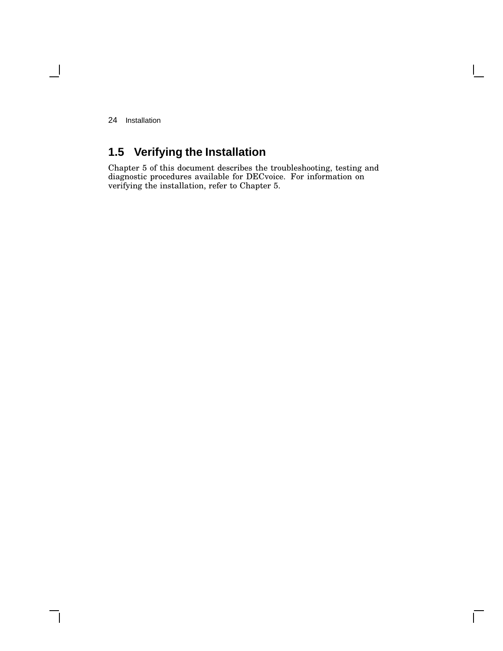$\blacksquare$ 

## **1.5 Verifying the Installation**

Chapter 5 of this document describes the troubleshooting, testing and diagnostic procedures available for DECvoice. For information on verifying the installation, refer to Chapter 5.

 $\Box$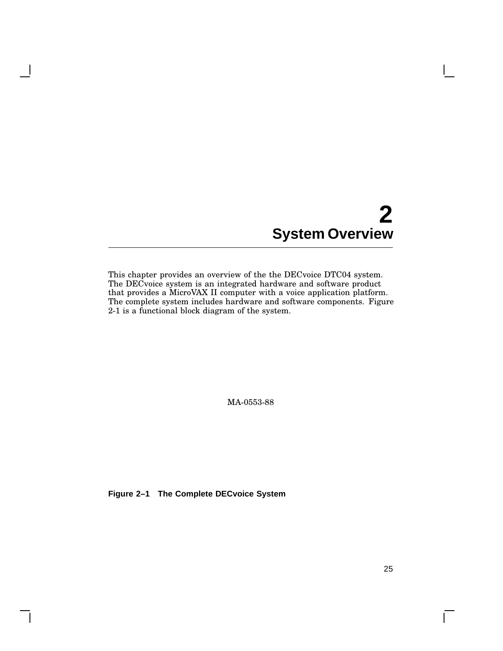# **2 System Overview**

This chapter provides an overview of the the DECvoice DTC04 system. The DECvoice system is an integrated hardware and software product that provides a MicroVAX II computer with a voice application platform. The complete system includes hardware and software components. Figure 2-1 is a functional block diagram of the system.

MA-0553-88

**Figure 2–1 The Complete DECvoice System**

 $\mathsf{L}$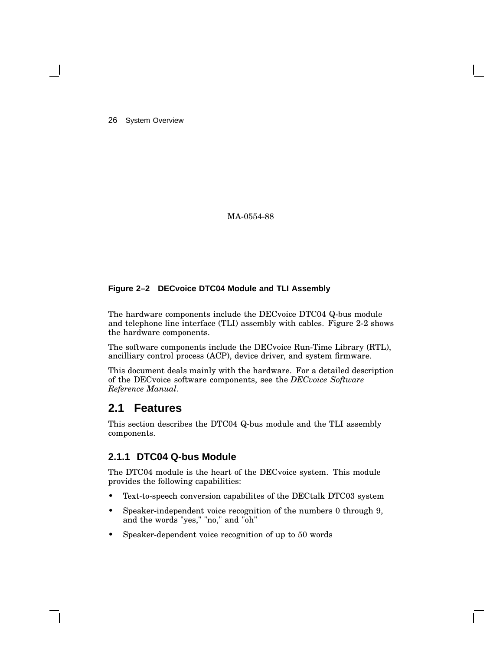26 System Overview

MA-0554-88

#### **Figure 2–2 DECvoice DTC04 Module and TLI Assembly**

The hardware components include the DECvoice DTC04 Q-bus module and telephone line interface (TLI) assembly with cables. Figure 2-2 shows the hardware components.

The software components include the DECvoice Run-Time Library (RTL), ancilliary control process (ACP), device driver, and system firmware.

This document deals mainly with the hardware. For a detailed description of the DECvoice software components, see the *DECvoice Software Reference Manual*.

### **2.1 Features**

This section describes the DTC04 Q-bus module and the TLI assembly components.

#### **2.1.1 DTC04 Q-bus Module**

The DTC04 module is the heart of the DECvoice system. This module provides the following capabilities:

- Text-to-speech conversion capabilites of the DECtalk DTC03 system
- Speaker-independent voice recognition of the numbers 0 through 9, and the words "yes," "no," and "oh"
- Speaker-dependent voice recognition of up to 50 words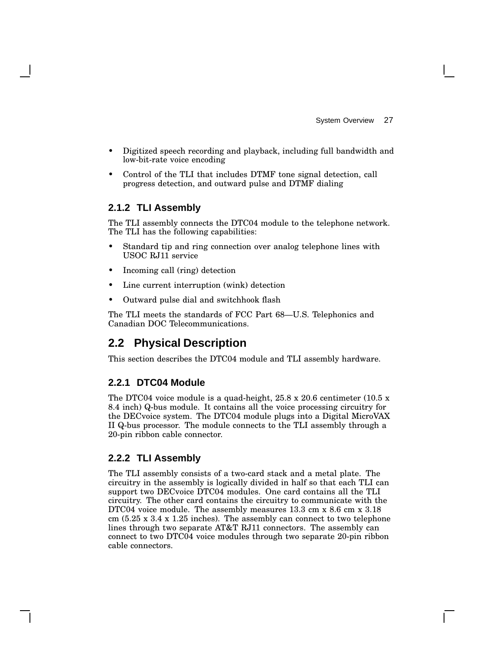- Digitized speech recording and playback, including full bandwidth and low-bit-rate voice encoding
- Control of the TLI that includes DTMF tone signal detection, call progress detection, and outward pulse and DTMF dialing

#### **2.1.2 TLI Assembly**

The TLI assembly connects the DTC04 module to the telephone network. The TLI has the following capabilities:

- Standard tip and ring connection over analog telephone lines with USOC RJ11 service
- Incoming call (ring) detection
- Line current interruption (wink) detection
- Outward pulse dial and switchhook flash

The TLI meets the standards of FCC Part 68—U.S. Telephonics and Canadian DOC Telecommunications.

# **2.2 Physical Description**

This section describes the DTC04 module and TLI assembly hardware.

#### **2.2.1 DTC04 Module**

The DTC04 voice module is a quad-height, 25.8 x 20.6 centimeter (10.5 x 8.4 inch) Q-bus module. It contains all the voice processing circuitry for the DECvoice system. The DTC04 module plugs into a Digital MicroVAX II Q-bus processor. The module connects to the TLI assembly through a 20-pin ribbon cable connector.

#### **2.2.2 TLI Assembly**

The TLI assembly consists of a two-card stack and a metal plate. The circuitry in the assembly is logically divided in half so that each TLI can support two DECvoice DTC04 modules. One card contains all the TLI circuitry. The other card contains the circuitry to communicate with the DTC04 voice module. The assembly measures 13.3 cm x 8.6 cm x 3.18 cm (5.25 x 3.4 x 1.25 inches). The assembly can connect to two telephone lines through two separate AT&T RJ11 connectors. The assembly can connect to two DTC04 voice modules through two separate 20-pin ribbon cable connectors.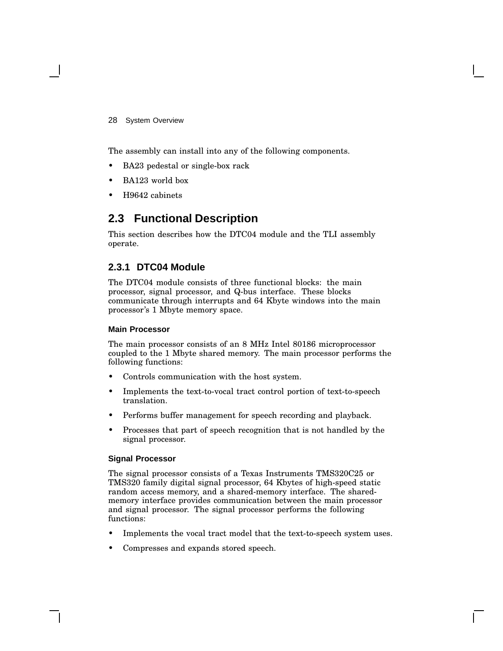28 System Overview

The assembly can install into any of the following components.

- BA23 pedestal or single-box rack
- BA123 world box
- H9642 cabinets

# **2.3 Functional Description**

This section describes how the DTC04 module and the TLI assembly operate.

#### **2.3.1 DTC04 Module**

The DTC04 module consists of three functional blocks: the main processor, signal processor, and Q-bus interface. These blocks communicate through interrupts and 64 Kbyte windows into the main processor's 1 Mbyte memory space.

#### **Main Processor**

The main processor consists of an 8 MHz Intel 80186 microprocessor coupled to the 1 Mbyte shared memory. The main processor performs the following functions:

- Controls communication with the host system.
- Implements the text-to-vocal tract control portion of text-to-speech translation.
- Performs buffer management for speech recording and playback.
- Processes that part of speech recognition that is not handled by the signal processor.

#### **Signal Processor**

The signal processor consists of a Texas Instruments TMS320C25 or TMS320 family digital signal processor, 64 Kbytes of high-speed static random access memory, and a shared-memory interface. The sharedmemory interface provides communication between the main processor and signal processor. The signal processor performs the following functions:

- Implements the vocal tract model that the text-to-speech system uses.
- Compresses and expands stored speech.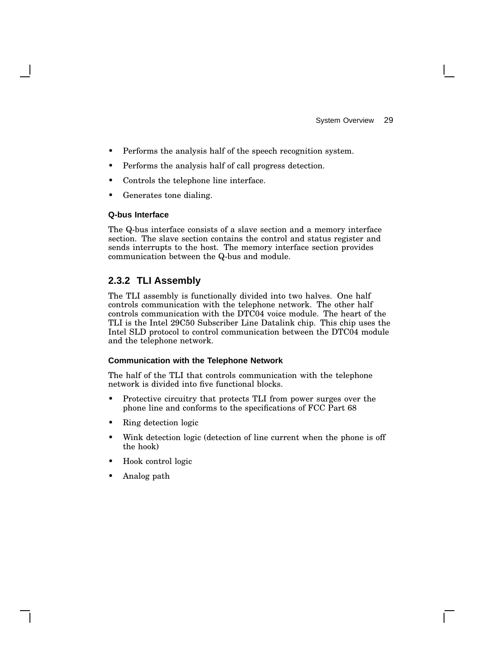- Performs the analysis half of the speech recognition system.
- Performs the analysis half of call progress detection.
- Controls the telephone line interface.
- Generates tone dialing.

#### **Q-bus Interface**

The Q-bus interface consists of a slave section and a memory interface section. The slave section contains the control and status register and sends interrupts to the host. The memory interface section provides communication between the Q-bus and module.

#### **2.3.2 TLI Assembly**

The TLI assembly is functionally divided into two halves. One half controls communication with the telephone network. The other half controls communication with the DTC04 voice module. The heart of the TLI is the Intel 29C50 Subscriber Line Datalink chip. This chip uses the Intel SLD protocol to control communication between the DTC04 module and the telephone network.

#### **Communication with the Telephone Network**

The half of the TLI that controls communication with the telephone network is divided into five functional blocks.

- Protective circuitry that protects TLI from power surges over the phone line and conforms to the specifications of FCC Part 68
- Ring detection logic
- Wink detection logic (detection of line current when the phone is off the hook)
- Hook control logic
- Analog path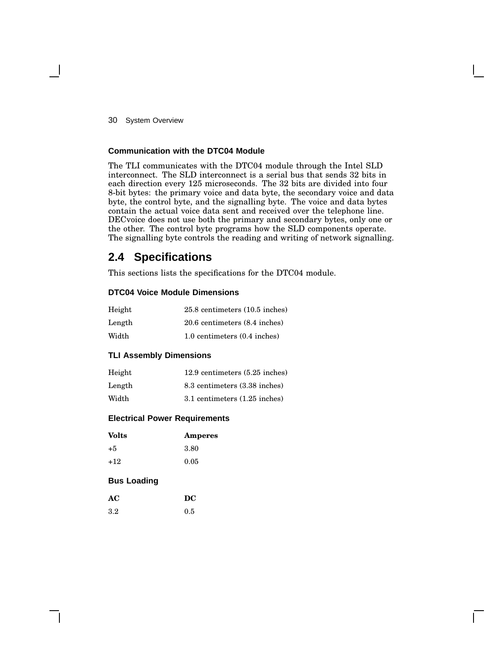30 System Overview

#### **Communication with the DTC04 Module**

The TLI communicates with the DTC04 module through the Intel SLD interconnect. The SLD interconnect is a serial bus that sends 32 bits in each direction every 125 microseconds. The 32 bits are divided into four 8-bit bytes: the primary voice and data byte, the secondary voice and data byte, the control byte, and the signalling byte. The voice and data bytes contain the actual voice data sent and received over the telephone line. DECvoice does not use both the primary and secondary bytes, only one or the other. The control byte programs how the SLD components operate. The signalling byte controls the reading and writing of network signalling.

# **2.4 Specifications**

This sections lists the specifications for the DTC04 module.

#### **DTC04 Voice Module Dimensions**

| Height | $25.8$ centimeters $(10.5$ inches) |
|--------|------------------------------------|
| Length | 20.6 centimeters (8.4 inches)      |
| Width  | 1.0 centimeters (0.4 inches)       |

#### **TLI Assembly Dimensions**

| Height | 12.9 centimeters (5.25 inches)    |
|--------|-----------------------------------|
| Length | 8.3 centimeters (3.38 inches)     |
| Width  | $3.1$ centimeters $(1.25$ inches) |

#### **Electrical Power Requirements**

| <b>Volts</b> | Amperes |
|--------------|---------|
| $+5$         | 3.80    |
| $+12$        | 0.05    |

#### **Bus Loading**

| AC      | DC  |
|---------|-----|
| $3.2\,$ | 0.5 |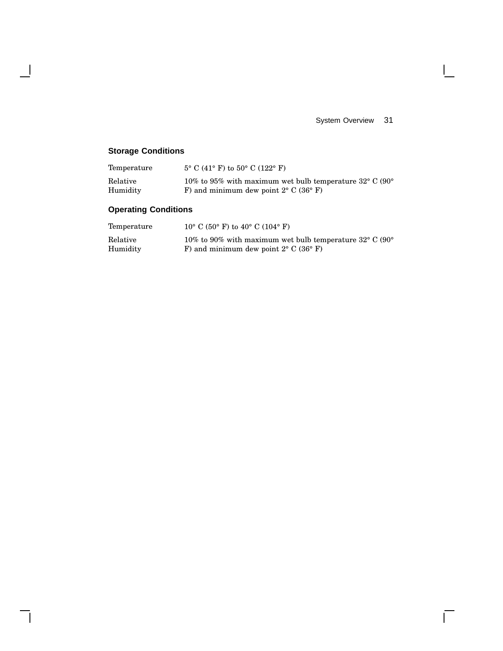System Overview 31

 $\mathbf{I}$ 

 $\overline{\Gamma}$ 

# **Storage Conditions**

 $\overline{\phantom{a}}$ 

 $\mathsf{l}$ 

| Temperature | $5^{\circ}$ C (41° F) to $50^{\circ}$ C (122° F)                             |
|-------------|------------------------------------------------------------------------------|
| Relative    | 10% to 95% with maximum wet bulb temperature $32^{\circ}$ C (90 $^{\circ}$ ) |
| Humidity    | F) and minimum dew point $2^{\circ}$ C (36 $^{\circ}$ F)                     |

# **Operating Conditions**

| Temperature | $10^{\circ}$ C (50° F) to 40° C (104° F)                          |
|-------------|-------------------------------------------------------------------|
| Relative    | 10% to 90% with maximum wet bulb temperature $32^{\circ}$ C (90°) |
| Humidity    | F) and minimum dew point $2^{\circ}$ C (36 $^{\circ}$ F)          |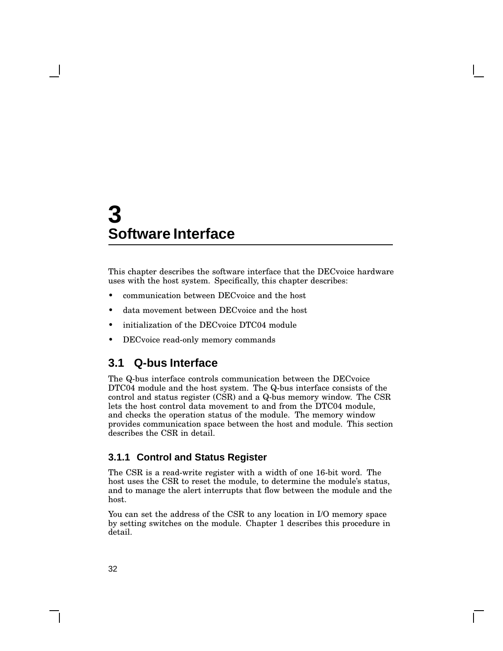This chapter describes the software interface that the DECvoice hardware uses with the host system. Specifically, this chapter describes:

- communication between DECvoice and the host
- data movement between DECvoice and the host
- initialization of the DECvoice DTC04 module
- DECvoice read-only memory commands

# **3.1 Q-bus Interface**

The Q-bus interface controls communication between the DECvoice DTC04 module and the host system. The Q-bus interface consists of the control and status register (CSR) and a Q-bus memory window. The CSR lets the host control data movement to and from the DTC04 module, and checks the operation status of the module. The memory window provides communication space between the host and module. This section describes the CSR in detail.

#### **3.1.1 Control and Status Register**

The CSR is a read-write register with a width of one 16-bit word. The host uses the CSR to reset the module, to determine the module's status, and to manage the alert interrupts that flow between the module and the host.

You can set the address of the CSR to any location in I/O memory space by setting switches on the module. Chapter 1 describes this procedure in detail.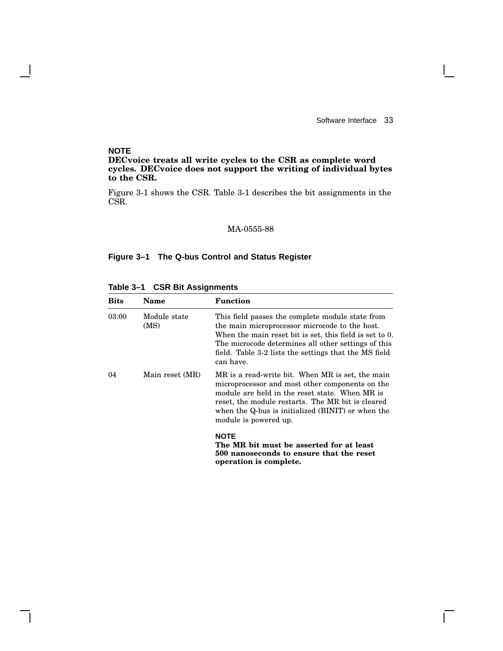$\mathbf{L}$ 

#### **NOTE**

 $\overline{\phantom{a}}$ 

#### **DECvoice treats all write cycles to the CSR as complete word cycles. DECvoice does not support the writing of individual bytes to the CSR.**

Figure 3-1 shows the CSR. Table 3-1 describes the bit assignments in the CSR.

#### MA-0555-88

#### **Figure 3–1 The Q-bus Control and Status Register**

| Bits  | Name                 | Function                                                                                                                                                                                                                                                                                   |
|-------|----------------------|--------------------------------------------------------------------------------------------------------------------------------------------------------------------------------------------------------------------------------------------------------------------------------------------|
| 03:00 | Module state<br>(MS) | This field passes the complete module state from<br>the main microprocessor microcode to the host.<br>When the main reset bit is set, this field is set to 0.<br>The microcode determines all other settings of this<br>field. Table 3-2 lists the settings that the MS field<br>can have. |
| 04    | Main reset (MR)      | MR is a read-write bit. When MR is set, the main<br>microprocessor and most other components on the<br>module are held in the reset state. When MR is<br>reset, the module restarts. The MR bit is cleared<br>when the Q-bus is initialized (BINIT) or when the<br>module is powered up.   |
|       |                      | <b>NOTE</b><br>The MR bit must be asserted for at least<br>500 nanoseconds to ensure that the reset<br>operation is complete.                                                                                                                                                              |

**Table 3–1 CSR Bit Assignments**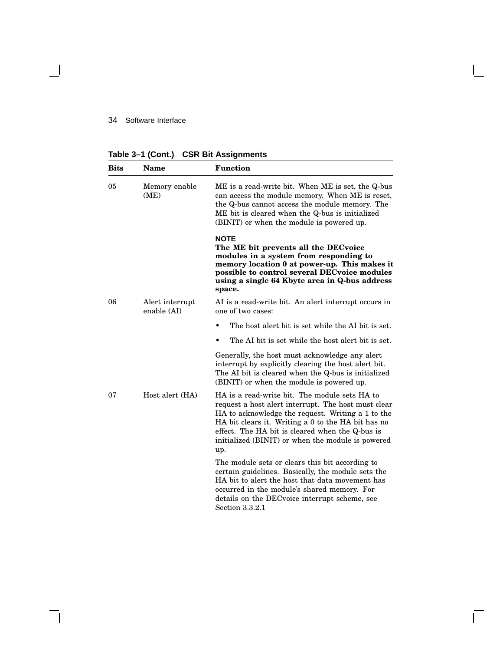$\overline{\phantom{a}}$ 

**Table 3–1 (Cont.) CSR Bit Assignments**

| <b>Bits</b>       | <b>Name</b>           | <b>Function</b>                                                                                                                                                                                                                                                                                                                |
|-------------------|-----------------------|--------------------------------------------------------------------------------------------------------------------------------------------------------------------------------------------------------------------------------------------------------------------------------------------------------------------------------|
| 05                | Memory enable<br>(ME) | ME is a read-write bit. When ME is set, the Q-bus<br>can access the module memory. When ME is reset,<br>the Q-bus cannot access the module memory. The<br>ME bit is cleared when the Q-bus is initialized<br>(BINIT) or when the module is powered up.                                                                         |
|                   |                       | <b>NOTE</b><br>The ME bit prevents all the DECvoice<br>modules in a system from responding to<br>memory location 0 at power-up. This makes it<br>possible to control several DEC voice modules<br>using a single 64 Kbyte area in Q-bus address<br>space.                                                                      |
| 06<br>enable (AI) | Alert interrupt       | AI is a read-write bit. An alert interrupt occurs in<br>one of two cases:                                                                                                                                                                                                                                                      |
|                   |                       | The host alert bit is set while the AI bit is set.<br>$\bullet$                                                                                                                                                                                                                                                                |
|                   |                       | The AI bit is set while the host alert bit is set.                                                                                                                                                                                                                                                                             |
|                   |                       | Generally, the host must acknowledge any alert<br>interrupt by explicitly clearing the host alert bit.<br>The AI bit is cleared when the Q-bus is initialized<br>(BINIT) or when the module is powered up.                                                                                                                     |
| 07                | Host alert (HA)       | HA is a read-write bit. The module sets HA to<br>request a host alert interrupt. The host must clear<br>HA to acknowledge the request. Writing a 1 to the<br>HA bit clears it. Writing a 0 to the HA bit has no<br>effect. The HA bit is cleared when the Q-bus is<br>initialized (BINIT) or when the module is powered<br>up. |
|                   |                       | The module sets or clears this bit according to<br>certain guidelines. Basically, the module sets the<br>HA bit to alert the host that data movement has<br>occurred in the module's shared memory. For<br>details on the DEC voice interrupt scheme, see<br>Section 3.3.2.1                                                   |

Ē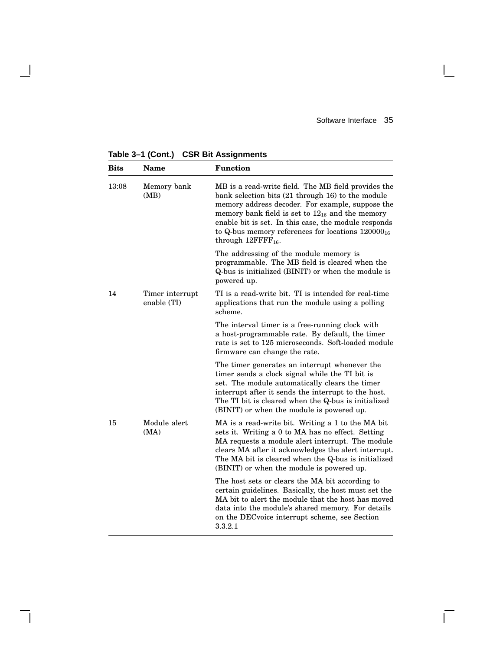**Bits Name Function** 13:08 Memory bank (MB) MB is a read-write field. The MB field provides the bank selection bits (21 through 16) to the module memory address decoder. For example, suppose the memory bank field is set to  $12_{16}$  and the memory enable bit is set. In this case, the module responds to Q-bus memory references for locations  $120000_{16}$ through  $12$ FFFF<sub>16</sub>. The addressing of the module memory is programmable. The MB field is cleared when the Q-bus is initialized (BINIT) or when the module is powered up. 14 Timer interrupt enable (TI) TI is a read-write bit. TI is intended for real-time applications that run the module using a polling scheme. The interval timer is a free-running clock with a host-programmable rate. By default, the timer rate is set to 125 microseconds. Soft-loaded module firmware can change the rate. The timer generates an interrupt whenever the timer sends a clock signal while the TI bit is set. The module automatically clears the timer interrupt after it sends the interrupt to the host. The TI bit is cleared when the Q-bus is initialized (BINIT) or when the module is powered up. 15 Module alert (MA) MA is a read-write bit. Writing a 1 to the MA bit sets it. Writing a 0 to MA has no effect. Setting MA requests a module alert interrupt. The module clears MA after it acknowledges the alert interrupt. The MA bit is cleared when the Q-bus is initialized (BINIT) or when the module is powered up. The host sets or clears the MA bit according to certain guidelines. Basically, the host must set the MA bit to alert the module that the host has moved data into the module's shared memory. For details on the DECvoice interrupt scheme, see Section 3.3.2.1

**Table 3–1 (Cont.) CSR Bit Assignments**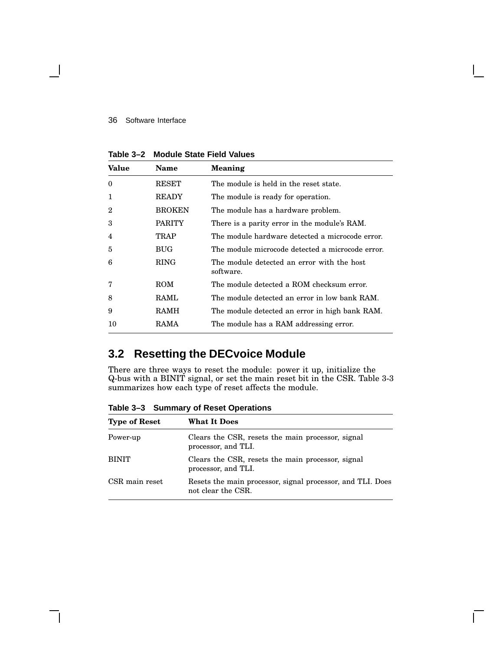| <b>Value</b> | <b>Name</b>   | <b>Meaning</b>                                          |
|--------------|---------------|---------------------------------------------------------|
| $\theta$     | RESET         | The module is held in the reset state.                  |
| $\mathbf{1}$ | <b>READY</b>  | The module is ready for operation.                      |
| $\mathbf 2$  | <b>BROKEN</b> | The module has a hardware problem.                      |
| 3            | <b>PARITY</b> | There is a parity error in the module's RAM.            |
| 4            | <b>TRAP</b>   | The module hardware detected a microcode error.         |
| 5            | BUG           | The module microcode detected a microcode error.        |
| 6            | <b>RING</b>   | The module detected an error with the host<br>software. |
| 7            | ROM           | The module detected a ROM checksum error.               |
| 8            | <b>RAML</b>   | The module detected an error in low bank RAM.           |
| 9            | RAMH          | The module detected an error in high bank RAM.          |
| 10           | RAMA          | The module has a RAM addressing error.                  |

**Table 3–2 Module State Field Values**

# **3.2 Resetting the DECvoice Module**

There are three ways to reset the module: power it up, initialize the Q-bus with a BINIT signal, or set the main reset bit in the CSR. Table 3-3 summarizes how each type of reset affects the module.

**Table 3–3 Summary of Reset Operations**

| <b>Type of Reset</b> | <b>What It Does</b>                                                              |
|----------------------|----------------------------------------------------------------------------------|
| Power-up             | Clears the CSR, resets the main processor, signal<br>processor, and TLI.         |
| <b>BINIT</b>         | Clears the CSR, resets the main processor, signal<br>processor, and TLI.         |
| CSR main reset       | Resets the main processor, signal processor, and TLI. Does<br>not clear the CSR. |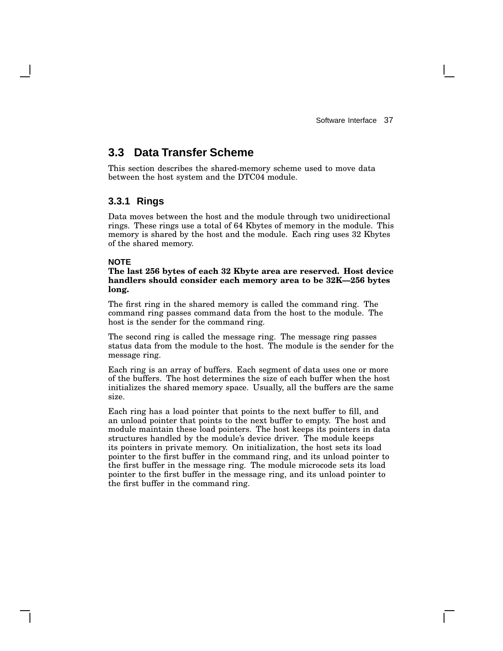# **3.3 Data Transfer Scheme**

This section describes the shared-memory scheme used to move data between the host system and the DTC04 module.

#### **3.3.1 Rings**

Data moves between the host and the module through two unidirectional rings. These rings use a total of 64 Kbytes of memory in the module. This memory is shared by the host and the module. Each ring uses 32 Kbytes of the shared memory.

#### **NOTE**

#### **The last 256 bytes of each 32 Kbyte area are reserved. Host device handlers should consider each memory area to be 32K—256 bytes long.**

The first ring in the shared memory is called the command ring. The command ring passes command data from the host to the module. The host is the sender for the command ring.

The second ring is called the message ring. The message ring passes status data from the module to the host. The module is the sender for the message ring.

Each ring is an array of buffers. Each segment of data uses one or more of the buffers. The host determines the size of each buffer when the host initializes the shared memory space. Usually, all the buffers are the same size.

Each ring has a load pointer that points to the next buffer to fill, and an unload pointer that points to the next buffer to empty. The host and module maintain these load pointers. The host keeps its pointers in data structures handled by the module's device driver. The module keeps its pointers in private memory. On initialization, the host sets its load pointer to the first buffer in the command ring, and its unload pointer to the first buffer in the message ring. The module microcode sets its load pointer to the first buffer in the message ring, and its unload pointer to the first buffer in the command ring.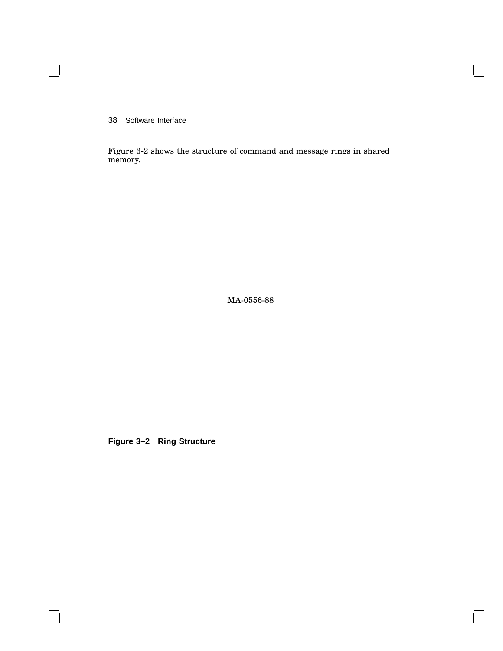$\overline{\phantom{0}}$ 

Figure 3-2 shows the structure of command and message rings in shared memory.

MA-0556-88

 $\overline{\Gamma}$ 

**Figure 3–2 Ring Structure**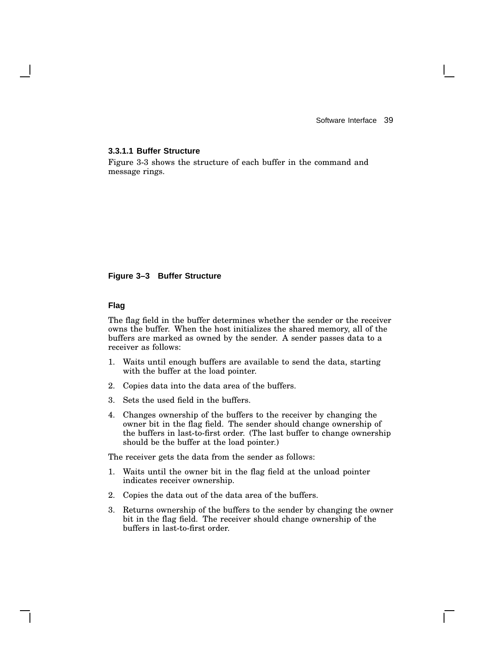#### **3.3.1.1 Buffer Structure**

Figure 3-3 shows the structure of each buffer in the command and message rings.

#### **Figure 3–3 Buffer Structure**

#### **Flag**

The flag field in the buffer determines whether the sender or the receiver owns the buffer. When the host initializes the shared memory, all of the buffers are marked as owned by the sender. A sender passes data to a receiver as follows:

- 1. Waits until enough buffers are available to send the data, starting with the buffer at the load pointer.
- 2. Copies data into the data area of the buffers.
- 3. Sets the used field in the buffers.
- 4. Changes ownership of the buffers to the receiver by changing the owner bit in the flag field. The sender should change ownership of the buffers in last-to-first order. (The last buffer to change ownership should be the buffer at the load pointer.)

The receiver gets the data from the sender as follows:

- 1. Waits until the owner bit in the flag field at the unload pointer indicates receiver ownership.
- 2. Copies the data out of the data area of the buffers.
- 3. Returns ownership of the buffers to the sender by changing the owner bit in the flag field. The receiver should change ownership of the buffers in last-to-first order.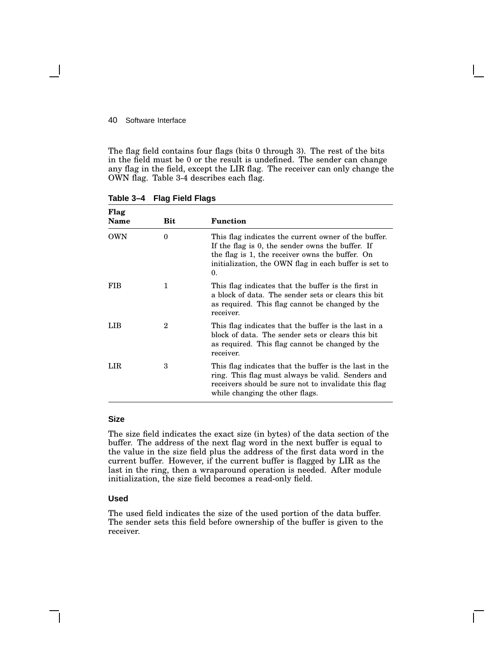The flag field contains four flags (bits 0 through 3). The rest of the bits in the field must be 0 or the result is undefined. The sender can change any flag in the field, except the LIR flag. The receiver can only change the OWN flag. Table 3-4 describes each flag.

| Flag<br><b>Name</b> | Bit | <b>Function</b>                                                                                                                                                                                                            |
|---------------------|-----|----------------------------------------------------------------------------------------------------------------------------------------------------------------------------------------------------------------------------|
| OWN                 | 0   | This flag indicates the current owner of the buffer.<br>If the flag is 0, the sender owns the buffer. If<br>the flag is 1, the receiver owns the buffer. On<br>initialization, the OWN flag in each buffer is set to<br>0. |
| FIB                 | 1   | This flag indicates that the buffer is the first in<br>a block of data. The sender sets or clears this bit<br>as required. This flag cannot be changed by the<br>receiver.                                                 |
| LIB                 | 2   | This flag indicates that the buffer is the last in a<br>block of data. The sender sets or clears this bit<br>as required. This flag cannot be changed by the<br>receiver.                                                  |
| LIR                 | 3   | This flag indicates that the buffer is the last in the<br>ring. This flag must always be valid. Senders and<br>receivers should be sure not to invalidate this flag<br>while changing the other flags.                     |

**Table 3–4 Flag Field Flags**

#### **Size**

The size field indicates the exact size (in bytes) of the data section of the buffer. The address of the next flag word in the next buffer is equal to the value in the size field plus the address of the first data word in the current buffer. However, if the current buffer is flagged by LIR as the last in the ring, then a wraparound operation is needed. After module initialization, the size field becomes a read-only field.

#### **Used**

The used field indicates the size of the used portion of the data buffer. The sender sets this field before ownership of the buffer is given to the receiver.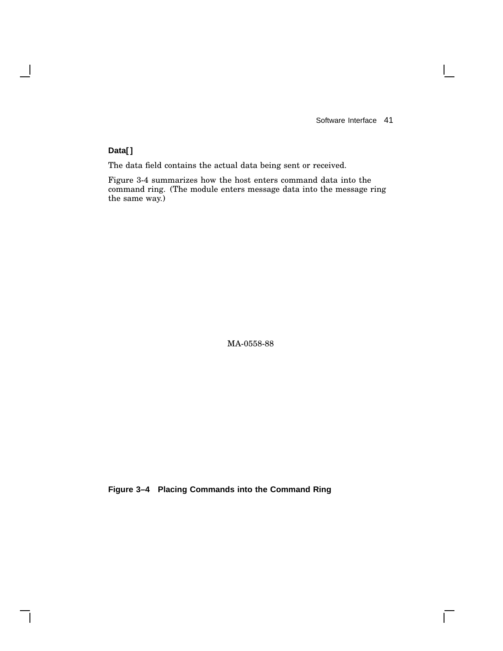$\overline{\Gamma}$ 

#### **Data[]**

 $\overline{\phantom{a}}$ 

 $\mathsf{l}$ 

The data field contains the actual data being sent or received.

Figure 3-4 summarizes how the host enters command data into the command ring. (The module enters message data into the message ring the same way.)

MA-0558-88

**Figure 3–4 Placing Commands into the Command Ring**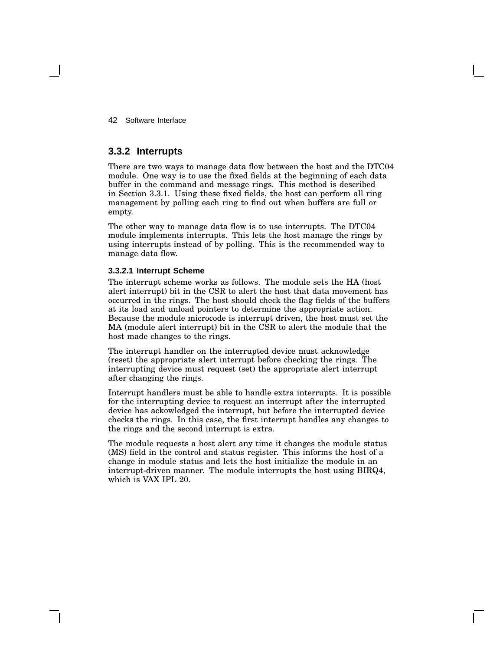#### **3.3.2 Interrupts**

There are two ways to manage data flow between the host and the DTC04 module. One way is to use the fixed fields at the beginning of each data buffer in the command and message rings. This method is described in Section 3.3.1. Using these fixed fields, the host can perform all ring management by polling each ring to find out when buffers are full or empty.

The other way to manage data flow is to use interrupts. The DTC04 module implements interrupts. This lets the host manage the rings by using interrupts instead of by polling. This is the recommended way to manage data flow.

#### **3.3.2.1 Interrupt Scheme**

The interrupt scheme works as follows. The module sets the HA (host alert interrupt) bit in the CSR to alert the host that data movement has occurred in the rings. The host should check the flag fields of the buffers at its load and unload pointers to determine the appropriate action. Because the module microcode is interrupt driven, the host must set the MA (module alert interrupt) bit in the CSR to alert the module that the host made changes to the rings.

The interrupt handler on the interrupted device must acknowledge (reset) the appropriate alert interrupt before checking the rings. The interrupting device must request (set) the appropriate alert interrupt after changing the rings.

Interrupt handlers must be able to handle extra interrupts. It is possible for the interrupting device to request an interrupt after the interrupted device has ackowledged the interrupt, but before the interrupted device checks the rings. In this case, the first interrupt handles any changes to the rings and the second interrupt is extra.

The module requests a host alert any time it changes the module status (MS) field in the control and status register. This informs the host of a change in module status and lets the host initialize the module in an interrupt-driven manner. The module interrupts the host using BIRQ4, which is VAX IPL 20.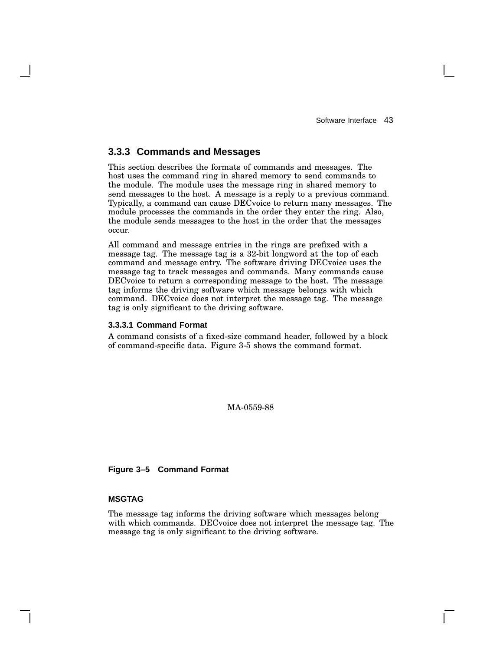#### **3.3.3 Commands and Messages**

This section describes the formats of commands and messages. The host uses the command ring in shared memory to send commands to the module. The module uses the message ring in shared memory to send messages to the host. A message is a reply to a previous command. Typically, a command can cause DECvoice to return many messages. The module processes the commands in the order they enter the ring. Also, the module sends messages to the host in the order that the messages occur.

All command and message entries in the rings are prefixed with a message tag. The message tag is a 32-bit longword at the top of each command and message entry. The software driving DECvoice uses the message tag to track messages and commands. Many commands cause DECvoice to return a corresponding message to the host. The message tag informs the driving software which message belongs with which command. DECvoice does not interpret the message tag. The message tag is only significant to the driving software.

#### **3.3.3.1 Command Format**

A command consists of a fixed-size command header, followed by a block of command-specific data. Figure 3-5 shows the command format.

MA-0559-88

**Figure 3–5 Command Format**

#### **MSGTAG**

The message tag informs the driving software which messages belong with which commands. DECvoice does not interpret the message tag. The message tag is only significant to the driving software.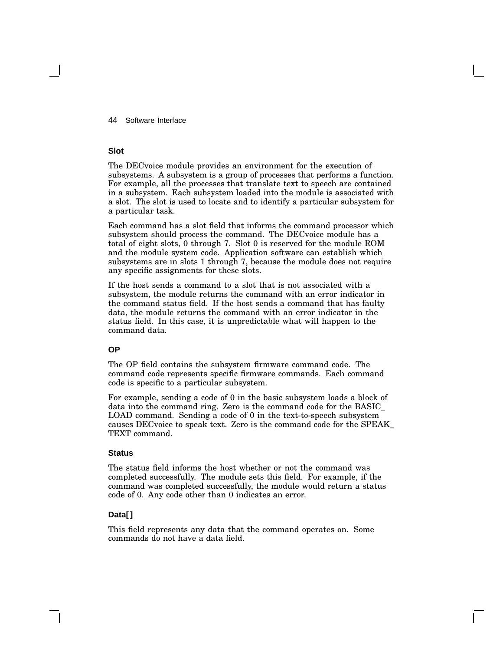#### **Slot**

The DECvoice module provides an environment for the execution of subsystems. A subsystem is a group of processes that performs a function. For example, all the processes that translate text to speech are contained in a subsystem. Each subsystem loaded into the module is associated with a slot. The slot is used to locate and to identify a particular subsystem for a particular task.

Each command has a slot field that informs the command processor which subsystem should process the command. The DECvoice module has a total of eight slots, 0 through 7. Slot 0 is reserved for the module ROM and the module system code. Application software can establish which subsystems are in slots 1 through 7, because the module does not require any specific assignments for these slots.

If the host sends a command to a slot that is not associated with a subsystem, the module returns the command with an error indicator in the command status field. If the host sends a command that has faulty data, the module returns the command with an error indicator in the status field. In this case, it is unpredictable what will happen to the command data.

#### **OP**

The OP field contains the subsystem firmware command code. The command code represents specific firmware commands. Each command code is specific to a particular subsystem.

For example, sending a code of 0 in the basic subsystem loads a block of data into the command ring. Zero is the command code for the BASIC\_ LOAD command. Sending a code of 0 in the text-to-speech subsystem causes DECvoice to speak text. Zero is the command code for the SPEAK\_ TEXT command.

#### **Status**

The status field informs the host whether or not the command was completed successfully. The module sets this field. For example, if the command was completed successfully, the module would return a status code of 0. Any code other than 0 indicates an error.

#### **Data[]**

This field represents any data that the command operates on. Some commands do not have a data field.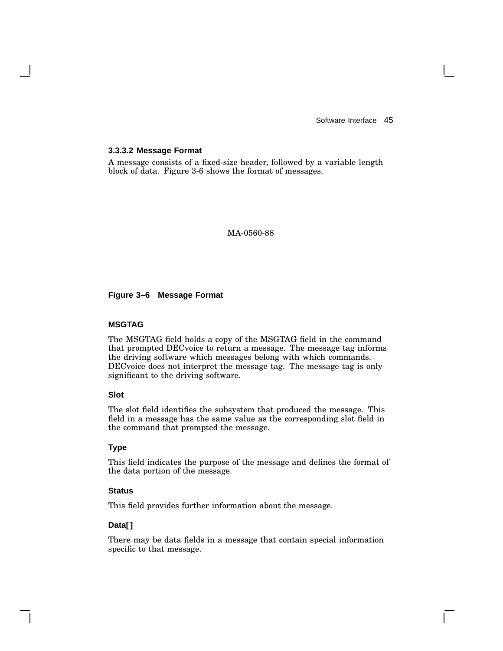#### **3.3.3.2 Message Format**

A message consists of a fixed-size header, followed by a variable length block of data. Figure 3-6 shows the format of messages.

MA-0560-88

#### **Figure 3–6 Message Format**

#### **MSGTAG**

The MSGTAG field holds a copy of the MSGTAG field in the command that prompted DECvoice to return a message. The message tag informs the driving software which messages belong with which commands. DECvoice does not interpret the message tag. The message tag is only significant to the driving software.

#### **Slot**

The slot field identifies the subsystem that produced the message. This field in a message has the same value as the corresponding slot field in the command that prompted the message.

#### **Type**

This field indicates the purpose of the message and defines the format of the data portion of the message.

#### **Status**

This field provides further information about the message.

#### **Data[]**

There may be data fields in a message that contain special information specific to that message.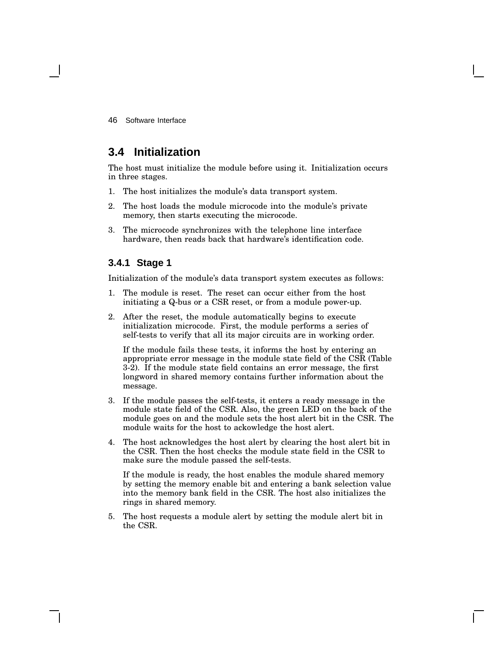# **3.4 Initialization**

The host must initialize the module before using it. Initialization occurs in three stages.

- 1. The host initializes the module's data transport system.
- 2. The host loads the module microcode into the module's private memory, then starts executing the microcode.
- 3. The microcode synchronizes with the telephone line interface hardware, then reads back that hardware's identification code.

#### **3.4.1 Stage 1**

Initialization of the module's data transport system executes as follows:

- 1. The module is reset. The reset can occur either from the host initiating a Q-bus or a CSR reset, or from a module power-up.
- 2. After the reset, the module automatically begins to execute initialization microcode. First, the module performs a series of self-tests to verify that all its major circuits are in working order.

If the module fails these tests, it informs the host by entering an appropriate error message in the module state field of the CSR (Table 3-2). If the module state field contains an error message, the first longword in shared memory contains further information about the message.

- 3. If the module passes the self-tests, it enters a ready message in the module state field of the CSR. Also, the green LED on the back of the module goes on and the module sets the host alert bit in the CSR. The module waits for the host to ackowledge the host alert.
- 4. The host acknowledges the host alert by clearing the host alert bit in the CSR. Then the host checks the module state field in the CSR to make sure the module passed the self-tests.

If the module is ready, the host enables the module shared memory by setting the memory enable bit and entering a bank selection value into the memory bank field in the CSR. The host also initializes the rings in shared memory.

5. The host requests a module alert by setting the module alert bit in the CSR.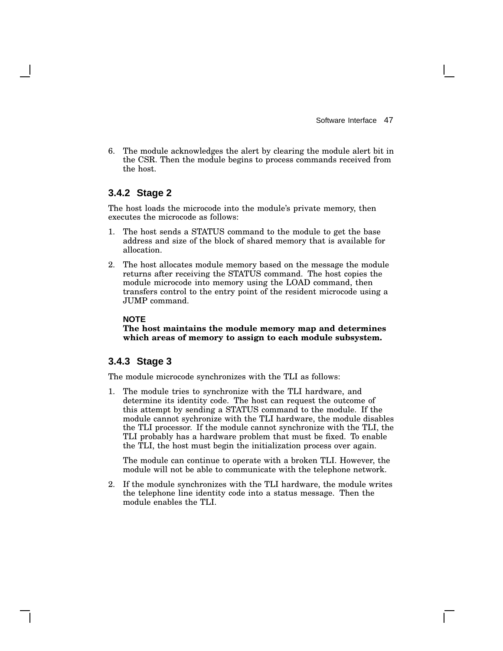6. The module acknowledges the alert by clearing the module alert bit in the CSR. Then the module begins to process commands received from the host.

#### **3.4.2 Stage 2**

The host loads the microcode into the module's private memory, then executes the microcode as follows:

- 1. The host sends a STATUS command to the module to get the base address and size of the block of shared memory that is available for allocation.
- 2. The host allocates module memory based on the message the module returns after receiving the STATUS command. The host copies the module microcode into memory using the LOAD command, then transfers control to the entry point of the resident microcode using a JUMP command.

#### **NOTE**

**The host maintains the module memory map and determines which areas of memory to assign to each module subsystem.**

#### **3.4.3 Stage 3**

The module microcode synchronizes with the TLI as follows:

1. The module tries to synchronize with the TLI hardware, and determine its identity code. The host can request the outcome of this attempt by sending a STATUS command to the module. If the module cannot sychronize with the TLI hardware, the module disables the TLI processor. If the module cannot synchronize with the TLI, the TLI probably has a hardware problem that must be fixed. To enable the TLI, the host must begin the initialization process over again.

The module can continue to operate with a broken TLI. However, the module will not be able to communicate with the telephone network.

2. If the module synchronizes with the TLI hardware, the module writes the telephone line identity code into a status message. Then the module enables the TLI.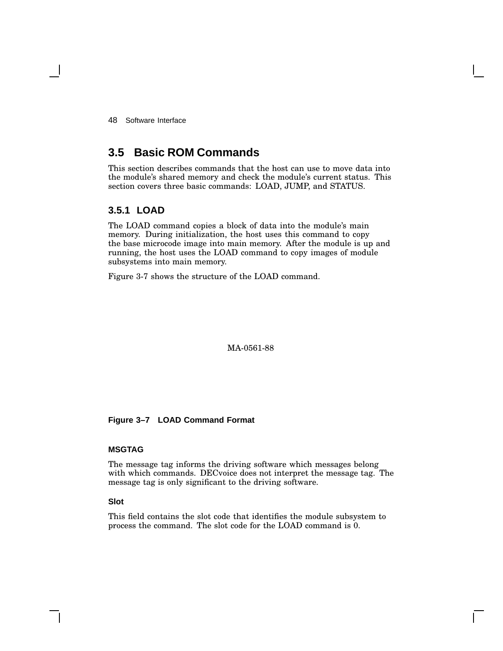# **3.5 Basic ROM Commands**

This section describes commands that the host can use to move data into the module's shared memory and check the module's current status. This section covers three basic commands: LOAD, JUMP, and STATUS.

#### **3.5.1 LOAD**

The LOAD command copies a block of data into the module's main memory. During initialization, the host uses this command to copy the base microcode image into main memory. After the module is up and running, the host uses the LOAD command to copy images of module subsystems into main memory.

Figure 3-7 shows the structure of the LOAD command.

MA-0561-88

**Figure 3–7 LOAD Command Format**

#### **MSGTAG**

The message tag informs the driving software which messages belong with which commands. DECvoice does not interpret the message tag. The message tag is only significant to the driving software.

#### **Slot**

This field contains the slot code that identifies the module subsystem to process the command. The slot code for the LOAD command is 0.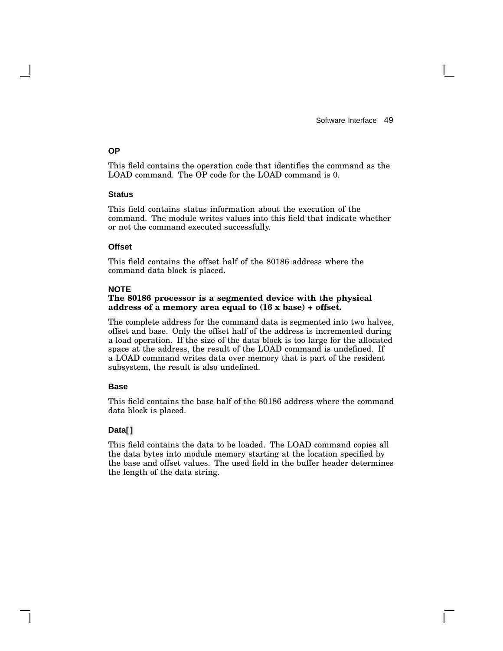#### **OP**

This field contains the operation code that identifies the command as the LOAD command. The OP code for the LOAD command is 0.

#### **Status**

This field contains status information about the execution of the command. The module writes values into this field that indicate whether or not the command executed successfully.

#### **Offset**

This field contains the offset half of the 80186 address where the command data block is placed.

#### **NOTE**

#### **The 80186 processor is a segmented device with the physical address of a memory area equal to (16 x base) + offset.**

The complete address for the command data is segmented into two halves, offset and base. Only the offset half of the address is incremented during a load operation. If the size of the data block is too large for the allocated space at the address, the result of the LOAD command is undefined. If a LOAD command writes data over memory that is part of the resident subsystem, the result is also undefined.

#### **Base**

This field contains the base half of the 80186 address where the command data block is placed.

#### **Data[]**

This field contains the data to be loaded. The LOAD command copies all the data bytes into module memory starting at the location specified by the base and offset values. The used field in the buffer header determines the length of the data string.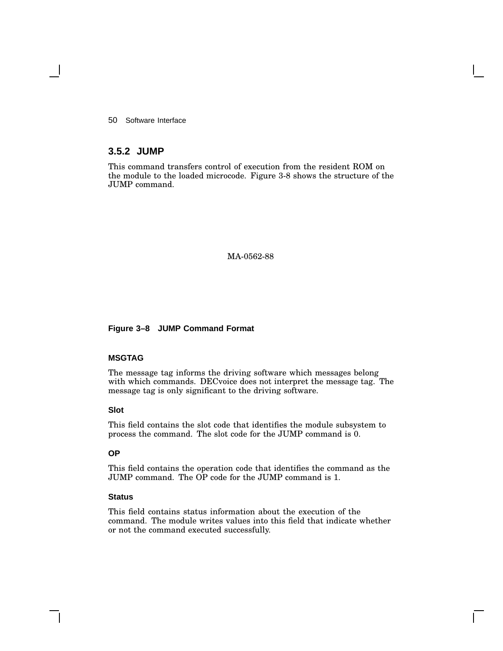#### **3.5.2 JUMP**

This command transfers control of execution from the resident ROM on the module to the loaded microcode. Figure 3-8 shows the structure of the JUMP command.

#### MA-0562-88

#### **Figure 3–8 JUMP Command Format**

#### **MSGTAG**

The message tag informs the driving software which messages belong with which commands. DECvoice does not interpret the message tag. The message tag is only significant to the driving software.

#### **Slot**

This field contains the slot code that identifies the module subsystem to process the command. The slot code for the JUMP command is 0.

#### **OP**

This field contains the operation code that identifies the command as the JUMP command. The OP code for the JUMP command is 1.

#### **Status**

This field contains status information about the execution of the command. The module writes values into this field that indicate whether or not the command executed successfully.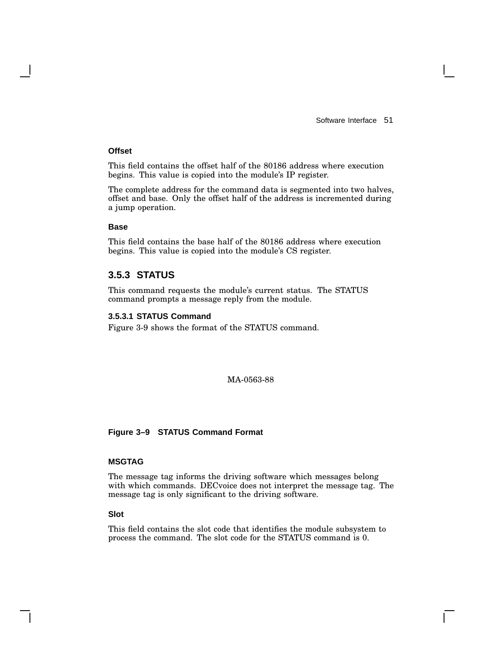#### **Offset**

This field contains the offset half of the 80186 address where execution begins. This value is copied into the module's IP register.

The complete address for the command data is segmented into two halves, offset and base. Only the offset half of the address is incremented during a jump operation.

#### **Base**

This field contains the base half of the 80186 address where execution begins. This value is copied into the module's CS register.

#### **3.5.3 STATUS**

This command requests the module's current status. The STATUS command prompts a message reply from the module.

#### **3.5.3.1 STATUS Command**

Figure 3-9 shows the format of the STATUS command.

MA-0563-88

#### **Figure 3–9 STATUS Command Format**

#### **MSGTAG**

The message tag informs the driving software which messages belong with which commands. DECvoice does not interpret the message tag. The message tag is only significant to the driving software.

#### **Slot**

This field contains the slot code that identifies the module subsystem to process the command. The slot code for the STATUS command is 0.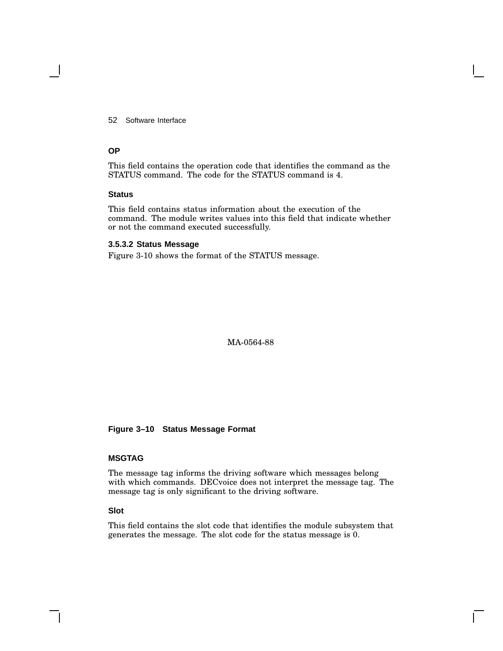#### **OP**

This field contains the operation code that identifies the command as the STATUS command. The code for the STATUS command is 4.

#### **Status**

This field contains status information about the execution of the command. The module writes values into this field that indicate whether or not the command executed successfully.

#### **3.5.3.2 Status Message**

Figure 3-10 shows the format of the STATUS message.

MA-0564-88

#### **Figure 3–10 Status Message Format**

#### **MSGTAG**

The message tag informs the driving software which messages belong with which commands. DECvoice does not interpret the message tag. The message tag is only significant to the driving software.

#### **Slot**

This field contains the slot code that identifies the module subsystem that generates the message. The slot code for the status message is 0.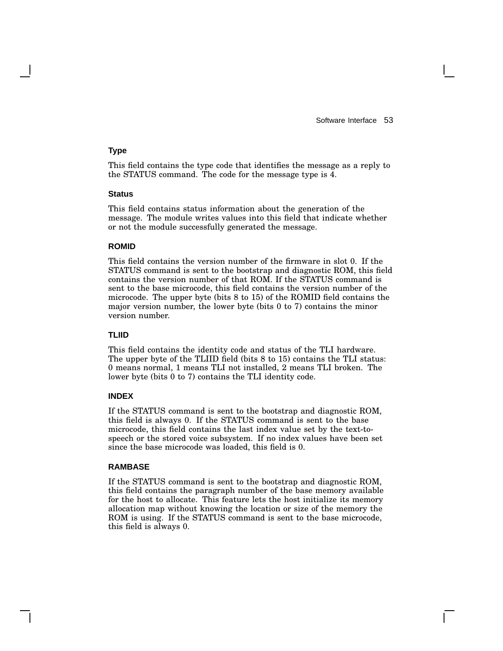#### **Type**

This field contains the type code that identifies the message as a reply to the STATUS command. The code for the message type is 4.

#### **Status**

This field contains status information about the generation of the message. The module writes values into this field that indicate whether or not the module successfully generated the message.

#### **ROMID**

This field contains the version number of the firmware in slot 0. If the STATUS command is sent to the bootstrap and diagnostic ROM, this field contains the version number of that ROM. If the STATUS command is sent to the base microcode, this field contains the version number of the microcode. The upper byte (bits 8 to 15) of the ROMID field contains the major version number, the lower byte (bits 0 to 7) contains the minor version number.

#### **TLIID**

This field contains the identity code and status of the TLI hardware. The upper byte of the TLIID field (bits 8 to 15) contains the TLI status: 0 means normal, 1 means TLI not installed, 2 means TLI broken. The lower byte (bits 0 to 7) contains the TLI identity code.

#### **INDEX**

If the STATUS command is sent to the bootstrap and diagnostic ROM, this field is always 0. If the STATUS command is sent to the base microcode, this field contains the last index value set by the text-tospeech or the stored voice subsystem. If no index values have been set since the base microcode was loaded, this field is 0.

#### **RAMBASE**

If the STATUS command is sent to the bootstrap and diagnostic ROM, this field contains the paragraph number of the base memory available for the host to allocate. This feature lets the host initialize its memory allocation map without knowing the location or size of the memory the ROM is using. If the STATUS command is sent to the base microcode, this field is always 0.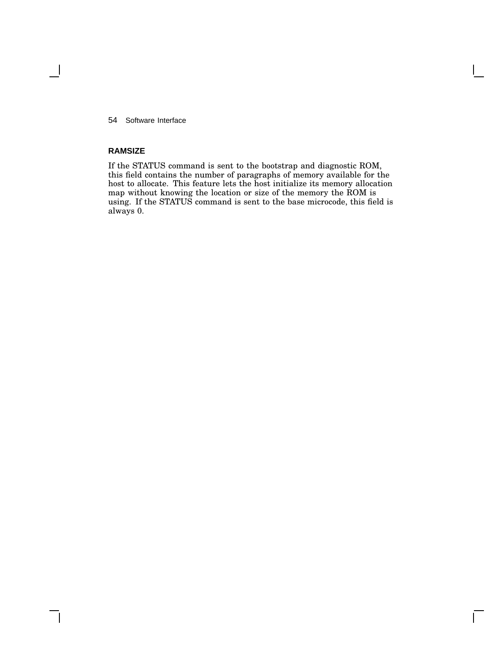#### **RAMSIZE**

If the STATUS command is sent to the bootstrap and diagnostic ROM, this field contains the number of paragraphs of memory available for the host to allocate. This feature lets the host initialize its memory allocation map without knowing the location or size of the memory the ROM is using. If the STATUS command is sent to the base microcode, this field is always 0.

 $\mathsf{I}$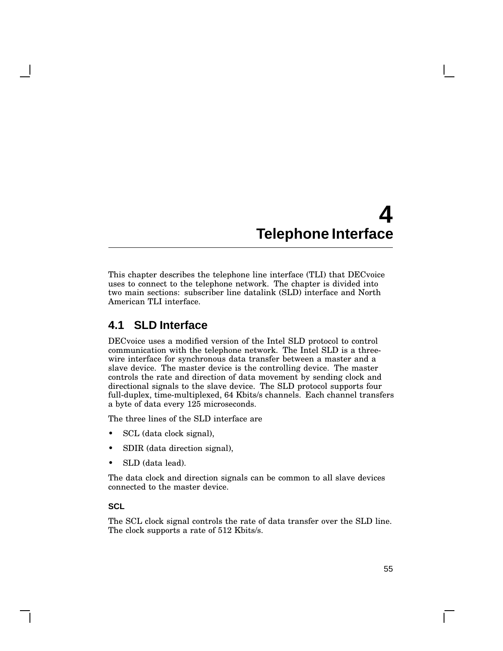# **4 Telephone Interface**

This chapter describes the telephone line interface (TLI) that DECvoice uses to connect to the telephone network. The chapter is divided into two main sections: subscriber line datalink (SLD) interface and North American TLI interface.

# **4.1 SLD Interface**

DECvoice uses a modified version of the Intel SLD protocol to control communication with the telephone network. The Intel SLD is a threewire interface for synchronous data transfer between a master and a slave device. The master device is the controlling device. The master controls the rate and direction of data movement by sending clock and directional signals to the slave device. The SLD protocol supports four full-duplex, time-multiplexed, 64 Kbits/s channels. Each channel transfers a byte of data every 125 microseconds.

The three lines of the SLD interface are

- SCL (data clock signal),
- SDIR (data direction signal),
- SLD (data lead).

The data clock and direction signals can be common to all slave devices connected to the master device.

#### **SCL**

The SCL clock signal controls the rate of data transfer over the SLD line. The clock supports a rate of 512 Kbits/s.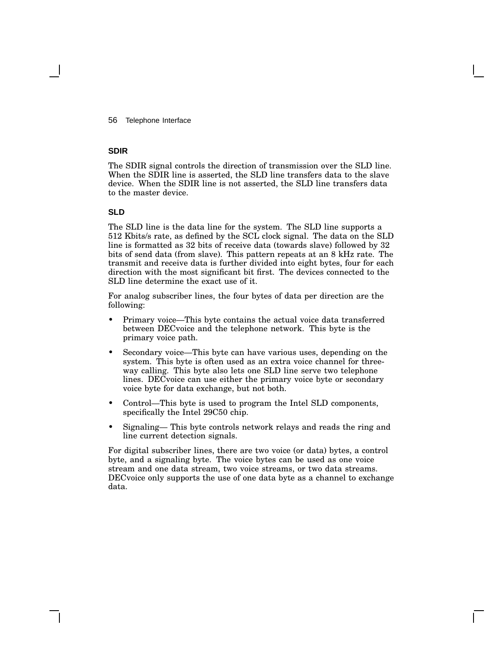56 Telephone Interface

#### **SDIR**

The SDIR signal controls the direction of transmission over the SLD line. When the SDIR line is asserted, the SLD line transfers data to the slave device. When the SDIR line is not asserted, the SLD line transfers data to the master device.

#### **SLD**

The SLD line is the data line for the system. The SLD line supports a 512 Kbits/s rate, as defined by the SCL clock signal. The data on the SLD line is formatted as 32 bits of receive data (towards slave) followed by 32 bits of send data (from slave). This pattern repeats at an 8 kHz rate. The transmit and receive data is further divided into eight bytes, four for each direction with the most significant bit first. The devices connected to the SLD line determine the exact use of it.

For analog subscriber lines, the four bytes of data per direction are the following:

- Primary voice—This byte contains the actual voice data transferred between DECvoice and the telephone network. This byte is the primary voice path.
- Secondary voice—This byte can have various uses, depending on the system. This byte is often used as an extra voice channel for threeway calling. This byte also lets one SLD line serve two telephone lines. DECvoice can use either the primary voice byte or secondary voice byte for data exchange, but not both.
- Control—This byte is used to program the Intel SLD components, specifically the Intel 29C50 chip.
- Signaling— This byte controls network relays and reads the ring and line current detection signals.

For digital subscriber lines, there are two voice (or data) bytes, a control byte, and a signaling byte. The voice bytes can be used as one voice stream and one data stream, two voice streams, or two data streams. DECvoice only supports the use of one data byte as a channel to exchange data.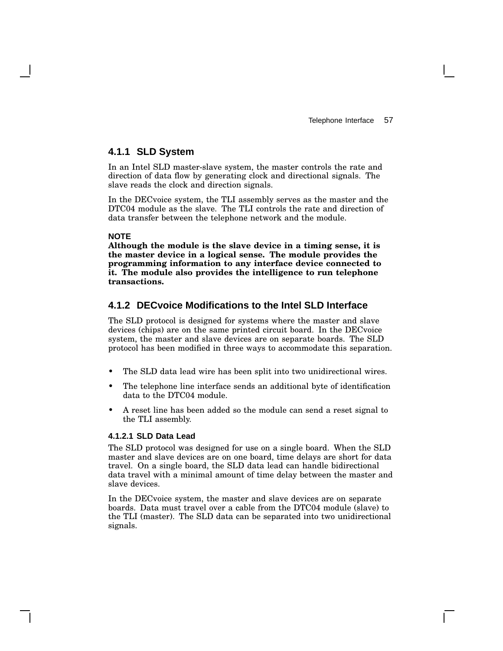#### **4.1.1 SLD System**

In an Intel SLD master-slave system, the master controls the rate and direction of data flow by generating clock and directional signals. The slave reads the clock and direction signals.

In the DECvoice system, the TLI assembly serves as the master and the DTC04 module as the slave. The TLI controls the rate and direction of data transfer between the telephone network and the module.

#### **NOTE**

**Although the module is the slave device in a timing sense, it is the master device in a logical sense. The module provides the programming information to any interface device connected to it. The module also provides the intelligence to run telephone transactions.**

#### **4.1.2 DECvoice Modifications to the Intel SLD Interface**

The SLD protocol is designed for systems where the master and slave devices (chips) are on the same printed circuit board. In the DECvoice system, the master and slave devices are on separate boards. The SLD protocol has been modified in three ways to accommodate this separation.

- The SLD data lead wire has been split into two unidirectional wires.
- The telephone line interface sends an additional byte of identification data to the DTC04 module.
- A reset line has been added so the module can send a reset signal to the TLI assembly.

#### **4.1.2.1 SLD Data Lead**

The SLD protocol was designed for use on a single board. When the SLD master and slave devices are on one board, time delays are short for data travel. On a single board, the SLD data lead can handle bidirectional data travel with a minimal amount of time delay between the master and slave devices.

In the DECvoice system, the master and slave devices are on separate boards. Data must travel over a cable from the DTC04 module (slave) to the TLI (master). The SLD data can be separated into two unidirectional signals.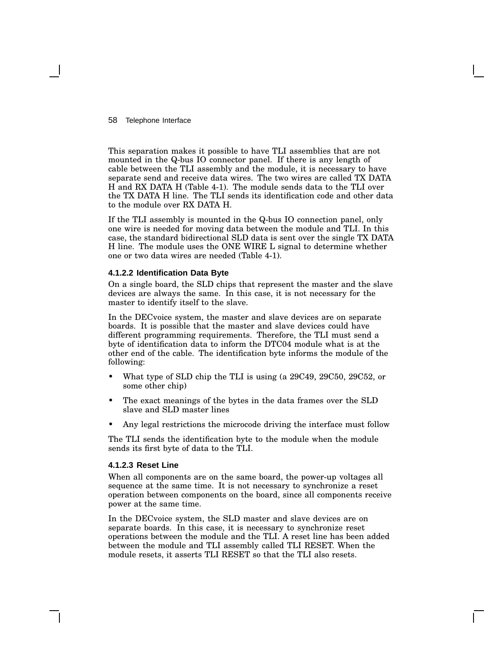58 Telephone Interface

This separation makes it possible to have TLI assemblies that are not mounted in the Q-bus IO connector panel. If there is any length of cable between the TLI assembly and the module, it is necessary to have separate send and receive data wires. The two wires are called TX DATA H and RX DATA H (Table 4-1). The module sends data to the TLI over the TX DATA H line. The TLI sends its identification code and other data to the module over RX DATA H.

If the TLI assembly is mounted in the Q-bus IO connection panel, only one wire is needed for moving data between the module and TLI. In this case, the standard bidirectional SLD data is sent over the single TX DATA H line. The module uses the ONE WIRE L signal to determine whether one or two data wires are needed (Table 4-1).

#### **4.1.2.2 Identification Data Byte**

On a single board, the SLD chips that represent the master and the slave devices are always the same. In this case, it is not necessary for the master to identify itself to the slave.

In the DECvoice system, the master and slave devices are on separate boards. It is possible that the master and slave devices could have different programming requirements. Therefore, the TLI must send a byte of identification data to inform the DTC04 module what is at the other end of the cable. The identification byte informs the module of the following:

- What type of SLD chip the TLI is using (a 29C49, 29C50, 29C52, or some other chip)
- The exact meanings of the bytes in the data frames over the SLD slave and SLD master lines
- Any legal restrictions the microcode driving the interface must follow

The TLI sends the identification byte to the module when the module sends its first byte of data to the TLI.

#### **4.1.2.3 Reset Line**

When all components are on the same board, the power-up voltages all sequence at the same time. It is not necessary to synchronize a reset operation between components on the board, since all components receive power at the same time.

In the DECvoice system, the SLD master and slave devices are on separate boards. In this case, it is necessary to synchronize reset operations between the module and the TLI. A reset line has been added between the module and TLI assembly called TLI RESET. When the module resets, it asserts TLI RESET so that the TLI also resets.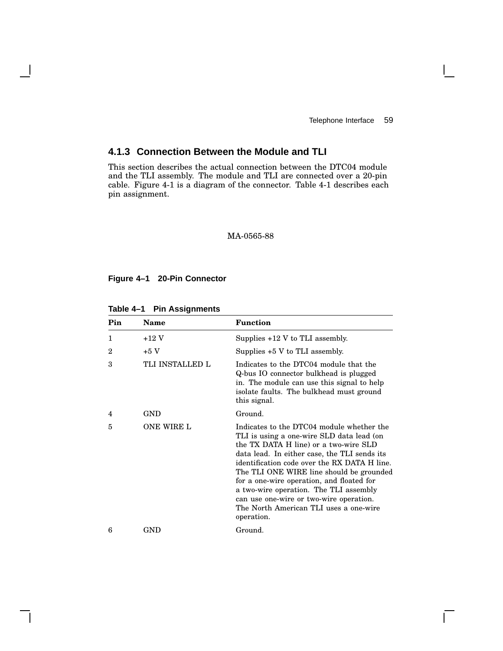$\mathbf{L}$ 

### **4.1.3 Connection Between the Module and TLI**

This section describes the actual connection between the DTC04 module and the TLI assembly. The module and TLI are connected over a 20-pin cable. Figure 4-1 is a diagram of the connector. Table 4-1 describes each pin assignment.

#### MA-0565-88

#### **Figure 4–1 20-Pin Connector**

 $\mathbf l$ 

| Pin            | Name              | <b>Function</b>                                                                                                                                                                                                                                                                                                                                                                                                                                                       |
|----------------|-------------------|-----------------------------------------------------------------------------------------------------------------------------------------------------------------------------------------------------------------------------------------------------------------------------------------------------------------------------------------------------------------------------------------------------------------------------------------------------------------------|
| 1              | $+12$ V           | Supplies $+12$ V to TLI assembly.                                                                                                                                                                                                                                                                                                                                                                                                                                     |
| $\overline{2}$ | $+5V$             | Supplies +5 V to TLI assembly.                                                                                                                                                                                                                                                                                                                                                                                                                                        |
| 3              | TLI INSTALLED L   | Indicates to the DTC04 module that the<br>Q-bus IO connector bulkhead is plugged<br>in. The module can use this signal to help<br>isolate faults. The bulkhead must ground<br>this signal.                                                                                                                                                                                                                                                                            |
| 4              | GND               | Ground.                                                                                                                                                                                                                                                                                                                                                                                                                                                               |
| 5              | <b>ONE WIRE L</b> | Indicates to the DTC04 module whether the<br>TLI is using a one-wire SLD data lead (on<br>the TX DATA H line) or a two-wire SLD<br>data lead. In either case, the TLI sends its<br>identification code over the RX DATA H line.<br>The TLI ONE WIRE line should be grounded<br>for a one-wire operation, and floated for<br>a two-wire operation. The TLI assembly<br>can use one-wire or two-wire operation.<br>The North American TLI uses a one-wire<br>operation. |
| 6              | GND               | Ground.                                                                                                                                                                                                                                                                                                                                                                                                                                                               |

**Table 4–1 Pin Assignments**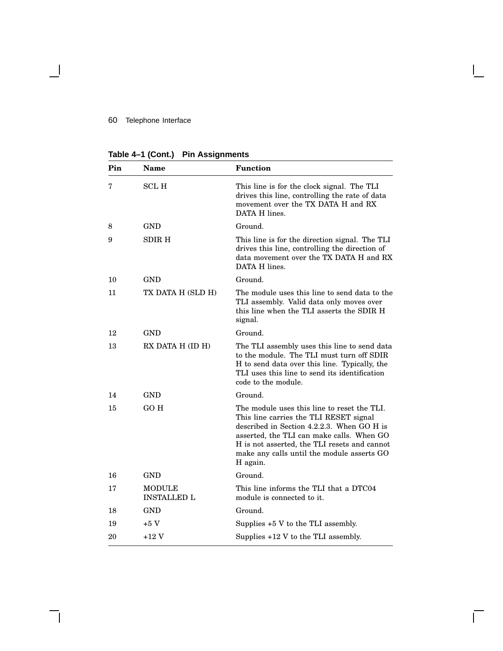#### 60 Telephone Interface

 $\overline{\phantom{a}}$ 

**Table 4–1 (Cont.) Pin Assignments**

| Pin | <b>Name</b>                  | <b>Function</b>                                                                                                                                                                                                                                                                            |
|-----|------------------------------|--------------------------------------------------------------------------------------------------------------------------------------------------------------------------------------------------------------------------------------------------------------------------------------------|
| 7   | <b>SCL H</b>                 | This line is for the clock signal. The TLI<br>drives this line, controlling the rate of data<br>movement over the TX DATA H and RX<br>DATA H lines.                                                                                                                                        |
| 8   | <b>GND</b>                   | Ground.                                                                                                                                                                                                                                                                                    |
| 9   | <b>SDIR H</b>                | This line is for the direction signal. The TLI<br>drives this line, controlling the direction of<br>data movement over the TX DATA H and RX<br>DATA H lines.                                                                                                                               |
| 10  | <b>GND</b>                   | Ground.                                                                                                                                                                                                                                                                                    |
| 11  | TX DATA H (SLD H)            | The module uses this line to send data to the<br>TLI assembly. Valid data only moves over<br>this line when the TLI asserts the SDIR H<br>signal.                                                                                                                                          |
| 12  | <b>GND</b>                   | Ground.                                                                                                                                                                                                                                                                                    |
| 13  | RX DATA H (ID H)             | The TLI assembly uses this line to send data<br>to the module. The TLI must turn off SDIR<br>H to send data over this line. Typically, the<br>TLI uses this line to send its identification<br>code to the module.                                                                         |
| 14  | <b>GND</b>                   | Ground.                                                                                                                                                                                                                                                                                    |
| 15  | GO H                         | The module uses this line to reset the TLI.<br>This line carries the TLI RESET signal<br>described in Section 4.2.2.3. When GO H is<br>asserted, the TLI can make calls. When GO<br>H is not asserted, the TLI resets and cannot<br>make any calls until the module asserts GO<br>H again. |
| 16  | <b>GND</b>                   | Ground.                                                                                                                                                                                                                                                                                    |
| 17  | MODULE<br><b>INSTALLED L</b> | This line informs the TLI that a DTC04<br>module is connected to it.                                                                                                                                                                                                                       |
| 18  | GND                          | Ground.                                                                                                                                                                                                                                                                                    |
| 19  | $+5V$                        | Supplies $+5$ V to the TLI assembly.                                                                                                                                                                                                                                                       |
| 20  | $+12V$                       | Supplies +12 V to the TLI assembly.                                                                                                                                                                                                                                                        |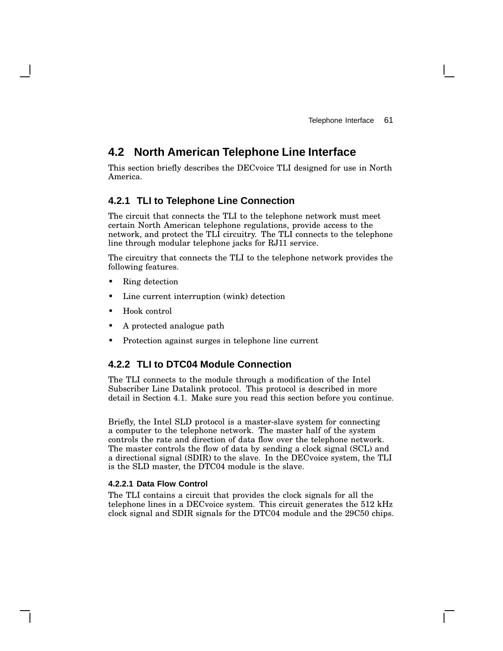# **4.2 North American Telephone Line Interface**

This section briefly describes the DECvoice TLI designed for use in North America.

#### **4.2.1 TLI to Telephone Line Connection**

The circuit that connects the TLI to the telephone network must meet certain North American telephone regulations, provide access to the network, and protect the TLI circuitry. The TLI connects to the telephone line through modular telephone jacks for RJ11 service.

The circuitry that connects the TLI to the telephone network provides the following features.

- Ring detection
- Line current interruption (wink) detection
- Hook control
- A protected analogue path
- Protection against surges in telephone line current

#### **4.2.2 TLI to DTC04 Module Connection**

The TLI connects to the module through a modification of the Intel Subscriber Line Datalink protocol. This protocol is described in more detail in Section 4.1. Make sure you read this section before you continue.

Briefly, the Intel SLD protocol is a master-slave system for connecting a computer to the telephone network. The master half of the system controls the rate and direction of data flow over the telephone network. The master controls the flow of data by sending a clock signal (SCL) and a directional signal (SDIR) to the slave. In the DECvoice system, the TLI is the SLD master, the DTC04 module is the slave.

#### **4.2.2.1 Data Flow Control**

The TLI contains a circuit that provides the clock signals for all the telephone lines in a DECvoice system. This circuit generates the 512 kHz clock signal and SDIR signals for the DTC04 module and the 29C50 chips.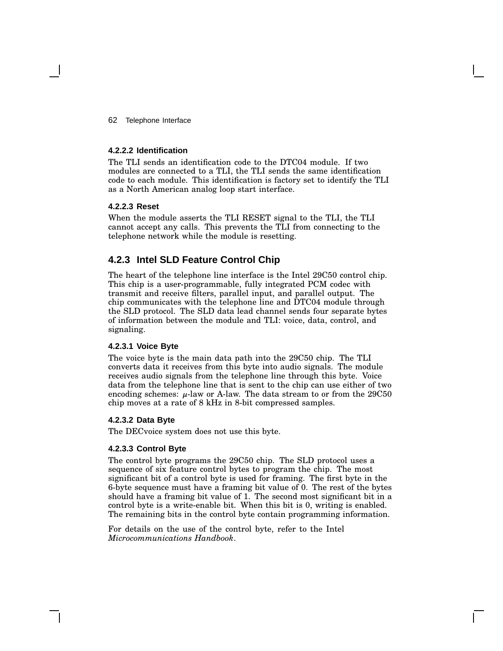#### 62 Telephone Interface

#### **4.2.2.2 Identification**

The TLI sends an identification code to the DTC04 module. If two modules are connected to a TLI, the TLI sends the same identification code to each module. This identification is factory set to identify the TLI as a North American analog loop start interface.

#### **4.2.2.3 Reset**

When the module asserts the TLI RESET signal to the TLI, the TLI cannot accept any calls. This prevents the TLI from connecting to the telephone network while the module is resetting.

#### **4.2.3 Intel SLD Feature Control Chip**

The heart of the telephone line interface is the Intel 29C50 control chip. This chip is a user-programmable, fully integrated PCM codec with transmit and receive filters, parallel input, and parallel output. The chip communicates with the telephone line and DTC04 module through the SLD protocol. The SLD data lead channel sends four separate bytes of information between the module and TLI: voice, data, control, and signaling.

#### **4.2.3.1 Voice Byte**

The voice byte is the main data path into the 29C50 chip. The TLI converts data it receives from this byte into audio signals. The module receives audio signals from the telephone line through this byte. Voice data from the telephone line that is sent to the chip can use either of two encoding schemes:  $\mu$ -law or A-law. The data stream to or from the 29C50 chip moves at a rate of 8 kHz in 8-bit compressed samples.

#### **4.2.3.2 Data Byte**

The DECvoice system does not use this byte.

#### **4.2.3.3 Control Byte**

The control byte programs the 29C50 chip. The SLD protocol uses a sequence of six feature control bytes to program the chip. The most significant bit of a control byte is used for framing. The first byte in the 6-byte sequence must have a framing bit value of 0. The rest of the bytes should have a framing bit value of 1. The second most significant bit in a control byte is a write-enable bit. When this bit is 0, writing is enabled. The remaining bits in the control byte contain programming information.

For details on the use of the control byte, refer to the Intel *Microcommunications Handbook*.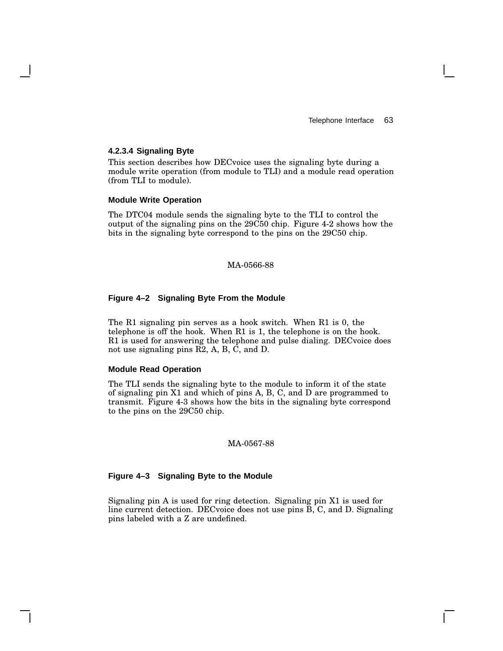#### **4.2.3.4 Signaling Byte**

This section describes how DECvoice uses the signaling byte during a module write operation (from module to TLI) and a module read operation (from TLI to module).

#### **Module Write Operation**

The DTC04 module sends the signaling byte to the TLI to control the output of the signaling pins on the 29C50 chip. Figure 4-2 shows how the bits in the signaling byte correspond to the pins on the 29C50 chip.

#### MA-0566-88

#### **Figure 4–2 Signaling Byte From the Module**

The R1 signaling pin serves as a hook switch. When R1 is 0, the telephone is off the hook. When R1 is 1, the telephone is on the hook. R1 is used for answering the telephone and pulse dialing. DECvoice does not use signaling pins R2, A, B, C, and D.

#### **Module Read Operation**

The TLI sends the signaling byte to the module to inform it of the state of signaling pin X1 and which of pins A, B, C, and D are programmed to transmit. Figure 4-3 shows how the bits in the signaling byte correspond to the pins on the 29C50 chip.

#### MA-0567-88

#### **Figure 4–3 Signaling Byte to the Module**

Signaling pin A is used for ring detection. Signaling pin X1 is used for line current detection. DECvoice does not use pins B, C, and D. Signaling pins labeled with a Z are undefined.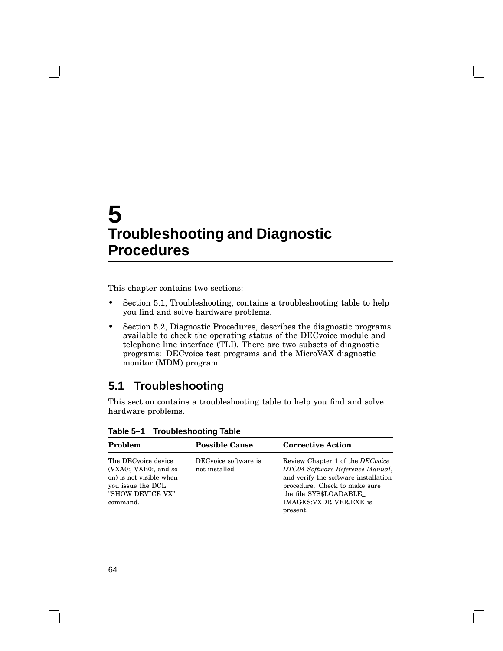# **5 Troubleshooting and Diagnostic Procedures**

This chapter contains two sections:

- Section 5.1, Troubleshooting, contains a troubleshooting table to help you find and solve hardware problems.
- Section 5.2, Diagnostic Procedures, describes the diagnostic programs available to check the operating status of the DECvoice module and telephone line interface (TLI). There are two subsets of diagnostic programs: DECvoice test programs and the MicroVAX diagnostic monitor (MDM) program.

## **5.1 Troubleshooting**

This section contains a troubleshooting table to help you find and solve hardware problems.

| Problem                                                                                                                      | <b>Possible Cause</b>                  | <b>Corrective Action</b>                                                                                                                                                                                              |
|------------------------------------------------------------------------------------------------------------------------------|----------------------------------------|-----------------------------------------------------------------------------------------------------------------------------------------------------------------------------------------------------------------------|
| The DECvoice device<br>(VXA0:, VXB0:, and so<br>on) is not visible when<br>you issue the DCL<br>"SHOW DEVICE VX"<br>command. | DECvoice software is<br>not installed. | Review Chapter 1 of the <i>DECvoice</i><br>DTC04 Software Reference Manual,<br>and verify the software installation<br>procedure. Check to make sure<br>the file SYS\$LOADABLE<br>IMAGES: VXDRIVER.EXE is<br>present. |

**Table 5–1 Troubleshooting Table**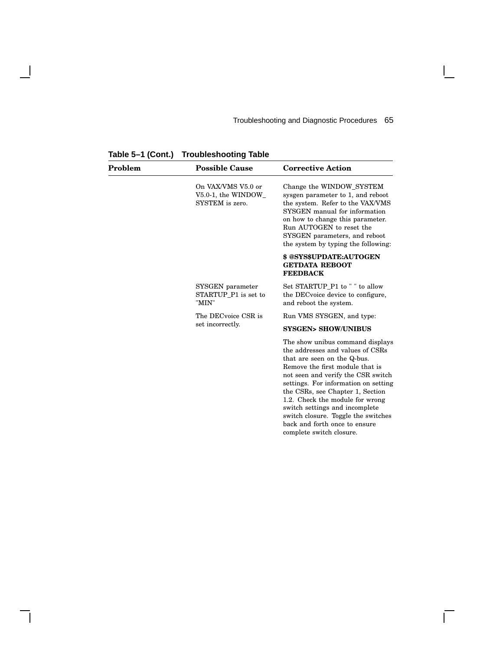complete switch closure.

 $\overline{\Gamma}$ 

| Problem | <b>Possible Cause</b>                                       | <b>Corrective Action</b>                                                                                                                                                                                                                                                                                                                                                                              |
|---------|-------------------------------------------------------------|-------------------------------------------------------------------------------------------------------------------------------------------------------------------------------------------------------------------------------------------------------------------------------------------------------------------------------------------------------------------------------------------------------|
|         | On VAX/VMS V5.0 or<br>V5.0-1, the WINDOW<br>SYSTEM is zero. | Change the WINDOW_SYSTEM<br>sysgen parameter to 1, and reboot<br>the system. Refer to the VAX/VMS<br>SYSGEN manual for information<br>on how to change this parameter.<br>Run AUTOGEN to reset the<br>SYSGEN parameters, and reboot<br>the system by typing the following:                                                                                                                            |
|         |                                                             | \$ @SYS\$UPDATE:AUTOGEN<br><b>GETDATA REBOOT</b><br><b>FEEDBACK</b>                                                                                                                                                                                                                                                                                                                                   |
|         | SYSGEN parameter<br>STARTUP P1 is set to<br>"MIN"           | Set STARTUP_P1 to " " to allow<br>the DEC voice device to configure,<br>and reboot the system.                                                                                                                                                                                                                                                                                                        |
|         | The DECvoice CSR is                                         | Run VMS SYSGEN, and type:                                                                                                                                                                                                                                                                                                                                                                             |
|         | set incorrectly.                                            | <b>SYSGEN&gt; SHOW/UNIBUS</b>                                                                                                                                                                                                                                                                                                                                                                         |
|         |                                                             | The show unibus command displays<br>the addresses and values of CSRs<br>that are seen on the Q-bus.<br>Remove the first module that is<br>not seen and verify the CSR switch<br>settings. For information on setting<br>the CSRs, see Chapter 1, Section<br>1.2. Check the module for wrong<br>switch settings and incomplete<br>switch closure. Toggle the switches<br>back and forth once to ensure |

**Table 5–1 (Cont.) Troubleshooting Table**

 $\mathbf{I}$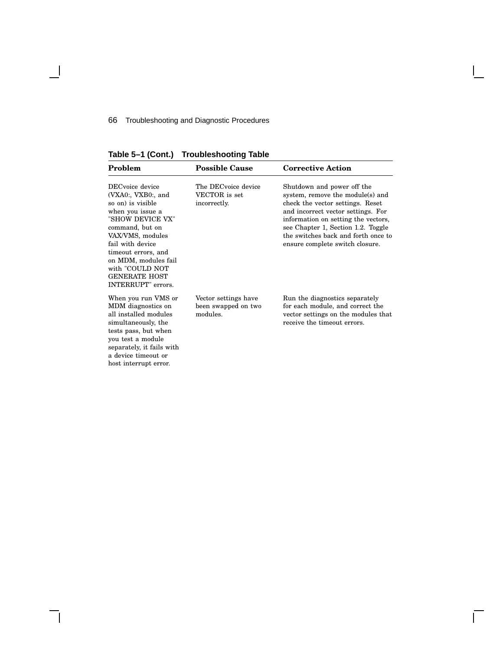### 66 Troubleshooting and Diagnostic Procedures

**Table 5–1 (Cont.) Troubleshooting Table**

| Problem                                                                                                                                                                                                                                                                       | <b>Possible Cause</b>                                   | <b>Corrective Action</b>                                                                                                                                                                                                                                                                        |
|-------------------------------------------------------------------------------------------------------------------------------------------------------------------------------------------------------------------------------------------------------------------------------|---------------------------------------------------------|-------------------------------------------------------------------------------------------------------------------------------------------------------------------------------------------------------------------------------------------------------------------------------------------------|
| DECvoice device<br>(VXA0:, VXB0:, and<br>so on) is visible<br>when you issue a<br>"SHOW DEVICE VX"<br>command, but on<br>VAX/VMS, modules<br>fail with device<br>timeout errors, and<br>on MDM, modules fail<br>with "COULD NOT<br><b>GENERATE HOST</b><br>INTERRUPT" errors. | The DECvoice device<br>VECTOR is set<br>incorrectly.    | Shutdown and power off the<br>system, remove the module(s) and<br>check the vector settings. Reset<br>and incorrect vector settings. For<br>information on setting the vectors,<br>see Chapter 1, Section 1.2. Toggle<br>the switches back and forth once to<br>ensure complete switch closure. |
| When you run VMS or<br>MDM diagnostics on<br>all installed modules<br>simultaneously, the<br>tests pass, but when<br>you test a module<br>separately, it fails with<br>a device timeout or<br>host interrupt error.                                                           | Vector settings have<br>been swapped on two<br>modules. | Run the diagnostics separately<br>for each module, and correct the<br>vector settings on the modules that<br>receive the timeout errors.                                                                                                                                                        |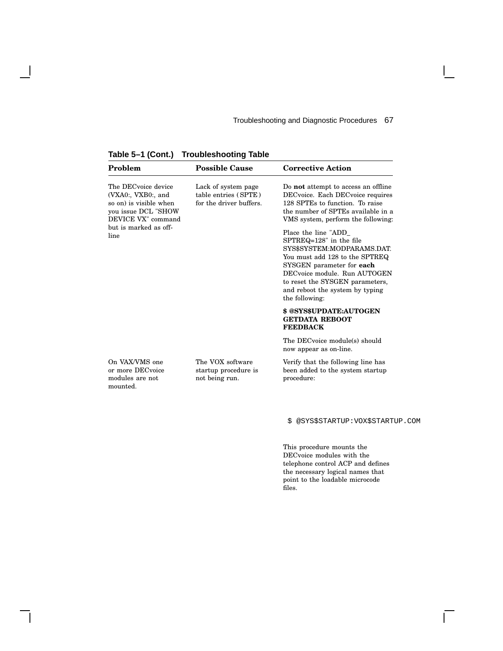| rable $5-1$ (Cont.)<br><b>Iroupleshooting Table</b>                                                              |                                                                        |                                                                                                                                                                                                                                                                     |
|------------------------------------------------------------------------------------------------------------------|------------------------------------------------------------------------|---------------------------------------------------------------------------------------------------------------------------------------------------------------------------------------------------------------------------------------------------------------------|
| Problem                                                                                                          | <b>Possible Cause</b>                                                  | <b>Corrective Action</b>                                                                                                                                                                                                                                            |
| The DECvoice device<br>(VXA0:, VXB0:, and<br>so on) is visible when<br>you issue DCL "SHOW<br>DEVICE VX" command | Lack of system page<br>table entries (SPTE)<br>for the driver buffers. | Do <b>not</b> attempt to access an offline<br>DECvoice. Each DECvoice requires<br>128 SPTEs to function. To raise<br>the number of SPTEs available in a<br>VMS system, perform the following:                                                                       |
| but is marked as off-<br>line                                                                                    |                                                                        | Place the line "ADD<br>SPTREQ=128" in the file<br>SYS\$SYSTEM:MODPARAMS.DAT.<br>You must add 128 to the SPTREQ<br>SYSGEN parameter for each<br>DECvoice module. Run AUTOGEN<br>to reset the SYSGEN parameters,<br>and reboot the system by typing<br>the following: |
|                                                                                                                  |                                                                        | \$ @SYS\$UPDATE:AUTOGEN<br><b>GETDATA REBOOT</b><br><b>FEEDBACK</b>                                                                                                                                                                                                 |
|                                                                                                                  |                                                                        | The DECvoice module(s) should<br>now appear as on-line.                                                                                                                                                                                                             |
| On VAX/VMS one<br>or more DECvoice<br>modules are not<br>mounted.                                                | The VOX software<br>startup procedure is<br>not being run.             | Verify that the following line has<br>been added to the system startup<br>procedure:                                                                                                                                                                                |

**Table 5–1 (Cont.) Troubleshooting Table**

 $\overline{\phantom{a}}$ 

\$ @SYS\$STARTUP:VOX\$STARTUP.COM

 $\Box$ 

This procedure mounts the DECvoice modules with the telephone control ACP and defines the necessary logical names that point to the loadable microcode files.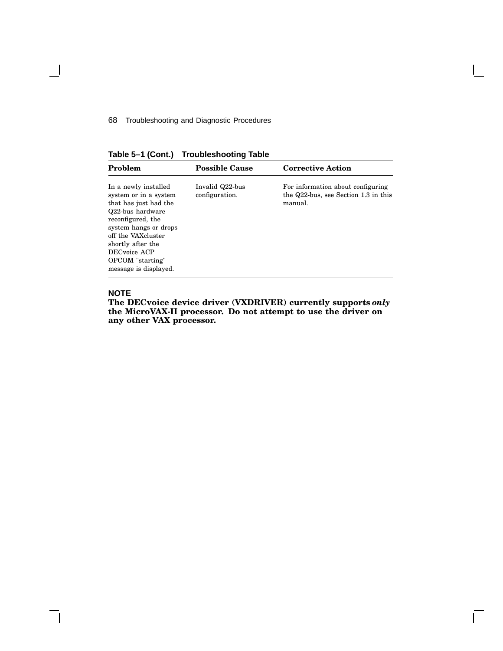68 Troubleshooting and Diagnostic Procedures

**Table 5–1 (Cont.) Troubleshooting Table**

| Problem                                                                                                                                                                                                                                          | <b>Possible Cause</b>             | <b>Corrective Action</b>                                                             |
|--------------------------------------------------------------------------------------------------------------------------------------------------------------------------------------------------------------------------------------------------|-----------------------------------|--------------------------------------------------------------------------------------|
| In a newly installed<br>system or in a system<br>that has just had the<br>Q22-bus hardware<br>reconfigured, the<br>system hangs or drops<br>off the VAXcluster<br>shortly after the<br>DECvoice ACP<br>OPCOM "starting"<br>message is displayed. | Invalid Q22-bus<br>configuration. | For information about configuring<br>the Q22-bus, see Section 1.3 in this<br>manual. |

#### **NOTE**

 $\overline{\phantom{a}}$ 

**The DECvoice device driver (VXDRIVER) currently supports** *only* **the MicroVAX-II processor. Do not attempt to use the driver on any other VAX processor.**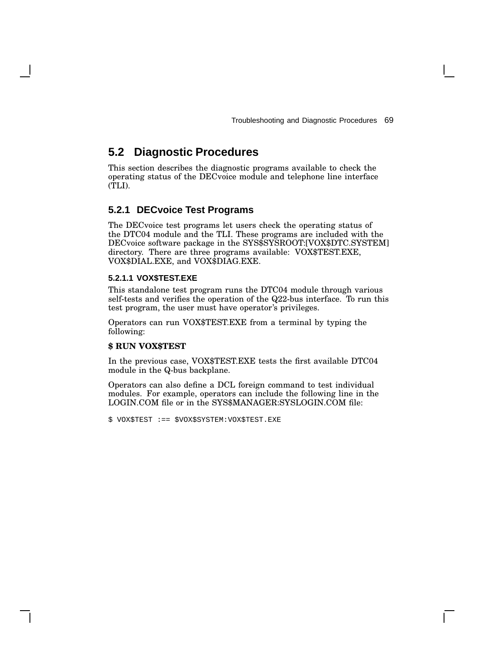# **5.2 Diagnostic Procedures**

This section describes the diagnostic programs available to check the operating status of the DECvoice module and telephone line interface (TLI).

### **5.2.1 DECvoice Test Programs**

The DECvoice test programs let users check the operating status of the DTC04 module and the TLI. These programs are included with the DECvoice software package in the SYS\$SYSROOT:[VOX\$DTC.SYSTEM] directory. There are three programs available: VOX\$TEST.EXE, VOX\$DIAL.EXE, and VOX\$DIAG.EXE.

#### **5.2.1.1 VOX\$TEST.EXE**

This standalone test program runs the DTC04 module through various self-tests and verifies the operation of the Q22-bus interface. To run this test program, the user must have operator's privileges.

Operators can run VOX\$TEST.EXE from a terminal by typing the following:

#### **\$ RUN VOX\$TEST**

In the previous case, VOX\$TEST.EXE tests the first available DTC04 module in the Q-bus backplane.

Operators can also define a DCL foreign command to test individual modules. For example, operators can include the following line in the LOGIN.COM file or in the SYS\$MANAGER:SYSLOGIN.COM file:

\$ VOX\$TEST :== \$VOX\$SYSTEM:VOX\$TEST.EXE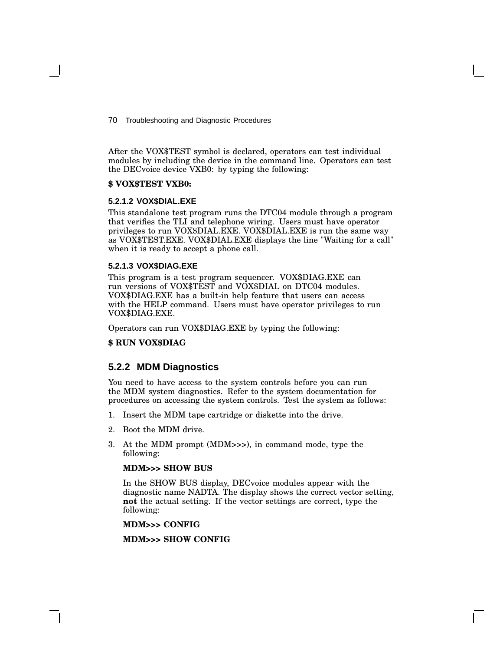70 Troubleshooting and Diagnostic Procedures

After the VOX\$TEST symbol is declared, operators can test individual modules by including the device in the command line. Operators can test the DECvoice device VXB0: by typing the following:

#### **\$ VOX\$TEST VXB0:**

#### **5.2.1.2 VOX\$DIAL.EXE**

This standalone test program runs the DTC04 module through a program that verifies the TLI and telephone wiring. Users must have operator privileges to run VOX\$DIAL.EXE. VOX\$DIAL.EXE is run the same way as VOX\$TEST.EXE. VOX\$DIAL.EXE displays the line "Waiting for a call" when it is ready to accept a phone call.

#### **5.2.1.3 VOX\$DIAG.EXE**

This program is a test program sequencer. VOX\$DIAG.EXE can run versions of VOX\$TEST and VOX\$DIAL on DTC04 modules. VOX\$DIAG.EXE has a built-in help feature that users can access with the HELP command. Users must have operator privileges to run VOX\$DIAG.EXE.

Operators can run VOX\$DIAG.EXE by typing the following:

#### **\$ RUN VOX\$DIAG**

#### **5.2.2 MDM Diagnostics**

You need to have access to the system controls before you can run the MDM system diagnostics. Refer to the system documentation for procedures on accessing the system controls. Test the system as follows:

- 1. Insert the MDM tape cartridge or diskette into the drive.
- 2. Boot the MDM drive.
- 3. At the MDM prompt (MDM>>>), in command mode, type the following:

#### **MDM>>> SHOW BUS**

In the SHOW BUS display, DECvoice modules appear with the diagnostic name NADTA. The display shows the correct vector setting, **not** the actual setting. If the vector settings are correct, type the following:

**MDM>>> CONFIG**

**MDM>>> SHOW CONFIG**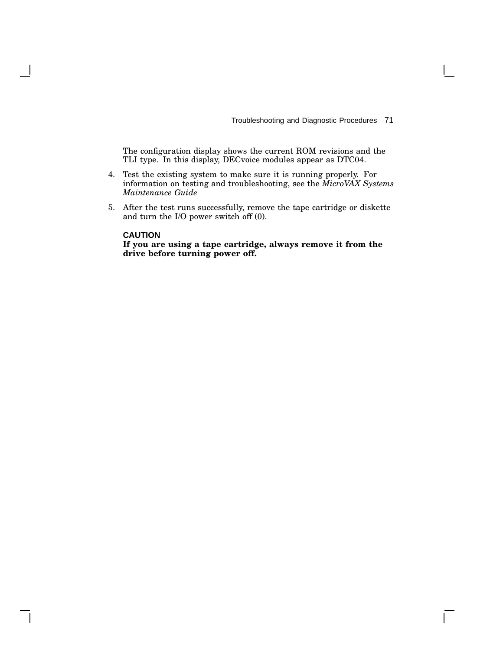Troubleshooting and Diagnostic Procedures 71

 $\mathbf{I}$ 

The configuration display shows the current ROM revisions and the TLI type. In this display, DECvoice modules appear as DTC04.

- 4. Test the existing system to make sure it is running properly. For information on testing and troubleshooting, see the *MicroVAX Systems Maintenance Guide*
- 5. After the test runs successfully, remove the tape cartridge or diskette and turn the I/O power switch off (0).

#### **CAUTION**

**If you are using a tape cartridge, always remove it from the drive before turning power off.**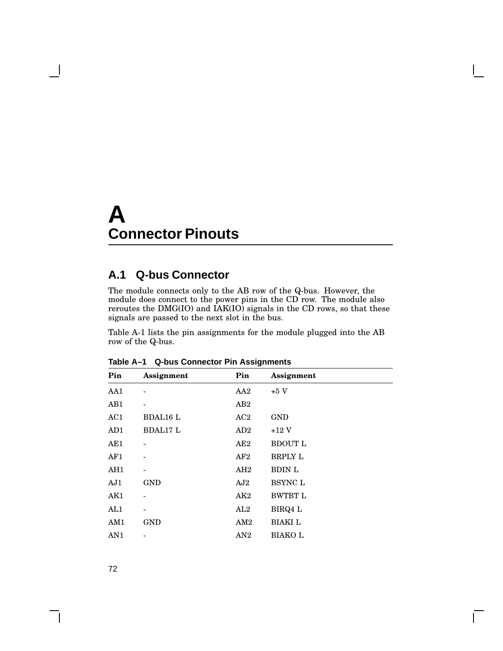# **A Connector Pinouts**

# **A.1 Q-bus Connector**

The module connects only to the AB row of the Q-bus. However, the module does connect to the power pins in the CD row. The module also reroutes the DMG(IO) and IAK(IO) signals in the CD rows, so that these signals are passed to the next slot in the bus.

Table A-1 lists the pin assignments for the module plugged into the AB row of the Q-bus.

| Pin | Assignment      | Pin | Assignment                  |
|-----|-----------------|-----|-----------------------------|
| AA1 |                 | AA2 | $+5$ V                      |
| AB1 | $\overline{a}$  | AB2 |                             |
| AC1 | <b>BDAL16 L</b> | AC2 | <b>GND</b>                  |
| AD1 | <b>BDAL17 L</b> | AD2 | $+12$ V                     |
| AE1 |                 | AE2 | <b>BDOUT L</b>              |
| AF1 |                 | AF2 | <b>BRPLY L</b>              |
| AH1 |                 | AH2 | <b>BDIN L</b>               |
| AJ1 | <b>GND</b>      | AJ2 | $\scriptstyle{\sf BSYNC}$ L |
| AK1 |                 | AK2 | <b>BWTBT L</b>              |
| AL1 |                 | AL2 | BIRQ4 L                     |
| AM1 | <b>GND</b>      | AM2 | <b>BIAKI</b> L              |
| AN1 |                 | AN2 | <b>BIAKOL</b>               |
|     |                 |     |                             |

**Table A–1 Q-bus Connector Pin Assignments**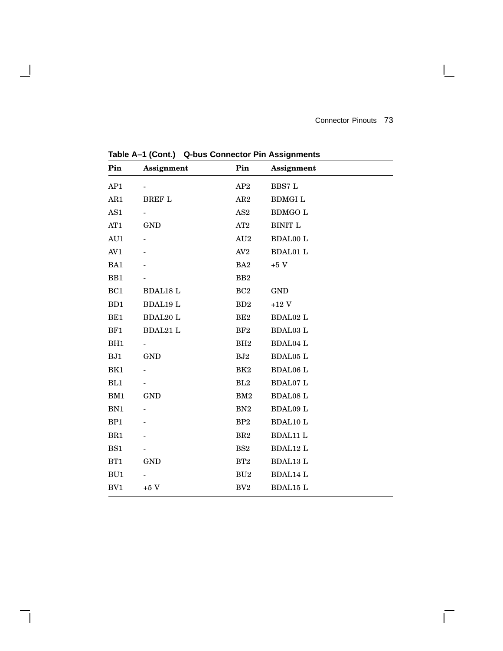$\mathbf{L}$ 

**Pin Assignment Pin Assignment** AP1 - AP2 BBS7 L AR1 BREF L AR2 BDMGI L AS1 - AS2 BDMGO L AT1 GND AT2 BINIT L AU1 - AU2 BDAL00 L AV1 - AV2 BDAL01 L  $BA1$  - BA2  $+5$  V BB1 - BB2 BC1 BDAL18 L BC2 GND BD1 BDAL19 L BD2 +12 V BE1 BDAL20 L BE2 BDAL02 L BF1 BDAL21 L BF2 BDAL03 L BH1 - BH2 BDAL04 L BJ1 GND BJ2 BDAL05 L BK1 - BK2 BDAL06 L BL1 - BL2 BDAL07 L BM1 GND BM2 BDAL08 L BN1 - BN2 BDAL09 L BP1 - BP2 BDAL10 L BR1 - BR2 BDAL11 L BS1 - BS2 BDAL12 L BT1 GND BT2 BDAL13 L BU1 - BU2 BDAL14 L BV1  $+5$  V BV2 BDAL15 L

**Table A–1 (Cont.) Q-bus Connector Pin Assignments**

 $\mathsf{l}$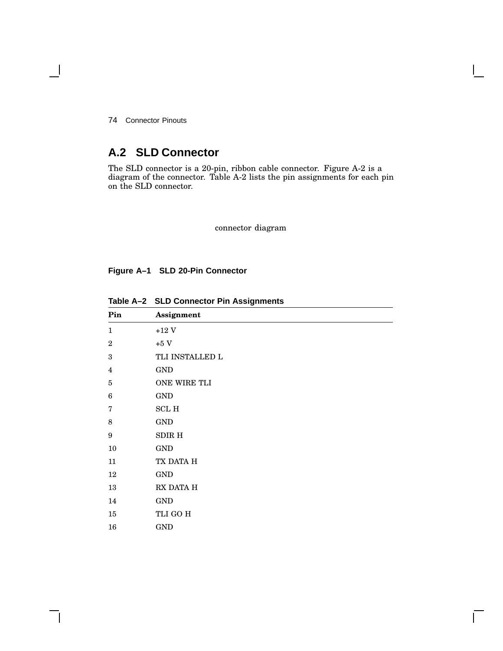Connector Pinouts

# **A.2 SLD Connector**

The SLD connector is a 20-pin, ribbon cable connector. Figure A-2 is a diagram of the connector. Table A-2 lists the pin assignments for each pin on the SLD connector.

connector diagram

**Figure A–1 SLD 20-Pin Connector**

| Pin                     | Assignment              |
|-------------------------|-------------------------|
| $\mathbf{1}$            | $+12~\mathrm{V}$        |
| $\overline{2}$          | $+5~\mathrm{V}$         |
| $\sqrt{3}$              | TLI INSTALLED L         |
| $\overline{\mathbf{4}}$ | <b>GND</b>              |
| $\bf 5$                 | ONE WIRE TLI            |
| 6                       | $\mathop{\mathrm{GND}}$ |
| 7                       | $\operatorname{SCL}$ H  |
| 8                       | <b>GND</b>              |
| 9                       | SDIR H                  |
| $10\,$                  | <b>GND</b>              |
| 11                      | TX DATA H               |
| 12                      | $\mathop{\mathrm{GND}}$ |
| 13                      | RX DATA H               |
| 14                      | <b>GND</b>              |
| 15                      | TLI GO H                |
| 16                      | <b>GND</b>              |

**Table A–2 SLD Connector Pin Assignments**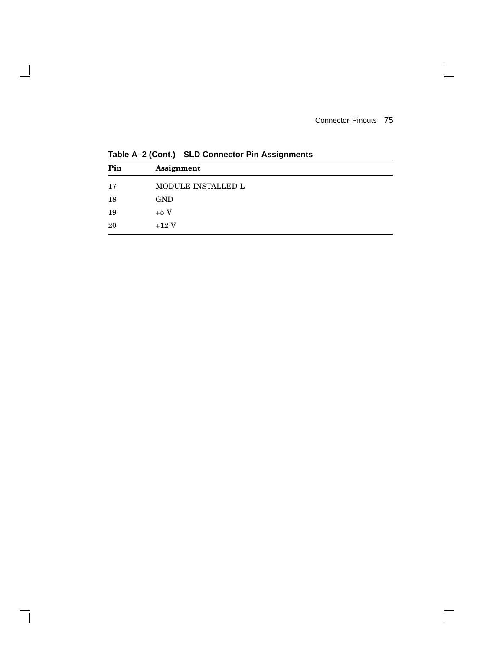Connector Pinouts 75

 $\mathbf{I}$ 

 $\overline{\Gamma}$ 

| Pin | Assignment         |
|-----|--------------------|
| 17  | MODULE INSTALLED L |
| 18  | <b>GND</b>         |
| 19  | $+5V$              |
| 20  | $+12V$             |

**Table A–2 (Cont.) SLD Connector Pin Assignments**

 $\overline{\phantom{a}}$ 

H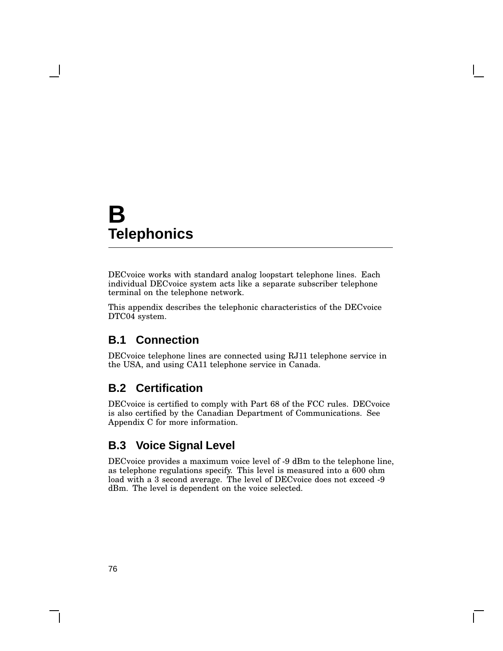# **B Telephonics**

DECvoice works with standard analog loopstart telephone lines. Each individual DECvoice system acts like a separate subscriber telephone terminal on the telephone network.

This appendix describes the telephonic characteristics of the DECvoice DTC04 system.

# **B.1 Connection**

DECvoice telephone lines are connected using RJ11 telephone service in the USA, and using CA11 telephone service in Canada.

# **B.2 Certification**

DECvoice is certified to comply with Part 68 of the FCC rules. DECvoice is also certified by the Canadian Department of Communications. See Appendix C for more information.

# **B.3 Voice Signal Level**

DECvoice provides a maximum voice level of -9 dBm to the telephone line, as telephone regulations specify. This level is measured into a 600 ohm load with a 3 second average. The level of DECvoice does not exceed -9 dBm. The level is dependent on the voice selected.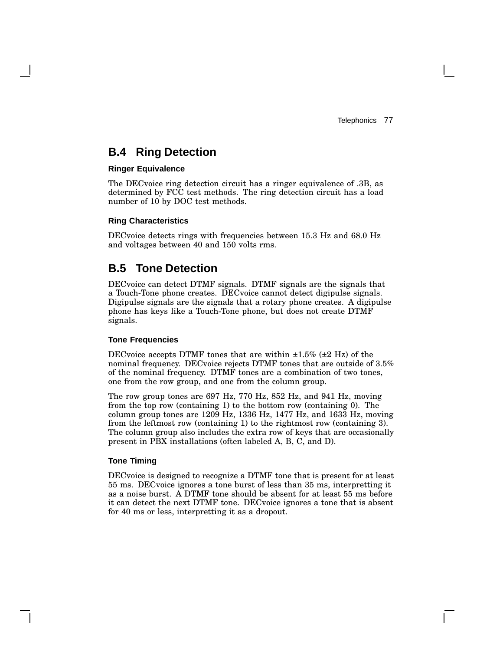# **B.4 Ring Detection**

#### **Ringer Equivalence**

The DECvoice ring detection circuit has a ringer equivalence of .3B, as determined by FCC test methods. The ring detection circuit has a load number of 10 by DOC test methods.

#### **Ring Characteristics**

DECvoice detects rings with frequencies between 15.3 Hz and 68.0 Hz and voltages between 40 and 150 volts rms.

# **B.5 Tone Detection**

DECvoice can detect DTMF signals. DTMF signals are the signals that a Touch-Tone phone creates. DECvoice cannot detect digipulse signals. Digipulse signals are the signals that a rotary phone creates. A digipulse phone has keys like a Touch-Tone phone, but does not create DTMF signals.

#### **Tone Frequencies**

DECvoice accepts DTMF tones that are within  $\pm 1.5\%$  ( $\pm 2$  Hz) of the nominal frequency. DECvoice rejects DTMF tones that are outside of 3.5% of the nominal frequency. DTMF tones are a combination of two tones, one from the row group, and one from the column group.

The row group tones are 697 Hz, 770 Hz, 852 Hz, and 941 Hz, moving from the top row (containing 1) to the bottom row (containing 0). The column group tones are 1209 Hz, 1336 Hz, 1477 Hz, and 1633 Hz, moving from the leftmost row (containing 1) to the rightmost row (containing 3). The column group also includes the extra row of keys that are occasionally present in PBX installations (often labeled A, B, C, and D).

#### **Tone Timing**

DECvoice is designed to recognize a DTMF tone that is present for at least 55 ms. DECvoice ignores a tone burst of less than 35 ms, interpretting it as a noise burst. A DTMF tone should be absent for at least 55 ms before it can detect the next DTMF tone. DECvoice ignores a tone that is absent for 40 ms or less, interpretting it as a dropout.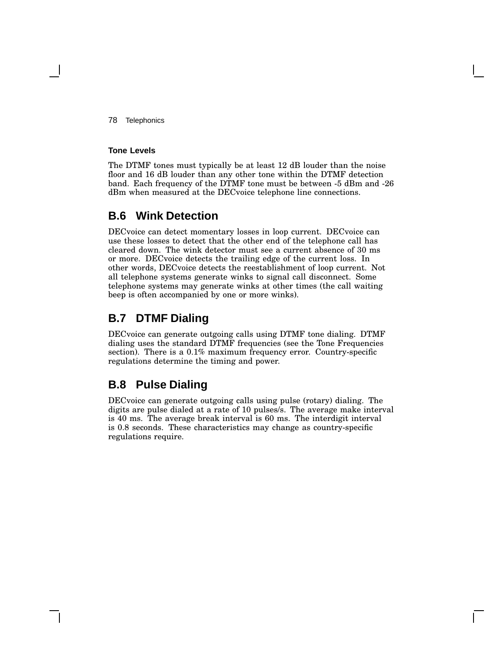78 Telephonics

#### **Tone Levels**

The DTMF tones must typically be at least 12 dB louder than the noise floor and 16 dB louder than any other tone within the DTMF detection band. Each frequency of the DTMF tone must be between -5 dBm and -26 dBm when measured at the DECvoice telephone line connections.

# **B.6 Wink Detection**

DECvoice can detect momentary losses in loop current. DECvoice can use these losses to detect that the other end of the telephone call has cleared down. The wink detector must see a current absence of 30 ms or more. DECvoice detects the trailing edge of the current loss. In other words, DECvoice detects the reestablishment of loop current. Not all telephone systems generate winks to signal call disconnect. Some telephone systems may generate winks at other times (the call waiting beep is often accompanied by one or more winks).

# **B.7 DTMF Dialing**

DECvoice can generate outgoing calls using DTMF tone dialing. DTMF dialing uses the standard DTMF frequencies (see the Tone Frequencies section). There is a 0.1% maximum frequency error. Country-specific regulations determine the timing and power.

# **B.8 Pulse Dialing**

DECvoice can generate outgoing calls using pulse (rotary) dialing. The digits are pulse dialed at a rate of 10 pulses/s. The average make interval is 40 ms. The average break interval is 60 ms. The interdigit interval is 0.8 seconds. These characteristics may change as country-specific regulations require.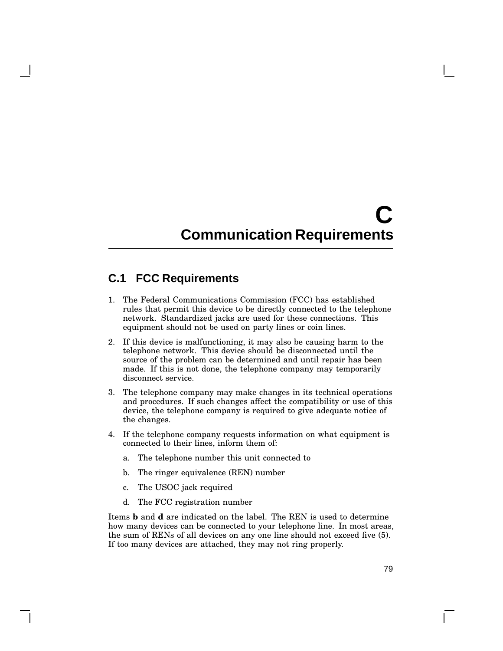# **C Communication Requirements**

# **C.1 FCC Requirements**

- 1. The Federal Communications Commission (FCC) has established rules that permit this device to be directly connected to the telephone network. Standardized jacks are used for these connections. This equipment should not be used on party lines or coin lines.
- 2. If this device is malfunctioning, it may also be causing harm to the telephone network. This device should be disconnected until the source of the problem can be determined and until repair has been made. If this is not done, the telephone company may temporarily disconnect service.
- 3. The telephone company may make changes in its technical operations and procedures. If such changes affect the compatibility or use of this device, the telephone company is required to give adequate notice of the changes.
- 4. If the telephone company requests information on what equipment is connected to their lines, inform them of:
	- a. The telephone number this unit connected to
	- b. The ringer equivalence (REN) number
	- c. The USOC jack required
	- d. The FCC registration number

Items **b** and **d** are indicated on the label. The REN is used to determine how many devices can be connected to your telephone line. In most areas, the sum of RENs of all devices on any one line should not exceed five (5). If too many devices are attached, they may not ring properly.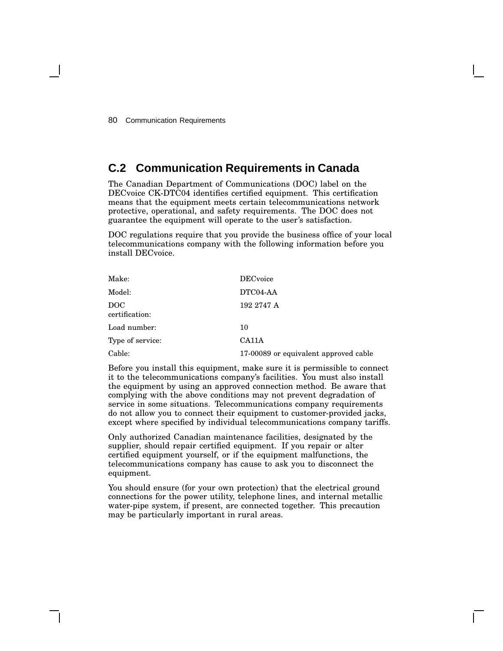# **C.2 Communication Requirements in Canada**

The Canadian Department of Communications (DOC) label on the DECvoice CK-DTC04 identifies certified equipment. This certification means that the equipment meets certain telecommunications network protective, operational, and safety requirements. The DOC does not guarantee the equipment will operate to the user's satisfaction.

DOC regulations require that you provide the business office of your local telecommunications company with the following information before you install DECvoice.

| Make:                 | <b>DEC</b> voice                      |
|-----------------------|---------------------------------------|
| Model:                | DTC04-AA                              |
| DOC<br>certification: | 192 2747 A                            |
| Load number:          | 10                                    |
| Type of service:      | CA11A                                 |
| Cable:                | 17-00089 or equivalent approved cable |

Before you install this equipment, make sure it is permissible to connect it to the telecommunications company's facilities. You must also install the equipment by using an approved connection method. Be aware that complying with the above conditions may not prevent degradation of service in some situations. Telecommunications company requirements do not allow you to connect their equipment to customer-provided jacks, except where specified by individual telecommunications company tariffs.

Only authorized Canadian maintenance facilities, designated by the supplier, should repair certified equipment. If you repair or alter certified equipment yourself, or if the equipment malfunctions, the telecommunications company has cause to ask you to disconnect the equipment.

You should ensure (for your own protection) that the electrical ground connections for the power utility, telephone lines, and internal metallic water-pipe system, if present, are connected together. This precaution may be particularly important in rural areas.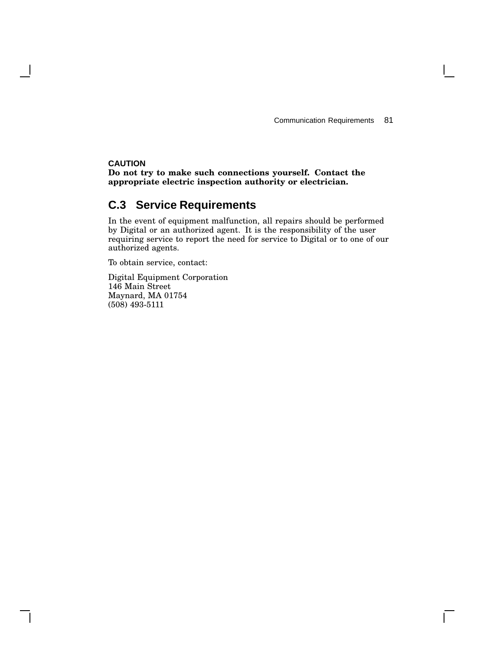$\mathbf{I}$ 

### **CAUTION**

**Do not try to make such connections yourself. Contact the appropriate electric inspection authority or electrician.**

# **C.3 Service Requirements**

In the event of equipment malfunction, all repairs should be performed by Digital or an authorized agent. It is the responsibility of the user requiring service to report the need for service to Digital or to one of our authorized agents.

To obtain service, contact:

Digital Equipment Corporation 146 Main Street Maynard, MA 01754 (508) 493-5111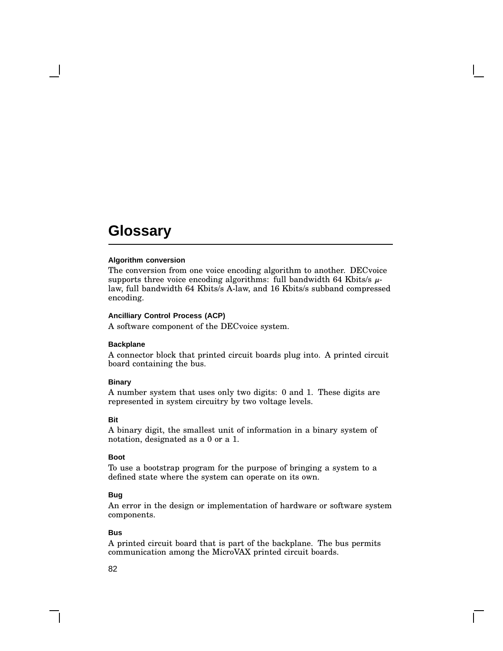#### **Algorithm conversion**

The conversion from one voice encoding algorithm to another. DECvoice supports three voice encoding algorithms: full bandwidth 64 Kbits/s  $\mu$ law, full bandwidth 64 Kbits/s A-law, and 16 Kbits/s subband compressed encoding.

#### **Ancilliary Control Process (ACP)**

A software component of the DECvoice system.

#### **Backplane**

A connector block that printed circuit boards plug into. A printed circuit board containing the bus.

#### **Binary**

A number system that uses only two digits: 0 and 1. These digits are represented in system circuitry by two voltage levels.

#### **Bit**

A binary digit, the smallest unit of information in a binary system of notation, designated as a 0 or a 1.

#### **Boot**

To use a bootstrap program for the purpose of bringing a system to a defined state where the system can operate on its own.

#### **Bug**

An error in the design or implementation of hardware or software system components.

#### **Bus**

A printed circuit board that is part of the backplane. The bus permits communication among the MicroVAX printed circuit boards.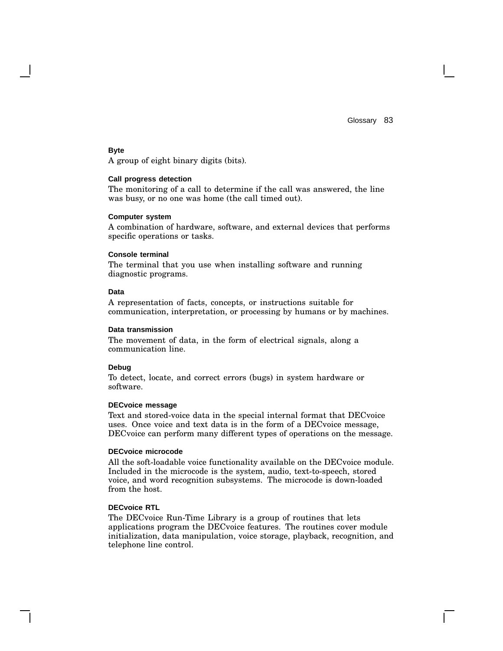#### **Byte**

A group of eight binary digits (bits).

#### **Call progress detection**

The monitoring of a call to determine if the call was answered, the line was busy, or no one was home (the call timed out).

#### **Computer system**

A combination of hardware, software, and external devices that performs specific operations or tasks.

#### **Console terminal**

The terminal that you use when installing software and running diagnostic programs.

#### **Data**

A representation of facts, concepts, or instructions suitable for communication, interpretation, or processing by humans or by machines.

#### **Data transmission**

The movement of data, in the form of electrical signals, along a communication line.

#### **Debug**

To detect, locate, and correct errors (bugs) in system hardware or software.

#### **DECvoice message**

Text and stored-voice data in the special internal format that DECvoice uses. Once voice and text data is in the form of a DECvoice message, DECvoice can perform many different types of operations on the message.

#### **DECvoice microcode**

All the soft-loadable voice functionality available on the DECvoice module. Included in the microcode is the system, audio, text-to-speech, stored voice, and word recognition subsystems. The microcode is down-loaded from the host.

#### **DECvoice RTL**

The DECvoice Run-Time Library is a group of routines that lets applications program the DECvoice features. The routines cover module initialization, data manipulation, voice storage, playback, recognition, and telephone line control.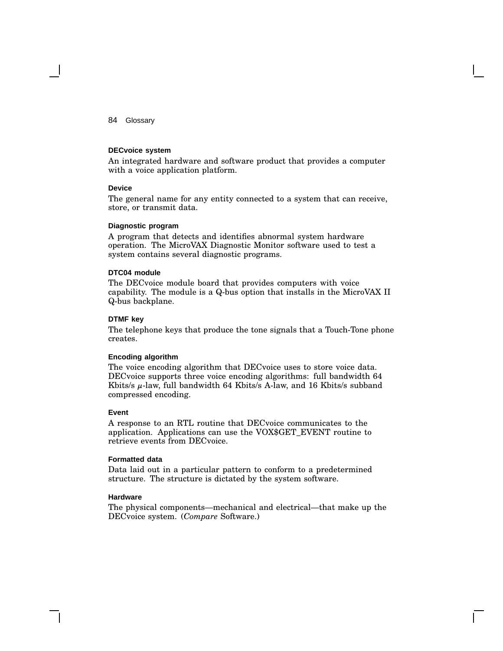#### **DECvoice system**

An integrated hardware and software product that provides a computer with a voice application platform.

#### **Device**

The general name for any entity connected to a system that can receive, store, or transmit data.

#### **Diagnostic program**

A program that detects and identifies abnormal system hardware operation. The MicroVAX Diagnostic Monitor software used to test a system contains several diagnostic programs.

#### **DTC04 module**

The DECvoice module board that provides computers with voice capability. The module is a Q-bus option that installs in the MicroVAX II Q-bus backplane.

#### **DTMF key**

The telephone keys that produce the tone signals that a Touch-Tone phone creates.

#### **Encoding algorithm**

The voice encoding algorithm that DECvoice uses to store voice data. DECvoice supports three voice encoding algorithms: full bandwidth 64 Kbits/s µ-law, full bandwidth 64 Kbits/s A-law, and 16 Kbits/s subband compressed encoding.

#### **Event**

A response to an RTL routine that DECvoice communicates to the application. Applications can use the VOX\$GET\_EVENT routine to retrieve events from DECvoice.

#### **Formatted data**

Data laid out in a particular pattern to conform to a predetermined structure. The structure is dictated by the system software.

#### **Hardware**

The physical components—mechanical and electrical—that make up the DECvoice system. (*Compare* Software.)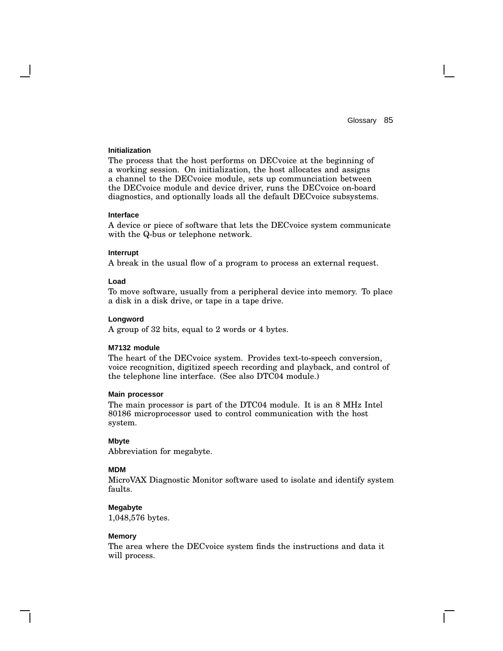#### **Initialization**

The process that the host performs on DECvoice at the beginning of a working session. On initialization, the host allocates and assigns a channel to the DECvoice module, sets up communciation between the DECvoice module and device driver, runs the DECvoice on-board diagnostics, and optionally loads all the default DECvoice subsystems.

#### **Interface**

A device or piece of software that lets the DECvoice system communicate with the Q-bus or telephone network.

#### **Interrupt**

A break in the usual flow of a program to process an external request.

#### **Load**

To move software, usually from a peripheral device into memory. To place a disk in a disk drive, or tape in a tape drive.

#### **Longword**

A group of 32 bits, equal to 2 words or 4 bytes.

#### **M7132 module**

The heart of the DECvoice system. Provides text-to-speech conversion, voice recognition, digitized speech recording and playback, and control of the telephone line interface. (See also DTC04 module.)

#### **Main processor**

The main processor is part of the DTC04 module. It is an 8 MHz Intel 80186 microprocessor used to control communication with the host system.

#### **Mbyte**

Abbreviation for megabyte.

#### **MDM**

MicroVAX Diagnostic Monitor software used to isolate and identify system faults.

#### **Megabyte**

1,048,576 bytes.

#### **Memory**

The area where the DECvoice system finds the instructions and data it will process.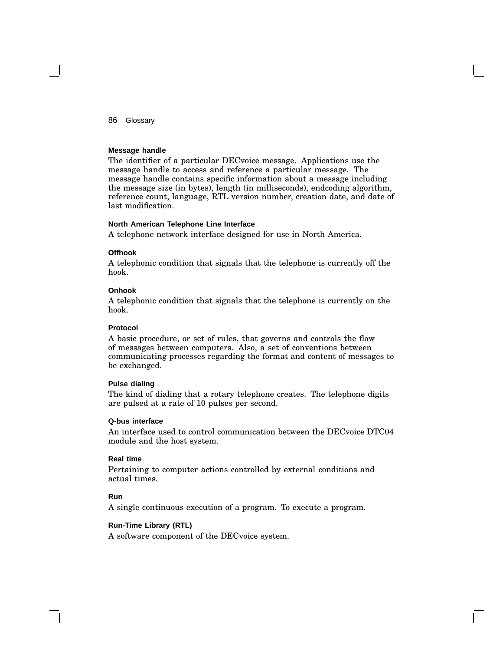#### **Message handle**

The identifier of a particular DECvoice message. Applications use the message handle to access and reference a particular message. The message handle contains specific information about a message including the message size (in bytes), length (in milliseconds), endcoding algorithm, reference count, language, RTL version number, creation date, and date of last modification.

#### **North American Telephone Line Interface**

A telephone network interface designed for use in North America.

#### **Offhook**

A telephonic condition that signals that the telephone is currently off the hook.

#### **Onhook**

A telephonic condition that signals that the telephone is currently on the hook.

#### **Protocol**

A basic procedure, or set of rules, that governs and controls the flow of messages between computers. Also, a set of conventions between communicating processes regarding the format and content of messages to be exchanged.

#### **Pulse dialing**

The kind of dialing that a rotary telephone creates. The telephone digits are pulsed at a rate of 10 pulses per second.

#### **Q-bus interface**

An interface used to control communication between the DECvoice DTC04 module and the host system.

#### **Real time**

Pertaining to computer actions controlled by external conditions and actual times.

#### **Run**

A single continuous execution of a program. To execute a program.

#### **Run-Time Library (RTL)**

A software component of the DECvoice system.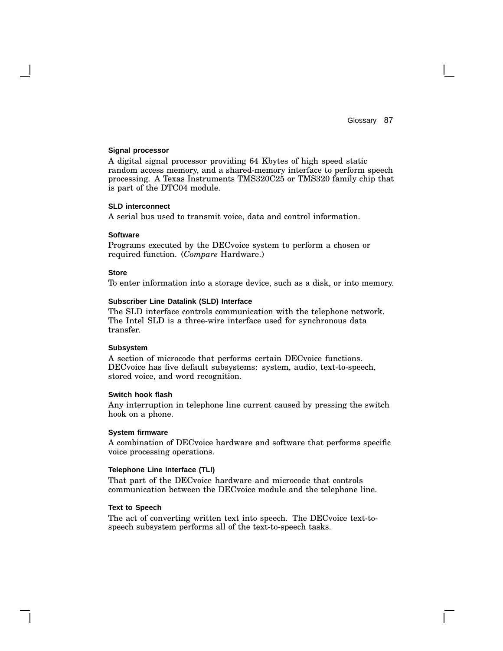#### **Signal processor**

A digital signal processor providing 64 Kbytes of high speed static random access memory, and a shared-memory interface to perform speech processing. A Texas Instruments TMS320C25 or TMS320 family chip that is part of the DTC04 module.

#### **SLD interconnect**

A serial bus used to transmit voice, data and control information.

#### **Software**

Programs executed by the DECvoice system to perform a chosen or required function. (*Compare* Hardware.)

#### **Store**

To enter information into a storage device, such as a disk, or into memory.

#### **Subscriber Line Datalink (SLD) Interface**

The SLD interface controls communication with the telephone network. The Intel SLD is a three-wire interface used for synchronous data transfer.

#### **Subsystem**

A section of microcode that performs certain DECvoice functions. DECvoice has five default subsystems: system, audio, text-to-speech, stored voice, and word recognition.

#### **Switch hook flash**

Any interruption in telephone line current caused by pressing the switch hook on a phone.

#### **System firmware**

A combination of DECvoice hardware and software that performs specific voice processing operations.

#### **Telephone Line Interface (TLI)**

That part of the DECvoice hardware and microcode that controls communication between the DECvoice module and the telephone line.

#### **Text to Speech**

The act of converting written text into speech. The DECvoice text-tospeech subsystem performs all of the text-to-speech tasks.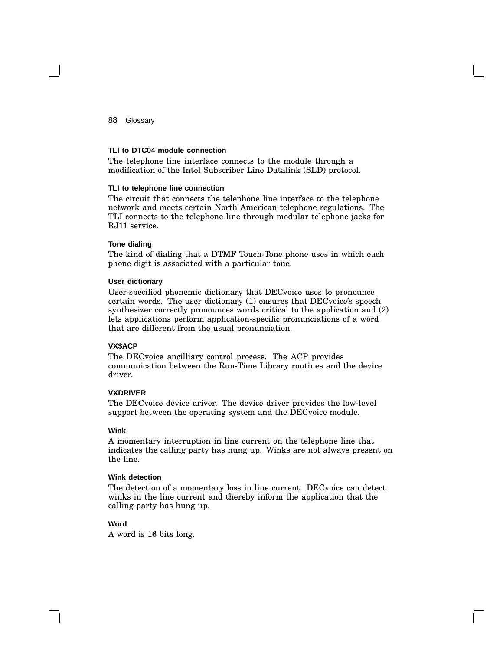#### **TLI to DTC04 module connection**

The telephone line interface connects to the module through a modification of the Intel Subscriber Line Datalink (SLD) protocol.

#### **TLI to telephone line connection**

The circuit that connects the telephone line interface to the telephone network and meets certain North American telephone regulations. The TLI connects to the telephone line through modular telephone jacks for RJ11 service.

#### **Tone dialing**

The kind of dialing that a DTMF Touch-Tone phone uses in which each phone digit is associated with a particular tone.

#### **User dictionary**

User-specified phonemic dictionary that DECvoice uses to pronounce certain words. The user dictionary (1) ensures that DECvoice's speech synthesizer correctly pronounces words critical to the application and (2) lets applications perform application-specific pronunciations of a word that are different from the usual pronunciation.

#### **VX\$ACP**

The DECvoice ancilliary control process. The ACP provides communication between the Run-Time Library routines and the device driver.

#### **VXDRIVER**

The DECvoice device driver. The device driver provides the low-level support between the operating system and the DECvoice module.

#### **Wink**

A momentary interruption in line current on the telephone line that indicates the calling party has hung up. Winks are not always present on the line.

#### **Wink detection**

The detection of a momentary loss in line current. DECvoice can detect winks in the line current and thereby inform the application that the calling party has hung up.

#### **Word**

A word is 16 bits long.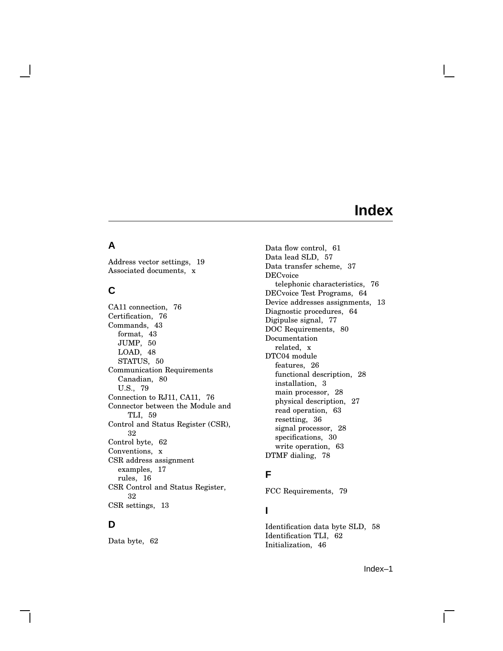# **Index**

### **A**

Address vector settings, 19 Associated documents, x

### **C**

CA11 connection, 76 Certification, 76 Commands, 43 format, 43 JUMP, 50 LOAD, 48 STATUS, 50 Communication Requirements Canadian, 80 U.S., 79 Connection to RJ11, CA11, 76 Connector between the Module and TLI, 59 Control and Status Register (CSR), 32 Control byte, 62 Conventions, x CSR address assignment examples, 17 rules, 16 CSR Control and Status Register, 32 CSR settings, 13

# **D**

Data byte, 62

Data flow control, 61 Data lead SLD, 57 Data transfer scheme, 37 DECvoice telephonic characteristics, 76 DECvoice Test Programs, 64 Device addresses assignments, 13 Diagnostic procedures, 64 Digipulse signal, 77 DOC Requirements, 80 Documentation related, x DTC04 module features, 26 functional description, 28 installation, 3 main processor, 28 physical description, 27 read operation, 63 resetting, 36 signal processor, 28 specifications, 30 write operation, 63 DTMF dialing, 78

### **F**

FCC Requirements, 79

## **I**

Identification data byte SLD, 58 Identification TLI, 62 Initialization, 46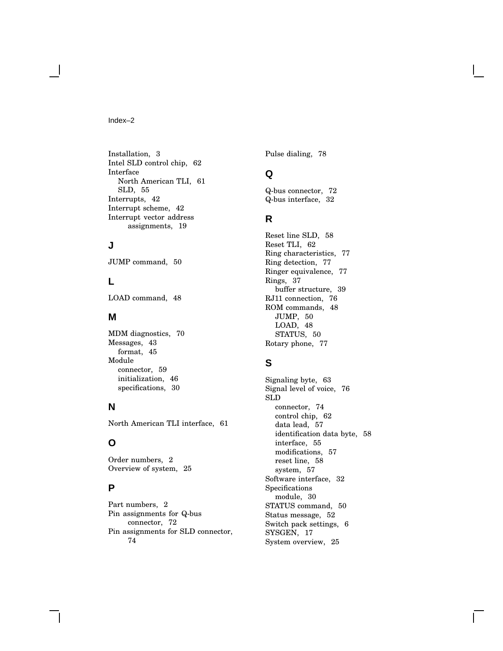#### Index–2

Installation, 3 Intel SLD control chip, 62 Interface North American TLI, 61 SLD, 55 Interrupts, 42 Interrupt scheme, 42 Interrupt vector address assignments, 19

### **J**

JUMP command, 50

### **L**

LOAD command, 48

### **M**

MDM diagnostics, 70 Messages, 43 format, 45 Module connector, 59 initialization, 46 specifications, 30

### **N**

North American TLI interface, 61

### **O**

Order numbers, 2 Overview of system, 25

## **P**

Part numbers, 2 Pin assignments for Q-bus connector, 72 Pin assignments for SLD connector, 74

Pulse dialing, 78

### **Q**

Q-bus connector, 72 Q-bus interface, 32

### **R**

Reset line SLD, 58 Reset TLI, 62 Ring characteristics, 77 Ring detection, 77 Ringer equivalence, 77 Rings, 37 buffer structure, 39 RJ11 connection, 76 ROM commands, 48 JUMP, 50 LOAD, 48 STATUS, 50 Rotary phone, 77

# **S**

Signaling byte, 63 Signal level of voice, 76 SLD connector, 74 control chip, 62 data lead, 57 identification data byte, 58 interface, 55 modifications, 57 reset line, 58 system, 57 Software interface, 32 Specifications module, 30 STATUS command, 50 Status message, 52 Switch pack settings, 6 SYSGEN, 17 System overview, 25